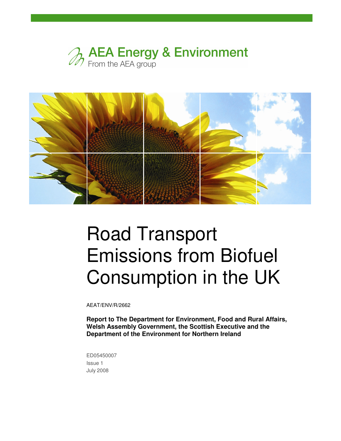



# Road Transport Emissions from Biofuel Consumption in the UK

AEAT/ENV/R/2662

**Report to The Department for Environment, Food and Rural Affairs, Welsh Assembly Government, the Scottish Executive and the Department of the Environment for Northern Ireland** 

ED05450007 Issue 1 July 2008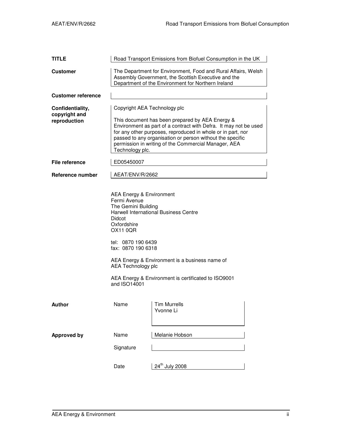| <b>TITLE</b>                                      | Road Transport Emissions from Biofuel Consumption in the UK                                                                                                                                                                                                                                                                                                |                            |  |  |  |  |  |
|---------------------------------------------------|------------------------------------------------------------------------------------------------------------------------------------------------------------------------------------------------------------------------------------------------------------------------------------------------------------------------------------------------------------|----------------------------|--|--|--|--|--|
| <b>Customer</b>                                   | The Department for Environment, Food and Rural Affairs, Welsh<br>Assembly Government, the Scottish Executive and the<br>Department of the Environment for Northern Ireland                                                                                                                                                                                 |                            |  |  |  |  |  |
| <b>Customer reference</b>                         |                                                                                                                                                                                                                                                                                                                                                            |                            |  |  |  |  |  |
| Confidentiality,<br>copyright and<br>reproduction | Copyright AEA Technology plc<br>This document has been prepared by AEA Energy &<br>Environment as part of a contract with Defra. It may not be used<br>for any other purposes, reproduced in whole or in part, nor<br>passed to any organisation or person without the specific<br>permission in writing of the Commercial Manager, AEA<br>Technology plc. |                            |  |  |  |  |  |
| File reference                                    | ED05450007                                                                                                                                                                                                                                                                                                                                                 |                            |  |  |  |  |  |
| Reference number                                  | AEAT/ENV/R/2662                                                                                                                                                                                                                                                                                                                                            |                            |  |  |  |  |  |
|                                                   | <b>AEA Energy &amp; Environment</b><br>Fermi Avenue<br>The Gemini Building<br><b>Harwell International Business Centre</b><br>Didcot<br>Oxfordshire<br>OX11 0QR<br>tel: 0870 190 6439<br>fax: 0870 190 6318<br>AEA Energy & Environment is a business name of<br>AEA Technology plc<br>AEA Energy & Environment is certificated to ISO9001<br>and ISO14001 |                            |  |  |  |  |  |
| <b>Author</b>                                     | Name                                                                                                                                                                                                                                                                                                                                                       | Tim Murrells<br>Yvonne Li  |  |  |  |  |  |
| <b>Approved by</b>                                | Name<br>Melanie Hobson                                                                                                                                                                                                                                                                                                                                     |                            |  |  |  |  |  |
|                                                   | Signature                                                                                                                                                                                                                                                                                                                                                  |                            |  |  |  |  |  |
|                                                   | Date                                                                                                                                                                                                                                                                                                                                                       | 24 <sup>th</sup> July 2008 |  |  |  |  |  |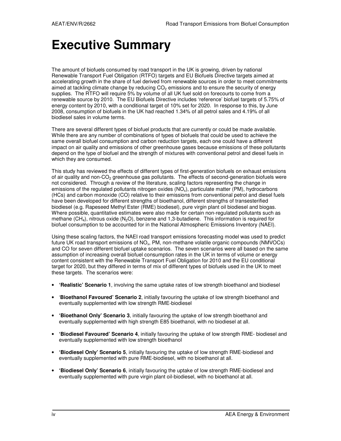# **Executive Summary**

The amount of biofuels consumed by road transport in the UK is growing, driven by national Renewable Transport Fuel Obligation (RTFO) targets and EU Biofuels Directive targets aimed at accelerating growth in the share of fuel derived from renewable sources in order to meet commitments aimed at tackling climate change by reducing  $CO<sub>2</sub>$  emissions and to ensure the security of energy supplies. The RTFO will require 5% by volume of all UK fuel sold on forecourts to come from a renewable source by 2010. The EU Biofuels Directive includes 'reference' biofuel targets of 5.75% of energy content by 2010, with a conditional target of 10% set for 2020. In response to this, by June 2008, consumption of biofuels in the UK had reached 1.34% of all petrol sales and 4.19% of all biodiesel sales in volume terms.

There are several different types of biofuel products that are currently or could be made available. While there are any number of combinations of types of biofuels that could be used to achieve the same overall biofuel consumption and carbon reduction targets, each one could have a different impact on air quality and emissions of other greenhouse gases because emissions of these pollutants depend on the type of biofuel and the strength of mixtures with conventional petrol and diesel fuels in which they are consumed.

This study has reviewed the effects of different types of first-generation biofuels on exhaust emissions of air quality and non-CO<sub>2</sub> greenhouse gas pollutants. The effects of second-generation biofuels were not considered. Through a review of the literature, scaling factors representing the change in emissions of the regulated pollutants nitrogen oxides  $(NO<sub>x</sub>)$ , particulate matter (PM), hydrocarbons (HCs) and carbon monoxide (CO) relative to their emissions from conventional petrol and diesel fuels have been developed for different strengths of bioethanol, different strengths of transesterified biodiesel (e.g. Rapeseed Methyl Ester (RME) biodiesel), pure virgin plant oil biodiesel and biogas. Where possible, quantitative estimates were also made for certain non-regulated pollutants such as methane  $(CH_4)$ , nitrous oxide  $(N_2O)$ , benzene and 1,3-butadiene. This information is required for biofuel consumption to be accounted for in the National Atmospheric Emissions Inventory (NAEI).

Using these scaling factors, the NAEI road transport emissions forecasting model was used to predict future UK road transport emissions of NO<sub>x</sub>, PM, non-methane volatile organic compounds (NMVOCs) and CO for seven different biofuel uptake scenarios. The seven scenarios were all based on the same assumption of increasing overall biofuel consumption rates in the UK in terms of volume or energy content consistent with the Renewable Transport Fuel Obligation for 2010 and the EU conditional target for 2020, but they differed in terms of mix of different types of biofuels used in the UK to meet these targets. The scenarios were:

- **'Realistic' Scenario 1**, involving the same uptake rates of low strength bioethanol and biodiesel
- '**Bioethanol Favoured' Scenario 2**, initially favouring the uptake of low strength bioethanol and eventually supplemented with low strength RME-biodiesel
- **'Bioethanol Only' Scenario 3**, initially favouring the uptake of low strength bioethanol and eventually supplemented with high strength E85 bioethanol, with no biodiesel at all.
- **'Biodiesel Favoured' Scenario 4**, initially favouring the uptake of low strength RME- biodiesel and eventually supplemented with low strength bioethanol
- **'Biodiesel Only' Scenario 5**, initially favouring the uptake of low strength RME-biodiesel and eventually supplemented with pure RME-biodiesel, with no bioethanol at all.
- **'Biodiesel Only' Scenario 6**, initially favouring the uptake of low strength RME-biodiesel and eventually supplemented with pure virgin plant oil-biodiesel, with no bioethanol at all.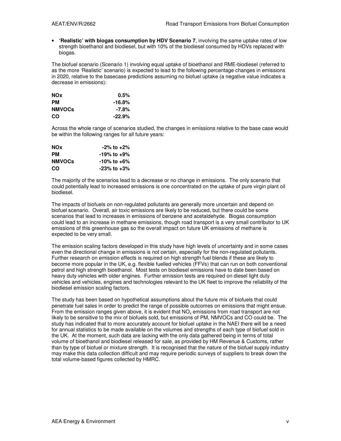• **'Realistic' with biogas consumption by HDV Scenario 7**, involving the same uptake rates of low strength bioethanol and biodiesel, but with 10% of the biodiesel consumed by HDVs replaced with biogas.

The biofuel scenario (Scenario 1) involving equal uptake of bioethanol and RME-biodiesel (referred to as the more 'Realistic' scenario) is expected to lead to the following percentage changes in emissions in 2020, relative to the basecase predictions assuming no biofuel uptake (a negative value indicates a decrease in emissions):

| <b>NOx</b>    | $0.5\%$   |
|---------------|-----------|
| <b>PM</b>     | -16.8%    |
| <b>NMVOCs</b> | -7.8%     |
| CO            | $-22.9\%$ |

Across the whole range of scenarios studied, the changes in emissions relative to the base case would be within the following ranges for all future years:

| <b>NOx</b>    | $-2\%$ to $+2\%$        |
|---------------|-------------------------|
| <b>PM</b>     | -19% to <sub>+</sub> 9% |
| <b>NMVOCs</b> | -10% to +6%             |
| CO            | $-23\%$ to $+3\%$       |

The majority of the scenarios lead to a decrease or no change in emissions. The only scenario that could potentially lead to increased emissions is one concentrated on the uptake of pure virgin plant oil biodiesel.

The impacts of biofuels on non-regulated pollutants are generally more uncertain and depend on biofuel scenario. Overall, air toxic emissions are likely to be reduced, but there could be some scenarios that lead to increases in emissions of benzene and acetaldehyde. Biogas consumption could lead to an increase in methane emissions, though road transport is a very small contributor to UK emissions of this greenhouse gas so the overall impact on future UK emissions of methane is expected to be very small.

The emission scaling factors developed in this study have high levels of uncertainty and in some cases even the directional change in emissions is not certain, especially for the non-regulated pollutants. Further research on emission effects is required on high strength fuel blends if these are likely to become more popular in the UK, e.g. flexible fuelled vehicles (FFVs) that can run on both conventional petrol and high strength bioethanol. Most tests on biodiesel emissions have to date been based on heavy duty vehicles with older engines. Further emission tests are required on diesel light duty vehicles and vehicles, engines and technologies relevant to the UK fleet to improve the reliability of the biodiesel emission scaling factors.

The study has been based on hypothetical assumptions about the future mix of biofuels that could penetrate fuel sales in order to predict the range of possible outcomes on emissions that might ensue. From the emission ranges given above, it is evident that  $NO_x$  emissions from road transport are not likely to be sensitive to the mix of biofuels sold, but emissions of PM, NMVOCs and CO could be. The study has indicated that to more accurately account for biofuel uptake in the NAEI there will be a need for annual statistics to be made available on the volumes and strengths of each type of biofuel sold in the UK. At the moment, such data are lacking with the only data gathered being in terms of total volume of bioethanol and biodiesel released for sale, as provided by HM Revenue & Customs, rather than by type of biofuel or mixture strength. It is recognised that the nature of the biofuel supply industry may make this data collection difficult and may require periodic surveys of suppliers to break down the total volume-based figures collected by HMRC.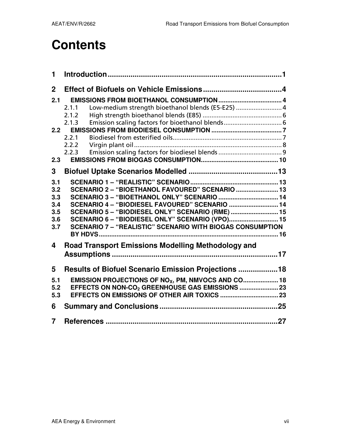# **Contents**

| Low-medium strength bioethanol blends (E5-E25)  4<br>2.1.1       |
|------------------------------------------------------------------|
| 2.1.2                                                            |
| Emission scaling factors for bioethanol blends 6<br>2.1.3        |
| 2.2                                                              |
| 2.2.1                                                            |
| 2.2.2                                                            |
| 2.2.3                                                            |
|                                                                  |
|                                                                  |
|                                                                  |
| SCENARIO 2 - "BIOETHANOL FAVOURED" SCENARIO  13                  |
| SCENARIO 3 - "BIOETHANOL ONLY" SCENARIO  14                      |
| SCENARIO 4 - "BIODIESEL FAVOURED" SCENARIO  14                   |
| SCENARIO 5 - "BIODIESEL ONLY" SCENARIO (RME)  15                 |
| SCENARIO 6 - "BIODIESEL ONLY" SCENARIO (VPO) 15                  |
| <b>SCENARIO 7 - "REALISTIC" SCENARIO WITH BIOGAS CONSUMPTION</b> |
|                                                                  |
|                                                                  |
| <b>Road Transport Emissions Modelling Methodology and</b>        |
|                                                                  |
|                                                                  |
| Results of Biofuel Scenario Emission Projections 18              |
| EMISSION PROJECTIONS OF NO <sub>X</sub> , PM, NMVOCS AND CO 18   |
|                                                                  |
|                                                                  |
|                                                                  |
|                                                                  |
|                                                                  |
|                                                                  |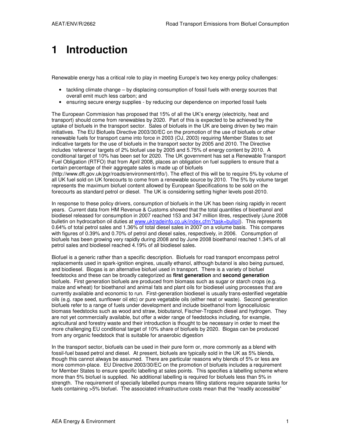# **1 Introduction**

Renewable energy has a critical role to play in meeting Europe's two key energy policy challenges:

- tackling climate change by displacing consumption of fossil fuels with energy sources that overall emit much less carbon; and
- ensuring secure energy supplies by reducing our dependence on imported fossil fuels

The European Commission has proposed that 15% of all the UK's energy (electricity, heat and transport) should come from renewables by 2020. Part of this is expected to be achieved by the uptake of biofuels in the transport sector. Sales of biofuels in the UK are being driven by two main initiatives. The EU Biofuels Directive 2003/30/EC on the promotion of the use of biofuels or other renewable fuels for transport came into force in 2003 (OJ, 2003) requiring Member States to set indicative targets for the use of biofuels in the transport sector by 2005 and 2010. The Directive includes 'reference' targets of 2% biofuel use by 2005 and 5.75% of energy content by 2010. A conditional target of 10% has been set for 2020. The UK government has set a Renewable Transport Fuel Obligation (RTFO) that from April 2008, places an obligation on fuel suppliers to ensure that a certain percentage of their aggregate sales is made up of biofuels (http://www.dft.gov.uk/pgr/roads/environment/rtfo/). The effect of this will be to require 5% by volume of all UK fuel sold on UK forecourts to come from a renewable source by 2010. The 5% by volume target represents the maximum biofuel content allowed by European Specifications to be sold on the forecourts as standard petrol or diesel. The UK is considering setting higher levels post-2010.

In response to these policy drivers, consumption of biofuels in the UK has been rising rapidly in recent years. Current data from HM Revenue & Customs showed that the total quantities of bioethanol and biodiesel released for consumption in 2007 reached 153 and 347 million litres, respectively (June 2008 bulletin on hydrocarbon oil duties at www.uktradeinfo.co.uk/index.cfm?task=bulloil). This represents 0.64% of total petrol sales and 1.36% of total diesel sales in 2007 on a volume basis. This compares with figures of 0.39% and 0.70% of petrol and diesel sales, respectively, in 2006. Consumption of biofuels has been growing very rapidly during 2008 and by June 2008 bioethanol reached 1.34% of all petrol sales and biodiesel reached 4.19% of all biodiesel sales.

Biofuel is a generic rather than a specific description. Biofuels for road transport encompass petrol replacements used in spark-ignition engines, usually ethanol, although butanol is also being pursued, and biodiesel. Biogas is an alternative biofuel used in transport. There is a variety of biofuel feedstocks and these can be broadly categorized as **first generation** and **second generation** biofuels. First generation biofuels are produced from biomass such as sugar or starch crops (e.g. maize and wheat) for bioethanol and animal fats and plant oils for biodiesel using processes that are currently available and economic to run. First-generation biodiesel is usually trans-esterified vegetable oils (e.g. rape seed, sunflower oil etc) or pure vegetable oils (either neat or waste). Second generation biofuels refer to a range of fuels under development and include bioethanol from lignocellulosic biomass feedstocks such as wood and straw, biobutanol, Fischer-Tropsch diesel and hydrogen. They are not yet commercially available, but offer a wider range of feedstocks including, for example, agricultural and forestry waste and their introduction is thought to be necessary in order to meet the more challenging EU conditional target of 10% share of biofuels by 2020. Biogas can be produced from any organic feedstock that is suitable for anaerobic digestion

In the transport sector, biofuels can be used in their pure form or, more commonly as a blend with fossil-fuel based petrol and diesel. At present, biofuels are typically sold in the UK as 5% blends, though this cannot always be assumed. There are particular reasons why blends of 5% or less are more common-place. EU Directive 2003/30/EC on the promotion of biofuels includes a requirement for Member States to ensure specific labelling at sales points. This specifies a labelling scheme where more than 5% biofuel is supplied. No additional labelling is required for biofuels less than 5% in strength. The requirement of specially labelled pumps means filling stations require separate tanks for fuels containing >5% biofuel. The associated infrastructure costs mean that the "readily accessible"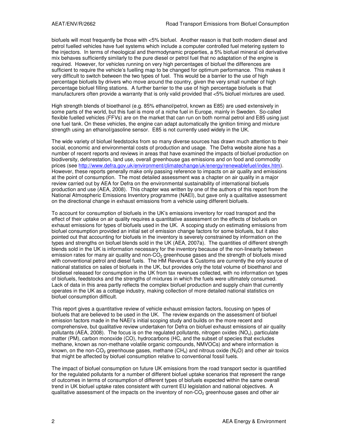biofuels will most frequently be those with <5% biofuel. Another reason is that both modern diesel and petrol fuelled vehicles have fuel systems which include a computer controlled fuel metering system to the injectors. In terms of rheological and thermodynamic properties, a 5% biofuel mineral oil derivative mix behaves sufficiently similarly to the pure diesel or petrol fuel that no adaptation of the engine is required. However, for vehicles running on very high percentages of biofuel the differences are sufficient to require the vehicle's fuelling map to be changed for optimum performance. This makes it very difficult to switch between the two types of fuel. This would be a barrier to the use of high percentage biofuels by drivers who move around the country, given the very small number of high percentage biofuel filling stations. A further barrier to the use of high percentage biofuels is that manufacturers often provide a warranty that is only valid provided that <5% biofuel mixtures are used.

High strength blends of bioethanol (e.g. 85% ethanol/petrol, known as E85) are used extensively in some parts of the world, but this fuel is more of a niche fuel in Europe, mainly in Sweden. So-called flexible fuelled vehicles (FFVs) are on the market that can run on both normal petrol and E85 using just one fuel tank. On these vehicles, the engine can adapt automatically the ignition timing and mixture strength using an ethanol/gasoline sensor. E85 is not currently used widely in the UK.

The wide variety of biofuel feedstocks from so many diverse sources has drawn much attention to their social, economic and environmental costs of production and usage. The Defra website alone has a number of recent reports and reviews in areas that have examined the impacts of biofuel production on biodiversity, deforestation, land use, overall greenhouse gas emissions and on food and commodity prices (see http://www.defra.gov.uk/environment/climatechange/uk/energy/renewablefuel/index.htm). However, these reports generally make only passing reference to impacts on air quality and emissions at the point of consumption. The most detailed assessment was a chapter on air quality in a major review carried out by AEA for Defra on the environmental sustainability of international biofuels production and use (AEA, 2008). This chapter was written by one of the authors of this report from the National Atmospheric Emissions Inventory programme (NAEI), but gave only a qualitative assessment on the directional change in exhaust emissions from a vehicle using different biofuels.

To account for consumption of biofuels in the UK's emissions inventory for road transport and the effect of their uptake on air quality requires a quantitative assessment on the effects of biofuels on exhaust emissions for types of biofuels used in the UK. A scoping study on estimating emissions from biofuel consumption provided an initial set of emission change factors for some biofuels, but it also pointed out that accounting for biofuels in the inventory is severely constrained by information on the types and strengths on biofuel blends sold in the UK (AEA, 2007a). The quantities of different strength blends sold in the UK is information necessary for the inventory because of the non-linearity between emission rates for many air quality and non- $CO<sub>2</sub>$  greenhouse gases and the strength of biofuels mixed with conventional petrol and diesel fuels. The HM Revenue & Customs are currently the only source of national statistics on sales of biofuels in the UK, but provides only the total volume of bioethanol and biodiesel released for consumption in the UK from tax revenues collected, with no information on types of biofuels, feedstocks and the strengths of mixtures in which the fuels were ultimately consumed. Lack of data in this area partly reflects the complex biofuel production and supply chain that currently operates in the UK as a cottage industry, making collection of more detailed national statistics on biofuel consumption difficult.

This report gives a quantitative review of vehicle exhaust emission factors, focusing on types of biofuels that are believed to be used in the UK. The review expands on the assessment of biofuel emission factors made in the NAEI's initial scoping study and builds on the more recent and comprehensive, but qualitative review undertaken for Defra on biofuel exhaust emissions of air quality pollutants (AEA, 2008). The focus is on the regulated pollutants, nitrogen oxides ( $NO<sub>x</sub>$ ), particulate matter (PM), carbon monoxide (CO), hydrocarbons (HC, and the subset of species that excludes methane, known as non-methane volatile organic compounds, NMVOCs) and where information is known, on the non-CO<sub>2</sub> greenhouse gases, methane  $(CH_4)$  and nitrous oxide  $(N_2O)$  and other air toxics that might be affected by biofuel consumption relative to conventional fossil fuels.

The impact of biofuel consumption on future UK emissions from the road transport sector is quantified for the regulated pollutants for a number of different biofuel uptake scenarios that represent the range of outcomes in terms of consumption of different types of biofuels expected within the same overall trend in UK biofuel uptake rates consistent with current EU legislation and national objectives. A qualitative assessment of the impacts on the inventory of non- $CO<sub>2</sub>$  greenhouse gases and other air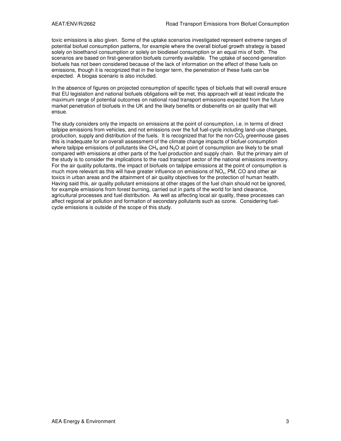toxic emissions is also given. Some of the uptake scenarios investigated represent extreme ranges of potential biofuel consumption patterns, for example where the overall biofuel growth strategy is based solely on bioethanol consumption or solely on biodiesel consumption or an equal mix of both. The scenarios are based on first-generation biofuels currently available. The uptake of second-generation biofuels has not been considered because of the lack of information on the effect of these fuels on emissions, though it is recognized that in the longer term, the penetration of these fuels can be expected. A biogas scenario is also included.

In the absence of figures on projected consumption of specific types of biofuels that will overall ensure that EU legislation and national biofuels obligations will be met, this approach will at least indicate the maximum range of potential outcomes on national road transport emissions expected from the future market penetration of biofuels in the UK and the likely benefits or disbenefits on air quality that will ensue.

The study considers only the impacts on emissions at the point of consumption, i.e. in terms of direct tailpipe emissions from vehicles, and not emissions over the full fuel-cycle including land-use changes, production, supply and distribution of the fuels. It is recognized that for the non- $CO<sub>2</sub>$  greenhouse gases this is inadequate for an overall assessment of the climate change impacts of biofuel consumption where tailpipe emissions of pollutants like  $CH_4$  and  $N_2O$  at point of consumption are likely to be small compared with emissions at other parts of the fuel production and supply chain. But the primary aim of the study is to consider the implications to the road transport sector of the national emissions inventory. For the air quality pollutants, the impact of biofuels on tailpipe emissions at the point of consumption is much more relevant as this will have greater influence on emissions of NO $_{\rm x}$ , PM, CO and other air toxics in urban areas and the attainment of air quality objectives for the protection of human health. Having said this, air quality pollutant emissions at other stages of the fuel chain should not be ignored, for example emissions from forest burning, carried out in parts of the world for land clearance, agricultural processes and fuel distribution. As well as affecting local air quality, these processes can affect regional air pollution and formation of secondary pollutants such as ozone. Considering fuelcycle emissions is outside of the scope of this study.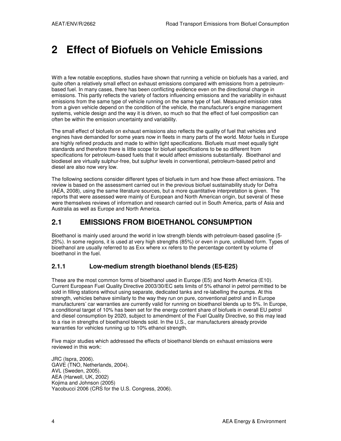# **2 Effect of Biofuels on Vehicle Emissions**

With a few notable exceptions, studies have shown that running a vehicle on biofuels has a varied, and quite often a relatively small effect on exhaust emissions compared with emissions from a petroleumbased fuel. In many cases, there has been conflicting evidence even on the directional change in emissions. This partly reflects the variety of factors influencing emissions and the variability in exhaust emissions from the same type of vehicle running on the same type of fuel. Measured emission rates from a given vehicle depend on the condition of the vehicle, the manufacturer's engine management systems, vehicle design and the way it is driven, so much so that the effect of fuel composition can often be within the emission uncertainty and variability.

The small effect of biofuels on exhaust emissions also reflects the quality of fuel that vehicles and engines have demanded for some years now in fleets in many parts of the world. Motor fuels in Europe are highly refined products and made to within tight specifications. Biofuels must meet equally tight standards and therefore there is little scope for biofuel specifications to be so different from specifications for petroleum-based fuels that it would affect emissions substantially. Bioethanol and biodiesel are virtually sulphur-free, but sulphur levels in conventional, petroleum-based petrol and diesel are also now very low.

The following sections consider different types of biofuels in turn and how these affect emissions. The review is based on the assessment carried out in the previous biofuel sustainability study for Defra (AEA, 2008), using the same literature sources, but a more quantitative interpretation is given. The reports that were assessed were mainly of European and North American origin, but several of these were themselves reviews of information and research carried out in South America, parts of Asia and Australia as well as Europe and North America.

## **2.1 EMISSIONS FROM BIOETHANOL CONSUMPTION**

Bioethanol is mainly used around the world in low strength blends with petroleum-based gasoline (5- 25%). In some regions, it is used at very high strengths (85%) or even in pure, undiluted form. Types of bioethanol are usually referred to as Exx where xx refers to the percentage content by volume of bioethanol in the fuel.

## **2.1.1 Low-medium strength bioethanol blends (E5-E25)**

These are the most common forms of bioethanol used in Europe (E5) and North America (E10). Current European Fuel Quality Directive 2003/30/EC sets limits of 5% ethanol in petrol permitted to be sold in filling stations without using separate, dedicated tanks and re-labelling the pumps. At this strength, vehicles behave similarly to the way they run on pure, conventional petrol and in Europe manufacturers' car warranties are currently valid for running on bioethanol blends up to 5%. In Europe, a conditional target of 10% has been set for the energy content share of biofuels in overall EU petrol and diesel consumption by 2020, subject to amendment of the Fuel Quality Directive, so this may lead to a rise in strengths of bioethanol blends sold. In the U.S., car manufacturers already provide warranties for vehicles running up to 10% ethanol strength.

Five major studies which addressed the effects of bioethanol blends on exhaust emissions were reviewed in this work:

JRC (Ispra, 2006). GAVE (TNO, Netherlands, 2004). AVL (Sweden, 2005). AEA (Harwell, UK, 2002) Kojima and Johnson (2005) Yacobucci 2006 (CRS for the U.S. Congress, 2006).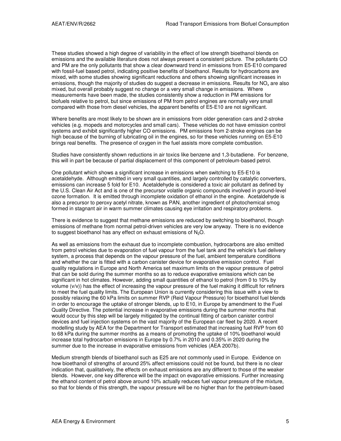These studies showed a high degree of variability in the effect of low strength bioethanol blends on emissions and the available literature does not always present a consistent picture. The pollutants CO and PM are the only pollutants that show a clear downward trend in emissions from E5-E10 compared with fossil-fuel based petrol, indicating positive benefits of bioethanol. Results for hydrocarbons are mixed, with some studies showing significant reductions and others showing significant increases in emissions, though the majority of studies do suggest a decrease in emissions. Results for NO<sub>x</sub> are also mixed, but overall probably suggest no change or a very small change in emissions. Where measurements have been made, the studies consistently show a reduction in PM emissions for biofuels relative to petrol, but since emissions of PM from petrol engines are normally very small compared with those from diesel vehicles, the apparent benefits of E5-E10 are not significant.

Where benefits are most likely to be shown are in emissions from older generation cars and 2-stroke vehicles (e.g. mopeds and motorcycles and small cars). These vehicles do not have emission control systems and exhibit significantly higher CO emissions. PM emissions from 2-stroke engines can be high because of the burning of lubricating oil in the engines, so for these vehicles running on E5-E10 brings real benefits. The presence of oxygen in the fuel assists more complete combustion.

Studies have consistently shown reductions in air toxics like benzene and 1,3-butadiene. For benzene, this will in part be because of partial displacement of this component of petroleum-based petrol.

One pollutant which shows a significant increase in emissions when switching to E5-E10 is acetaldehyde. Although emitted in very small quantities, and largely controlled by catalytic converters, emissions can increase 5 fold for E10. Acetaldehyde is considered a toxic air pollutant as defined by the U.S. Clean Air Act and is one of the precursor volatile organic compounds involved in ground-level ozone formation. It is emitted through incomplete oxidation of ethanol in the engine. Acetaldehyde is also a precursor to peroxy acetyl nitrate, known as PAN, another ingredient of photochemical smog formed in stagnant air in warm summer climates causing eye irritation and respiratory problems.

There is evidence to suggest that methane emissions are reduced by switching to bioethanol, though emissions of methane from normal petrol-driven vehicles are very low anyway. There is no evidence to suggest bioethanol has any effect on exhaust emissions of  $N<sub>2</sub>O$ .

As well as emissions from the exhaust due to incomplete combustion, hydrocarbons are also emitted from petrol vehicles due to evaporation of fuel vapour from the fuel tank and the vehicle's fuel delivery system, a process that depends on the vapour pressure of the fuel, ambient temperature conditions and whether the car is fitted with a carbon canister device for evaporative emission control. Fuel quality regulations in Europe and North America set maximum limits on the vapour pressure of petrol that can be sold during the summer months so as to reduce evaporative emissions which can be significant in hot climates. However, adding small quantities of ethanol to petrol (from 0 to 10% by volume (v/v)) has the effect of increasing the vapour pressure of the fuel making it difficult for refiners to meet the fuel quality limits. The European Union is currently considering this issue with a view to possibly relaxing the 60 kPa limits on summer RVP (Reid Vapour Pressure) for bioethanol fuel blends in order to encourage the uptake of stronger blends, up to E10, in Europe by amendment to the Fuel Quality Directive. The potential increase in evaporative emissions during the summer months that would occur by this step will be largely mitigated by the continual fitting of carbon canister control devices and fuel injection systems on the vast majority of the European car fleet by 2020. A recent modelling study by AEA for the Department for Transport estimated that increasing fuel RVP from 60 to 68 kPa during the summer months as a means of promoting the uptake of 10% bioethanol would increase total hydrocarbon emissions in Europe by 0.7% in 2010 and 0.35% in 2020 during the summer due to the increase in evaporative emissions from vehicles (AEA 2007b).

Medium strength blends of bioethanol such as E25 are not commonly used in Europe. Evidence on how bioethanol of strengths of around 25% affect emissions could not be found, but there is no clear indication that, qualitatively, the effects on exhaust emissions are any different to those of the weaker blends. However, one key difference will be the impact on evaporative emissions. Further increasing the ethanol content of petrol above around 10% actually reduces fuel vapour pressure of the mixture, so that for blends of this strength, the vapour pressure will be no higher than for the petroleum-based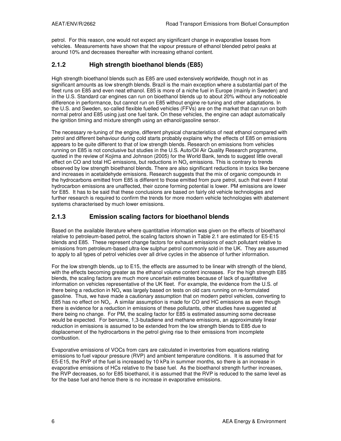petrol. For this reason, one would not expect any significant change in evaporative losses from vehicles. Measurements have shown that the vapour pressure of ethanol blended petrol peaks at around 10% and decreases thereafter with increasing ethanol content.

## **2.1.2 High strength bioethanol blends (E85)**

High strength bioethanol blends such as E85 are used extensively worldwide, though not in as significant amounts as low strength blends. Brazil is the main exception where a substantial part of the fleet runs on E85 and even neat ethanol. E85 is more of a niche fuel in Europe (mainly in Sweden) and in the U.S. Standard car engines can run on bioethanol blends up to about 20% without any noticeable difference in performance, but cannot run on E85 without engine re-tuning and other adaptations. In the U.S. and Sweden, so-called flexible fuelled vehicles (FFVs) are on the market that can run on both normal petrol and E85 using just one fuel tank. On these vehicles, the engine can adapt automatically the ignition timing and mixture strength using an ethanol/gasoline sensor.

The necessary re-tuning of the engine, different physical characteristics of neat ethanol compared with petrol and different behaviour during cold starts probably explains why the effects of E85 on emissions appears to be quite different to that of low strength blends. Research on emissions from vehicles running on E85 is not conclusive but studies in the U.S. Auto/Oil Air Quality Research programme, quoted in the review of Kojima and Johnson (2005) for the World Bank, tends to suggest little overall effect on CO and total HC emissions, but reductions in NO<sub>x</sub> emissions. This is contrary to trends observed by low strength bioethanol blends. There are also significant reductions in toxics like benzene and increases in acetaldehyde emissions. Research suggests that the mix of organic compounds in the hydrocarbons emitted from E85 is different to those emitted from pure petrol, such that even if total hydrocarbon emissions are unaffected, their ozone forming potential is lower. PM emissions are lower for E85. It has to be said that these conclusions are based on fairly old vehicle technologies and further research is required to confirm the trends for more modern vehicle technologies with abatement systems characterised by much lower emissions.

## **2.1.3 Emission scaling factors for bioethanol blends**

Based on the available literature where quantitative information was given on the effects of bioethanol relative to petroleum-based petrol, the scaling factors shown in Table 2.1 are estimated for E5-E15 blends and E85. These represent change factors for exhaust emissions of each pollutant relative to emissions from petroleum-based ultra-low sulphur petrol commonly sold in the UK. They are assumed to apply to all types of petrol vehicles over all drive cycles in the absence of further information.

For the low strength blends, up to E15, the effects are assumed to be linear with strength of the blend, with the effects becoming greater as the ethanol volume content increases. For the high strength E85 blends, the scaling factors are much more uncertain estimates because of lack of quantitative information on vehicles representative of the UK fleet. For example, the evidence from the U.S. of there being a reduction in  $NO<sub>x</sub>$  was largely based on tests on old cars running on re-formulated gasoline. Thus, we have made a cautionary assumption that on modern petrol vehicles, converting to E85 has no effect on NO<sub>x</sub>. A similar assumption is made for CO and HC emissions as even though there is evidence for a reduction in emissions of these pollutants, other studies have suggested at there being no change. For PM, the scaling factor for E85 is estimated assuming some decrease would be expected. For benzene, 1,3-butadiene and methane emissions, an approximately linear reduction in emissions is assumed to be extended from the low strength blends to E85 due to displacement of the hydrocarbons in the petrol giving rise to their emissions from incomplete combustion.

Evaporative emissions of VOCs from cars are calculated in inventories from equations relating emissions to fuel vapour pressure (RVP) and ambient temperature conditions. It is assumed that for E5-E15, the RVP of the fuel is increased by 10 kPa in summer months, so there is an increase in evaporative emissions of HCs relative to the base fuel. As the bioethanol strength further increases, the RVP decreases, so for E85 bioethanol, it is assumed that the RVP is reduced to the same level as for the base fuel and hence there is no increase in evaporative emissions.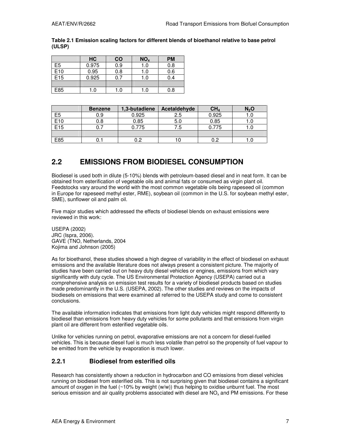|     | HC    | <b>CO</b>        | NO <sub>x</sub>  | <b>PM</b> |
|-----|-------|------------------|------------------|-----------|
| E5  | 0.975 | $\overline{0.9}$ | $\overline{1.0}$ | 0.8       |
| E10 | 0.95  | 0.8              | 1.0              | 0.6       |
| E15 | 0.925 | 0.7              | 1.0              | 0.4       |
|     |       |                  |                  |           |
| E85 | .0    | 1.0              | 1.0              | 0.8       |

#### **Table 2.1 Emission scaling factors for different blends of bioethanol relative to base petrol (ULSP)**

|                 | <b>Benzene</b> | 1,3-butadiene | Acetaldehyde | CH <sub>4</sub> | $N_2$ O |
|-----------------|----------------|---------------|--------------|-----------------|---------|
| E <sub>5</sub>  | 0.9            | 0.925         | 2.5          | 0.925           |         |
| E <sub>10</sub> | 0.8            | 0.85          | 5.0          | 0.85            |         |
| E <sub>15</sub> |                | 0.775         | 7.5          | 0.775           |         |
|                 |                |               |              |                 |         |
| E85             | U.             |               | l U          |                 |         |

# **2.2 EMISSIONS FROM BIODIESEL CONSUMPTION**

Biodiesel is used both in dilute (5-10%) blends with petroleum-based diesel and in neat form. It can be obtained from esterification of vegetable oils and animal fats or consumed as virgin plant oil. Feedstocks vary around the world with the most common vegetable oils being rapeseed oil (common in Europe for rapeseed methyl ester, RME), soybean oil (common in the U.S. for soybean methyl ester, SME), sunflower oil and palm oil.

Five major studies which addressed the effects of biodiesel blends on exhaust emissions were reviewed in this work:

USEPA (2002) JRC (Ispra, 2006). GAVE (TNO, Netherlands, 2004 Kojima and Johnson (2005)

As for bioethanol, these studies showed a high degree of variability in the effect of biodiesel on exhaust emissions and the available literature does not always present a consistent picture. The majority of studies have been carried out on heavy duty diesel vehicles or engines, emissions from which vary significantly with duty cycle. The US Environmental Protection Agency (USEPA) carried out a comprehensive analysis on emission test results for a variety of biodiesel products based on studies made predominantly in the U.S. (USEPA, 2002). The other studies and reviews on the impacts of biodiesels on emissions that were examined all referred to the USEPA study and come to consistent conclusions.

The available information indicates that emissions from light duty vehicles might respond differently to biodiesel than emissions from heavy duty vehicles for some pollutants and that emissions from virgin plant oil are different from esterified vegetable oils.

Unlike for vehicles running on petrol, evaporative emissions are not a concern for diesel-fuelled vehicles. This is because diesel fuel is much less volatile than petrol so the propensity of fuel vapour to be emitted from the vehicle by evaporation is much lower.

## **2.2.1 Biodiesel from esterified oils**

Research has consistently shown a reduction in hydrocarbon and CO emissions from diesel vehicles running on biodiesel from esterified oils. This is not surprising given that biodiesel contains a significant amount of oxygen in the fuel (~10% by weight (w/w)) thus helping to oxidise unburnt fuel. The most serious emission and air quality problems associated with diesel are NO<sub>x</sub> and PM emissions. For these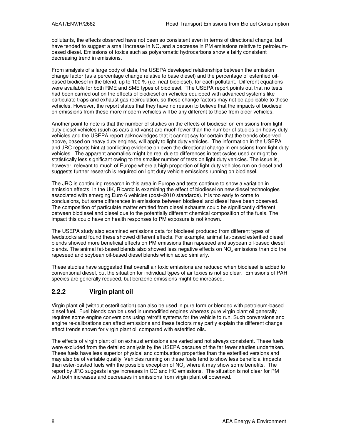pollutants, the effects observed have not been so consistent even in terms of directional change, but have tended to suggest a small increase in  $NO<sub>x</sub>$  and a decrease in PM emissions relative to petroleumbased diesel. Emissions of toxics such as polyaromatic hydrocarbons show a fairly consistent decreasing trend in emissions.

From analysis of a large body of data, the USEPA developed relationships between the emission change factor (as a percentage change relative to base diesel) and the percentage of esterified oilbased biodiesel in the blend, up to 100 % (i.e. neat biodiesel), for each pollutant. Different equations were available for both RME and SME types of biodiesel. The USEPA report points out that no tests had been carried out on the effects of biodiesel on vehicles equipped with advanced systems like particulate traps and exhaust gas recirculation, so these change factors may not be applicable to these vehicles. However, the report states that they have no reason to believe that the impacts of biodiesel on emissions from these more modern vehicles will be any different to those from older vehicles.

Another point to note is that the number of studies on the effects of biodiesel on emissions from light duty diesel vehicles (such as cars and vans) are much fewer than the number of studies on heavy duty vehicles and the USEPA report acknowledges that it cannot say for certain that the trends observed above, based on heavy duty engines, will apply to light duty vehicles. The information in the USEPA and JRC reports hint at conflicting evidence on even the directional change in emissions from light duty vehicles. The apparent anomalies might be real due to differences in test cycles used or might be statistically less significant owing to the smaller number of tests on light duty vehicles. The issue is, however, relevant to much of Europe where a high proportion of light duty vehicles run on diesel and suggests further research is required on light duty vehicle emissions running on biodiesel.

The JRC is continuing research in this area in Europe and tests continue to show a variation in emission effects. In the UK, Ricardo is examining the effect of biodiesel on new diesel technologies associated with emerging Euro 6 vehicles (post–2010 standards). It is too early to come to conclusions, but some differences in emissions between biodiesel and diesel have been observed. The composition of particulate matter emitted from diesel exhausts could be significantly different between biodiesel and diesel due to the potentially different chemical composition of the fuels. The impact this could have on health responses to PM exposure is not known.

The USEPA study also examined emissions data for biodiesel produced from different types of feedstocks and found these showed different effects. For example, animal fat-based esterified diesel blends showed more beneficial effects on PM emissions than rapeseed and soybean oil-based diesel blends. The animal fat-based blends also showed less negative effects on NO<sub>x</sub> emissions than did the rapeseed and soybean oil-based diesel blends which acted similarly.

These studies have suggested that overall air toxic emissions are reduced when biodiesel is added to conventional diesel, but the situation for individual types of air toxics is not so clear. Emissions of PAH species are generally reduced, but benzene emissions might be increased.

## **2.2.2 Virgin plant oil**

Virgin plant oil (without esterification) can also be used in pure form or blended with petroleum-based diesel fuel. Fuel blends can be used in unmodified engines whereas pure virgin plant oil generally requires some engine conversions using retrofit systems for the vehicle to run. Such conversions and engine re-calibrations can affect emissions and these factors may partly explain the different change effect trends shown for virgin plant oil compared with esterified oils.

The effects of virgin plant oil on exhaust emissions are varied and not always consistent. These fuels were excluded from the detailed analysis by the USEPA because of the far fewer studies undertaken. These fuels have less superior physical and combustion properties than the esterified versions and may also be of variable quality. Vehicles running on these fuels tend to show less beneficial impacts than ester-basted fuels with the possible exception of NO<sub>x</sub> where it may show some benefits. The report by JRC suggests large increases in CO and HC emissions. The situation is not clear for PM with both increases and decreases in emissions from virgin plant oil observed.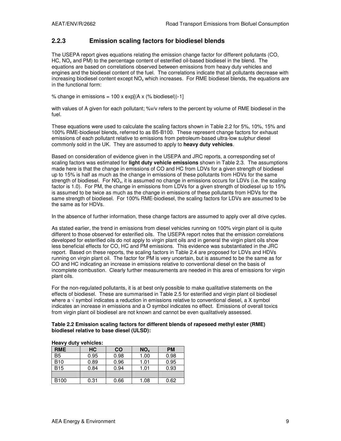### **2.2.3 Emission scaling factors for biodiesel blends**

The USEPA report gives equations relating the emission change factor for different pollutants (CO, HC,  $NO<sub>x</sub>$  and PM) to the percentage content of esterified oil-based biodiesel in the blend. The equations are based on correlations observed between emissions from heavy duty vehicles and engines and the biodiesel content of the fuel. The correlations indicate that all pollutants decrease with increasing biodiesel content except  $NO<sub>x</sub>$  which increases. For RME biodiesel blends, the equations are in the functional form:

% change in emissions =  $100 \times \exp[(A \times (% \text{ biodesel})) - 1]$ 

with values of A given for each pollutant; %v/v refers to the percent by volume of RME biodiesel in the fuel.

These equations were used to calculate the scaling factors shown in Table 2.2 for 5%, 10%, 15% and 100% RME-biodiesel blends, referred to as B5-B100. These represent change factors for exhaust emissions of each pollutant relative to emissions from petroleum-based ultra-low sulphur diesel commonly sold in the UK. They are assumed to apply to **heavy duty vehicles**.

Based on consideration of evidence given in the USEPA and JRC reports, a corresponding set of scaling factors was estimated for **light duty vehicle emissions** shown in Table 2.3. The assumptions made here is that the change in emissions of CO and HC from LDVs for a given strength of biodiesel up to 15% is half as much as the change in emissions of these pollutants from HDVs for the same strength of biodiesel. For NO $_{\rm x}$  it is assumed no change in emissions occurs for LDVs (i.e. the scaling factor is 1.0). For PM, the change in emissions from LDVs for a given strength of biodiesel up to 15% is assumed to be twice as much as the change in emissions of these pollutants from HDVs for the same strength of biodiesel. For 100% RME-biodiesel, the scaling factors for LDVs are assumed to be the same as for HDVs.

In the absence of further information, these change factors are assumed to apply over all drive cycles.

As stated earlier, the trend in emissions from diesel vehicles running on 100% virgin plant oil is quite different to those observed for esterified oils. The USEPA report notes that the emission correlations developed for esterified oils do not apply to virgin plant oils and in general the virgin plant oils show less beneficial effects for CO, HC and PM emissions. This evidence was substantiated in the JRC report. Based on these reports, the scaling factors in Table 2.4 are proposed for LDVs and HDVs running on virgin plant oil. The factor for PM is very uncertain, but is assumed to be the same as for CO and HC indicating an increase in emissions relative to conventional diesel on the basis of incomplete combustion. Clearly further measurements are needed in this area of emissions for virgin plant oils.

For the non-regulated pollutants, it is at best only possible to make qualitative statements on the effects of biodiesel. These are summarised in Table 2.5 for esterified and virgin plant oil biodiesel where a  $\sqrt{ }$  symbol indicates a reduction in emissions relative to conventional diesel, a X symbol indicates an increase in emissions and a O symbol indicates no effect. Emissions of overall toxics from virgin plant oil biodiesel are not known and cannot be even qualitatively assessed.

#### **Table 2.2 Emission scaling factors for different blends of rapeseed methyl ester (RME) biodiesel relative to base diesel (ULSD):**

|                  | <b>HEAVY QUILY VEILICIES.</b> |           |                 |           |  |  |  |
|------------------|-------------------------------|-----------|-----------------|-----------|--|--|--|
| <b>RME</b>       | HC                            | <b>CO</b> | NO <sub>x</sub> | <b>PM</b> |  |  |  |
| B <sub>5</sub>   | 0.95                          | 0.98      | 1.00            | 0.98      |  |  |  |
| <b>B10</b>       | 0.89                          | 0.96      | 1.01            | 0.95      |  |  |  |
| <b>B15</b>       | 0.84                          | 0.94      | 1.01            | 0.93      |  |  |  |
|                  |                               |           |                 |           |  |  |  |
| B <sub>100</sub> | 0.31                          | 0.66      | 1.08            | 0.62      |  |  |  |

#### **Heavy duty vehicles:**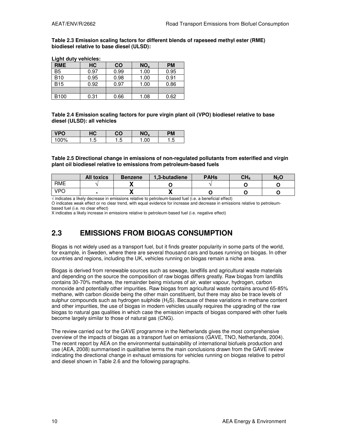**Light duty vehicles:** 

**Table 2.3 Emission scaling factors for different blends of rapeseed methyl ester (RME) biodiesel relative to base diesel (ULSD):** 

| Light duty verlicles: |      |           |                 |           |  |  |
|-----------------------|------|-----------|-----------------|-----------|--|--|
| <b>RME</b>            | HC   | <b>CO</b> | NO <sub>x</sub> | <b>PM</b> |  |  |
| B <sub>5</sub>        | 0.97 | 0.99      | 1.00            | 0.95      |  |  |
| <b>B10</b>            | 0.95 | 0.98      | 1.00            | 0.91      |  |  |
| <b>B15</b>            | 0.92 | 0.97      | 1.00            | 0.86      |  |  |
|                       |      |           |                 |           |  |  |
| B <sub>100</sub>      | 0.31 | 0.66      | 1.08            | 0.62      |  |  |

## **Table 2.4 Emission scaling factors for pure virgin plant oil (VPO) biodiesel relative to base diesel (ULSD): all vehicles**

| <b>VDO</b> | HС   | NΩ<br>ЭО<br>$\boldsymbol{\mathcal{L}}$ |          | PМ         |
|------------|------|----------------------------------------|----------|------------|
| 00%        | r. I | ∽<br>ں.،                               | $.00 \,$ | ∽<br>. . ب |

#### **Table 2.5 Directional change in emissions of non-regulated pollutants from esterified and virgin plant oil biodiesel relative to emissions from petroleum-based fuels**

|            | All toxics | <b>Benzene</b> | 1,3-butadiene | <b>PAHs</b> | CH4 | $N_2O$ |
|------------|------------|----------------|---------------|-------------|-----|--------|
| <b>RME</b> |            | ,,             |               |             |     |        |
| <b>VPC</b> |            |                |               |             |     |        |

√ indicates a likely decrease in emissions relative to petroleum-based fuel (i.e. a beneficial effect)

O indicates weak effect or no clear trend, with equal evidence for increase and decrease in emissions relative to petroleumbased fuel (i.e. no clear effect)

X indicates a likely increase in emissions relative to petroleum-based fuel (i.e. negative effect)

# **2.3 EMISSIONS FROM BIOGAS CONSUMPTION**

Biogas is not widely used as a transport fuel, but it finds greater popularity in some parts of the world, for example, in Sweden, where there are several thousand cars and buses running on biogas. In other countries and regions, including the UK, vehicles running on biogas remain a niche area.

Biogas is derived from renewable sources such as sewage, landfills and agricultural waste materials and depending on the source the composition of raw biogas differs greatly. Raw biogas from landfills contains 30-70% methane, the remainder being mixtures of air, water vapour, hydrogen, carbon monoxide and potentially other impurities. Raw biogas from agricultural waste contains around 65-85% methane, with carbon dioxide being the other main constituent, but there may also be trace levels of sulphur compounds such as hydrogen sulphide  $(H<sub>2</sub>S)$ . Because of these variations in methane content and other impurities, the use of biogas in modern vehicles usually requires the upgrading of the raw biogas to natural gas qualities in which case the emission impacts of biogas compared with other fuels become largely similar to those of natural gas (CNG).

The review carried out for the GAVE programme in the Netherlands gives the most comprehensive overview of the impacts of biogas as a transport fuel on emissions (GAVE, TNO, Netherlands, 2004). The recent report by AEA on the environmental sustainability of international biofuels production and use (AEA, 2008) summarised in qualitative terms the main conclusions drawn from the GAVE review indicating the directional change in exhaust emissions for vehicles running on biogas relative to petrol and diesel shown in Table 2.6 and the following paragraphs.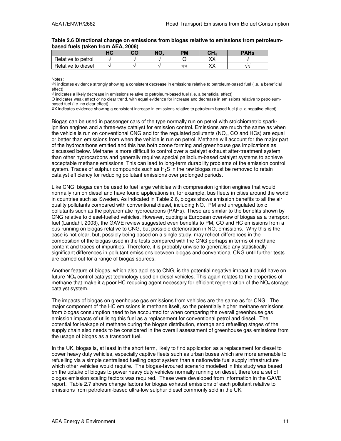|                    | $\sqrt{2}$<br>טר | CO | NO, | РM | <b>NU</b><br>П4 | <b>PAHs</b> |
|--------------------|------------------|----|-----|----|-----------------|-------------|
| Relative to petrol |                  |    |     |    | w<br>灬          |             |
| Relative to diesel |                  |    |     | .  | w<br>灬          |             |

#### **Table 2.6 Directional change on emissions from biogas relative to emissions from petroleumbased fuels (taken from AEA, 2008)**

Notes:

√√ indicates evidence strongly showing a consistent decrease in emissions relative to petroleum-based fuel (i.e. a beneficial effect)

 $\sqrt$  indicates a likely decrease in emissions relative to petroleum-based fuel (i.e. a beneficial effect)

O indicates weak effect or no clear trend, with equal evidence for increase and decrease in emissions relative to petroleumbased fuel (i.e. no clear effect)

XX indicates evidence showing a consistent increase in emissions relative to petroleum-based fuel (i.e. a negative effect)

Biogas can be used in passenger cars of the type normally run on petrol with stoichiometric sparkignition engines and a three-way catalyst for emission control. Emissions are much the same as when the vehicle is run on conventional CNG and for the regulated pollutants (NO $_{\rm x}$ , CO and HCs) are equal or better than emissions from when the vehicle is run on petrol. Methane will account for the major part of the hydrocarbons emitted and this has both ozone forming and greenhouse gas implications as discussed below. Methane is more difficult to control over a catalyst exhaust after-treatment system than other hydrocarbons and generally requires special palladium-based catalyst systems to achieve acceptable methane emissions. This can lead to long-term durability problems of the emission control system. Traces of sulphur compounds such as  $H<sub>2</sub>S$  in the raw biogas must be removed to retain catalyst efficiency for reducing pollutant emissions over prolonged periods.

Like CNG, biogas can be used to fuel large vehicles with compression ignition engines that would normally run on diesel and have found applications in, for example, bus fleets in cities around the world in countries such as Sweden. As indicated in Table 2.6, biogas shows emission benefits to all the air quality pollutants compared with conventional diesel, including NO $_{\sf x}$ , PM and unregulated toxic pollutants such as the polyaromatic hydrocarbons (PAHs). These are similar to the benefits shown by CNG relative to diesel-fuelled vehicles. However, quoting a European overview of biogas as a transport fuel (Landahl, 2003), the GAVE review suggested even benefits to PM, CO and HC emissions from a bus running on biogas relative to CNG, but possible deterioration in NO<sub>x</sub> emissions. Why this is the case is not clear, but, possibly being based on a single study, may reflect differences in the composition of the biogas used in the tests compared with the CNG perhaps in terms of methane content and traces of impurities. Therefore, it is probably unwise to generalise any statistically significant differences in pollutant emissions between biogas and conventional CNG until further tests are carried out for a range of biogas sources.

Another feature of biogas, which also applies to CNG, is the potential negative impact it could have on future NO<sub>x</sub> control catalyst technology used on diesel vehicles. This again relates to the properties of methane that make it a poor HC reducing agent necessary for efficient regeneration of the NO<sub>x</sub> storage catalyst system.

The impacts of biogas on greenhouse gas emissions from vehicles are the same as for CNG. The major component of the HC emissions is methane itself, so the potentially higher methane emissions from biogas consumption need to be accounted for when comparing the overall greenhouse gas emission impacts of utilising this fuel as a replacement for conventional petrol and diesel. The potential for leakage of methane during the biogas distribution, storage and refuelling stages of the supply chain also needs to be considered in the overall assessment of greenhouse gas emissions from the usage of biogas as a transport fuel.

In the UK, biogas is, at least in the short term, likely to find application as a replacement for diesel to power heavy duty vehicles, especially captive fleets such as urban buses which are more amenable to refuelling via a simple centralised fuelling depot system than a nationwide fuel supply infrastructure which other vehicles would require. The biogas-favoured scenario modelled in this study was based on the uptake of biogas to power heavy duty vehicles normally running on diesel, therefore a set of biogas emission scaling factors was required. These were developed from information in the GAVE report. Table 2.7 shows change factors for biogas exhaust emissions of each pollutant relative to emissions from petroleum-based ultra-low sulphur diesel commonly sold in the UK.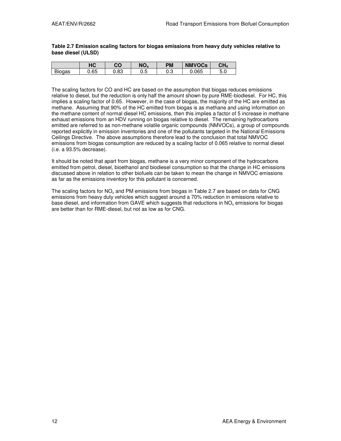#### **Table 2.7 Emission scaling factors for biogas emissions from heavy duty vehicles relative to base diesel (ULSD)**

|              | ப்<br>лv | rn.<br>U  | NO.      | PМ        | <b>NMVOCs</b> | CH <sub>4</sub>                      |
|--------------|----------|-----------|----------|-----------|---------------|--------------------------------------|
| n.<br>Biogas | 0.65     | റ<br>∪.oა | Б<br>∪.∪ | ົດ<br>∪.∪ | .065          | ∽<br>$\overline{\phantom{0}}$<br>J.U |

The scaling factors for CO and HC are based on the assumption that biogas reduces emissions relative to diesel, but the reduction is only half the amount shown by pure RME-biodiesel. For HC, this implies a scaling factor of 0.65. However, in the case of biogas, the majority of the HC are emitted as methane. Assuming that 90% of the HC emitted from biogas is as methane and using information on the methane content of normal diesel HC emissions, then this implies a factor of 5 increase in methane exhaust emissions from an HDV running on biogas relative to diesel. The remaining hydrocarbons emitted are referred to as non-methane volatile organic compounds (NMVOCs), a group of compounds reported explicitly in emission inventories and one of the pollutants targeted in the National Emissions Ceilings Directive. The above assumptions therefore lead to the conclusion that total NMVOC emissions from biogas consumption are reduced by a scaling factor of 0.065 relative to normal diesel (i.e. a 93.5% decrease).

It should be noted that apart from biogas, methane is a very minor component of the hydrocarbons emitted from petrol, diesel, bioethanol and biodiesel consumption so that the change in HC emissions discussed above in relation to other biofuels can be taken to mean the change in NMVOC emissions as far as the emissions inventory for this pollutant is concerned.

The scaling factors for NO<sub>x</sub> and PM emissions from biogas in Table 2.7 are based on data for CNG emissions from heavy duty vehicles which suggest around a 70% reduction in emissions relative to base diesel, and information from GAVE which suggests that reductions in NO<sub>x</sub> emissions for biogas are better than for RME-diesel, but not as low as for CNG.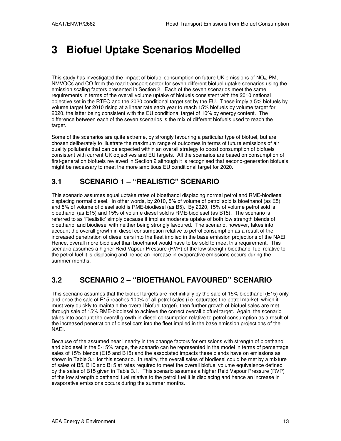# **3 Biofuel Uptake Scenarios Modelled**

This study has investigated the impact of biofuel consumption on future UK emissions of  $NO<sub>x</sub>$ , PM, NMVOCs and CO from the road transport sector for seven different biofuel uptake scenarios using the emission scaling factors presented in Section 2. Each of the seven scenarios meet the same requirements in terms of the overall volume uptake of biofuels consistent with the 2010 national objective set in the RTFO and the 2020 conditional target set by the EU. These imply a 5% biofuels by volume target for 2010 rising at a linear rate each year to reach 15% biofuels by volume target for 2020, the latter being consistent with the EU conditional target of 10% by energy content. The difference between each of the seven scenarios is the mix of different biofuels used to reach the target.

Some of the scenarios are quite extreme, by strongly favouring a particular type of biofuel, but are chosen deliberately to illustrate the maximum range of outcomes in terms of future emissions of air quality pollutants that can be expected within an overall strategy to boost consumption of biofuels consistent with current UK objectives and EU targets. All the scenarios are based on consumption of first-generation biofuels reviewed in Section 2 although it is recognised that second-generation biofuels might be necessary to meet the more ambitious EU conditional target for 2020.

# **3.1 SCENARIO 1 – "REALISTIC" SCENARIO**

This scenario assumes equal uptake rates of bioethanol displacing normal petrol and RME-biodiesel displacing normal diesel. In other words, by 2010, 5% of volume of petrol sold is bioethanol (as E5) and 5% of volume of diesel sold is RME-biodiesel (as B5). By 2020, 15% of volume petrol sold is bioethanol (as E15) and 15% of volume diesel sold is RME-biodiesel (as B15). The scenario is referred to as 'Realistic' simply because it implies moderate uptake of both low strength blends of bioethanol and biodiesel with neither being strongly favoured. The scenario, however, takes into account the overall growth in diesel consumption relative to petrol consumption as a result of the increased penetration of diesel cars into the fleet implied in the base emission projections of the NAEI. Hence, overall more biodiesel than bioethanol would have to be sold to meet this requirement. This scenario assumes a higher Reid Vapour Pressure (RVP) of the low strength bioethanol fuel relative to the petrol fuel it is displacing and hence an increase in evaporative emissions occurs during the summer months.

# **3.2 SCENARIO 2 – "BIOETHANOL FAVOURED" SCENARIO**

This scenario assumes that the biofuel targets are met initially by the sale of 15% bioethanol (E15) only and once the sale of E15 reaches 100% of all petrol sales (i.e. saturates the petrol market, which it must very quickly to maintain the overall biofuel target), then further growth of biofuel sales are met through sale of 15% RME-biodiesel to achieve the correct overall biofuel target. Again, the scenario takes into account the overall growth in diesel consumption relative to petrol consumption as a result of the increased penetration of diesel cars into the fleet implied in the base emission projections of the NAEI.

Because of the assumed near linearity in the change factors for emissions with strength of bioethanol and biodiesel in the 5-15% range, the scenario can be represented in the model in terms of percentage sales of 15% blends (E15 and B15) and the associated impacts these blends have on emissions as shown in Table 3.1 for this scenario. In reality, the overall sales of biodiesel could be met by a mixture of sales of B5, B10 and B15 at rates required to meet the overall biofuel volume equivalence defined by the sales of B15 given in Table 3.1. This scenario assumes a higher Reid Vapour Pressure (RVP) of the low strength bioethanol fuel relative to the petrol fuel it is displacing and hence an increase in evaporative emissions occurs during the summer months.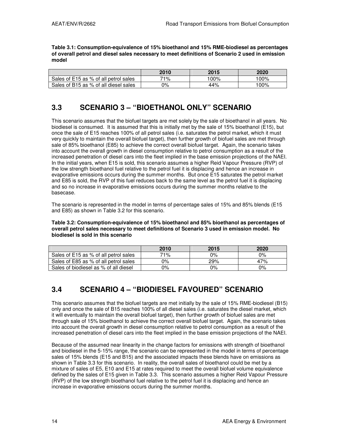**Table 3.1: Consumption-equivalence of 15% bioethanol and 15% RME-biodiesel as percentages of overall petrol and diesel sales necessary to meet definitions of Scenario 2 used in emission model** 

|                                       | 2010 | 2015 | 2020            |
|---------------------------------------|------|------|-----------------|
| Sales of E15 as % of all petrol sales | 71%  | '00% | $^{\prime}00\%$ |
| Sales of B15 as % of all diesel sales | 0%   | 44%  | $00\%$          |

# **3.3 SCENARIO 3 – "BIOETHANOL ONLY" SCENARIO**

This scenario assumes that the biofuel targets are met solely by the sale of bioethanol in all years. No biodiesel is consumed. It is assumed that this is initially met by the sale of 15% bioethanol (E15), but once the sale of E15 reaches 100% of all petrol sales (i.e. saturates the petrol market, which it must very quickly to maintain the overall biofuel target), then further growth of biofuel sales are met through sale of 85% bioethanol (E85) to achieve the correct overall biofuel target. Again, the scenario takes into account the overall growth in diesel consumption relative to petrol consumption as a result of the increased penetration of diesel cars into the fleet implied in the base emission projections of the NAEI. In the initial years, when E15 is sold, this scenario assumes a higher Reid Vapour Pressure (RVP) of the low strength bioethanol fuel relative to the petrol fuel it is displacing and hence an increase in evaporative emissions occurs during the summer months. But once E15 saturates the petrol market and E85 is sold, the RVP of this fuel reduces back to the same level as the petrol fuel it is displacing and so no increase in evaporative emissions occurs during the summer months relative to the basecase.

The scenario is represented in the model in terms of percentage sales of 15% and 85% blends (E15 and E85) as shown in Table 3.2 for this scenario.

#### **Table 3.2: Consumption-equivalence of 15% bioethanol and 85% bioethanol as percentages of overall petrol sales necessary to meet definitions of Scenario 3 used in emission model. No biodiesel is sold in this scenario**

|                                       | 2010 | 2015 | 2020  |
|---------------------------------------|------|------|-------|
| Sales of E15 as % of all petrol sales | 71%  | 0%   | $0\%$ |
| Sales of E85 as % of all petrol sales | 0%   | 29%  | 47%   |
| Sales of biodiesel as % of all diesel | 0%   | ገ%   | $0\%$ |

# **3.4 SCENARIO 4 – "BIODIESEL FAVOURED" SCENARIO**

This scenario assumes that the biofuel targets are met initially by the sale of 15% RME-biodiesel (B15) only and once the sale of B15 reaches 100% of all diesel sales (i.e. saturates the diesel market, which it will eventually to maintain the overall biofuel target), then further growth of biofuel sales are met through sale of 15% bioethanol to achieve the correct overall biofuel target. Again, the scenario takes into account the overall growth in diesel consumption relative to petrol consumption as a result of the increased penetration of diesel cars into the fleet implied in the base emission projections of the NAEI.

Because of the assumed near linearity in the change factors for emissions with strength of bioethanol and biodiesel in the 5-15% range, the scenario can be represented in the model in terms of percentage sales of 15% blends (E15 and B15) and the associated impacts these blends have on emissions as shown in Table 3.3 for this scenario. In reality, the overall sales of bioethanol could be met by a mixture of sales of E5, E10 and E15 at rates required to meet the overall biofuel volume equivalence defined by the sales of E15 given in Table 3.3. This scenario assumes a higher Reid Vapour Pressure (RVP) of the low strength bioethanol fuel relative to the petrol fuel it is displacing and hence an increase in evaporative emissions occurs during the summer months.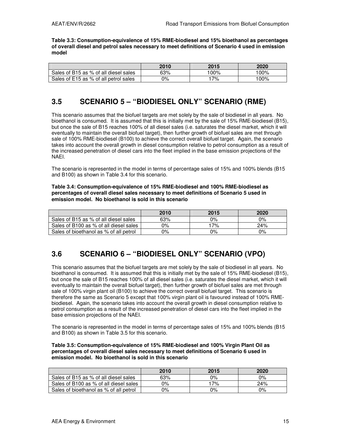**Table 3.3: Consumption-equivalence of 15% RME-biodiesel and 15% bioethanol as percentages of overall diesel and petrol sales necessary to meet definitions of Scenario 4 used in emission model** 

|                                       | 2010 | 2015 | 2020    |
|---------------------------------------|------|------|---------|
| Sales of B15 as % of all diesel sales | 63%  | 100% | $100\%$ |
| Sales of E15 as % of all petrol sales | 0%   | '7%  | '00%    |

# **3.5 SCENARIO 5 – "BIODIESEL ONLY" SCENARIO (RME)**

This scenario assumes that the biofuel targets are met solely by the sale of biodiesel in all years. No bioethanol is consumed. It is assumed that this is initially met by the sale of 15% RME-biodiesel (B15), but once the sale of B15 reaches 100% of all diesel sales (i.e. saturates the diesel market, which it will eventually to maintain the overall biofuel target), then further growth of biofuel sales are met through sale of 100% RME-biodiesel (B100) to achieve the correct overall biofuel target. Again, the scenario takes into account the overall growth in diesel consumption relative to petrol consumption as a result of the increased penetration of diesel cars into the fleet implied in the base emission projections of the NAEI.

The scenario is represented in the model in terms of percentage sales of 15% and 100% blends (B15 and B100) as shown in Table 3.4 for this scenario.

**Table 3.4: Consumption-equivalence of 15% RME-biodiesel and 100% RME-biodiesel as percentages of overall diesel sales necessary to meet definitions of Scenario 5 used in emission model. No bioethanol is sold in this scenario** 

|                                        | 2010 | 2015 | 2020  |
|----------------------------------------|------|------|-------|
| Sales of B15 as % of all diesel sales  | 63%  | ገ%   | $0\%$ |
| Sales of B100 as % of all diesel sales | 0%   | '7%  | 24%   |
| Sales of bioethanol as % of all petrol | 0%   | 0%   | $0\%$ |

# **3.6 SCENARIO 6 – "BIODIESEL ONLY" SCENARIO (VPO)**

This scenario assumes that the biofuel targets are met solely by the sale of biodiesel in all years. No bioethanol is consumed. It is assumed that this is initially met by the sale of 15% RME-biodiesel (B15), but once the sale of B15 reaches 100% of all diesel sales (i.e. saturates the diesel market, which it will eventually to maintain the overall biofuel target), then further growth of biofuel sales are met through sale of 100% virgin plant oil (B100) to achieve the correct overall biofuel target. This scenario is therefore the same as Scenario 5 except that 100% virgin plant oil is favoured instead of 100% RMEbiodiesel. Again, the scenario takes into account the overall growth in diesel consumption relative to petrol consumption as a result of the increased penetration of diesel cars into the fleet implied in the base emission projections of the NAEI.

The scenario is represented in the model in terms of percentage sales of 15% and 100% blends (B15 and B100) as shown in Table 3.5 for this scenario.

#### **Table 3.5: Consumption-equivalence of 15% RME-biodiesel and 100% Virgin Plant Oil as percentages of overall diesel sales necessary to meet definitions of Scenario 6 used in emission model. No bioethanol is sold in this scenario**

|                                        | 2010  | 2015 | 2020  |
|----------------------------------------|-------|------|-------|
| Sales of B15 as % of all diesel sales  | 63%   | 0%   | $0\%$ |
| Sales of B100 as % of all diesel sales | 0%    | 17%  | 24%   |
| Sales of bioethanol as % of all petrol | $0\%$ | 0%   | $0\%$ |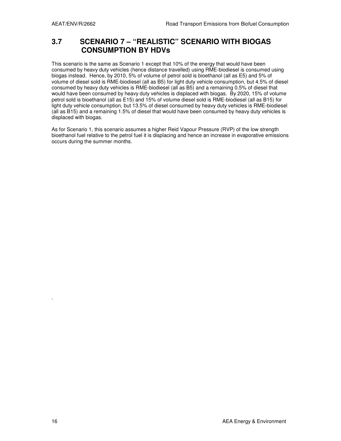# **3.7 SCENARIO 7 – "REALISTIC" SCENARIO WITH BIOGAS CONSUMPTION BY HDVs**

This scenario is the same as Scenario 1 except that 10% of the energy that would have been consumed by heavy duty vehicles (hence distance travelled) using RME-biodiesel is consumed using biogas instead. Hence, by 2010, 5% of volume of petrol sold is bioethanol (all as E5) and 5% of volume of diesel sold is RME-biodiesel (all as B5) for light duty vehicle consumption, but 4.5% of diesel consumed by heavy duty vehicles is RME-biodiesel (all as B5) and a remaining 0.5% of diesel that would have been consumed by heavy duty vehicles is displaced with biogas. By 2020, 15% of volume petrol sold is bioethanol (all as E15) and 15% of volume diesel sold is RME-biodiesel (all as B15) for light duty vehicle consumption, but 13.5% of diesel consumed by heavy duty vehicles is RME-biodiesel (all as B15) and a remaining 1.5% of diesel that would have been consumed by heavy duty vehicles is displaced with biogas.

As for Scenario 1, this scenario assumes a higher Reid Vapour Pressure (RVP) of the low strength bioethanol fuel relative to the petrol fuel it is displacing and hence an increase in evaporative emissions occurs during the summer months.

.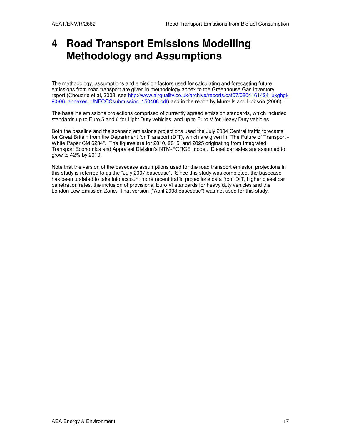# **4 Road Transport Emissions Modelling Methodology and Assumptions**

The methodology, assumptions and emission factors used for calculating and forecasting future emissions from road transport are given in methodology annex to the Greenhouse Gas Inventory report (Choudrie et al, 2008, see http://www.airquality.co.uk/archive/reports/cat07/0804161424\_ukghgi-90-06 annexes UNFCCCsubmission 150408.pdf) and in the report by Murrells and Hobson (2006).

The baseline emissions projections comprised of currently agreed emission standards, which included standards up to Euro 5 and 6 for Light Duty vehicles, and up to Euro V for Heavy Duty vehicles.

Both the baseline and the scenario emissions projections used the July 2004 Central traffic forecasts for Great Britain from the Department for Transport (DfT), which are given in "The Future of Transport - White Paper CM 6234". The figures are for 2010, 2015, and 2025 originating from Integrated Transport Economics and Appraisal Division's NTM-FORGE model. Diesel car sales are assumed to grow to 42% by 2010.

Note that the version of the basecase assumptions used for the road transport emission projections in this study is referred to as the "July 2007 basecase". Since this study was completed, the basecase has been updated to take into account more recent traffic projections data from DfT, higher diesel car penetration rates, the inclusion of provisional Euro VI standards for heavy duty vehicles and the London Low Emission Zone. That version ("April 2008 basecase") was not used for this study.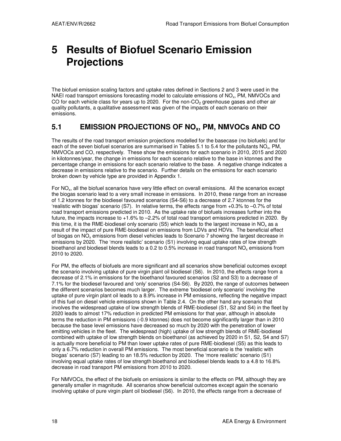# **5 Results of Biofuel Scenario Emission Projections**

The biofuel emission scaling factors and uptake rates defined in Sections 2 and 3 were used in the NAEI road transport emissions forecasting model to calculate emissions of NO<sub>x</sub>, PM, NMVOCs and CO for each vehicle class for years up to 2020. For the non-CO<sub>2</sub> greenhouse gases and other air quality pollutants, a qualitative assessment was given of the impacts of each scenario on their emissions.

# **5.1 EMISSION PROJECTIONS OF NOx, PM, NMVOCs AND CO**

The results of the road transport emission projections modelled for the basecase (no biofuels) and for each of the seven biofuel scenarios are summarised in Tables 5.1 to 5.4 for the pollutants NO<sub>x</sub>, PM, NMVOCs and CO, respectively. These show the emissions for each scenario in 2010, 2015 and 2020 in kilotonnes/year, the change in emissions for each scenario relative to the base in ktonnes and the percentage change in emissions for each scenario relative to the base. A negative change indicates a decrease in emissions relative to the scenario. Further details on the emissions for each scenario broken down by vehicle type are provided in Appendix 1.

For NO<sub>x</sub>, all the biofuel scenarios have very little effect on overall emissions. All the scenarios except the biogas scenario lead to a very small increase in emissions. In 2010, these range from an increase of 1.2 ktonnes for the biodiesel favoured scenarios (S4-S6) to a decrease of 2.7 ktonnes for the 'realistic with biogas' scenario (S7). In relative terms, the effects range from +0.3% to –0.7% of total road transport emissions predicted in 2010. As the uptake rate of biofuels increases further into the future, the impacts increase to +1.6% to –2.2% of total road transport emissions predicted in 2020. By this time, it is the RME-biodiesel only scenario (S5) which leads to the largest increase in  $NO<sub>x</sub>$  as a result of the impact of pure RME-biodiesel on emissions from LDVs and HDVs. The beneficial effect of biogas on NO $_\mathrm{x}$  emissions from diesel vehicles leads to Scenario 7 showing the largest decrease in emissions by 2020. The 'more realistic' scenario (S1) involving equal uptake rates of low strength bioethanol and biodiesel blends leads to a 0.2 to 0.5% increase in road transport NO<sub>x</sub> emissions from 2010 to 2020.

For PM, the effects of biofuels are more significant and all scenarios show beneficial outcomes except the scenario involving uptake of pure virgin plant oil biodiesel (S6). In 2010, the effects range from a decrease of 2.1% in emissions for the bioethanol favoured scenarios (S2 and S3) to a decrease of 7.1% for the biodiesel favoured and 'only' scenarios (S4-S6). By 2020, the range of outcomes between the different scenarios becomes much larger. The extreme 'biodiesel only scenario' involving the uptake of pure virgin plant oil leads to a 8.9% increase in PM emissions, reflecting the negative impact of this fuel on diesel vehicle emissions shown in Table 2.4. On the other hand any scenario that involves the widespread uptake of low strength blends of RME-biodiesel (S1, S2 and S4) in the fleet by 2020 leads to almost 17% reduction in predicted PM emissions for that year, although in absolute terms the reduction in PM emissions (-0.9 ktonnes) does not become significantly larger than in 2010 because the base level emissions have decreased so much by 2020 with the penetration of lower emitting vehicles in the fleet. The widespread (high) uptake of low strength blends of RME-biodiesel combined with uptake of low strength blends on bioethanol (as achieved by 2020 in S1, S2, S4 and S7) is actually more beneficial to PM than lower uptake rates of pure RME-biodiesel (S5) as this leads to only a 6.7% reduction in overall PM emissions. The most beneficial scenario is the 'realistic with biogas' scenario (S7) leading to an 18.5% reduction by 2020. The 'more realistic' scenario (S1) involving equal uptake rates of low strength bioethanol and biodiesel blends leads to a 4.8 to 16.8% decrease in road transport PM emissions from 2010 to 2020.

For NMVOCs, the effect of the biofuels on emissions is similar to the effects on PM, although they are generally smaller in magnitude. All scenarios show beneficial outcomes except again the scenario involving uptake of pure virgin plant oil biodiesel (S6). In 2010, the effects range from a decrease of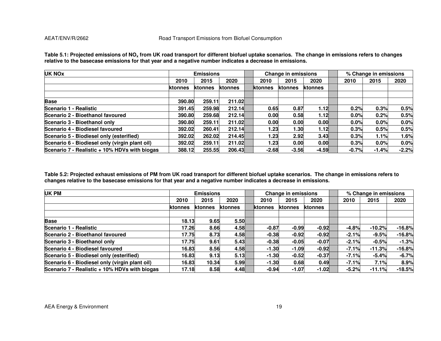| <b>UK NOx</b>                                  |         | <b>Emissions</b> |         |                 | Change in emissions |         |         | % Change in emissions |         |
|------------------------------------------------|---------|------------------|---------|-----------------|---------------------|---------|---------|-----------------------|---------|
|                                                | 2010    | 2015             | 2020    | 2010            | 2015                | 2020    | 2010    | 2015                  | 2020    |
|                                                | ktonnes | ktonnes          | ktonnes | <b>Iktonnes</b> | ktonnes             | ktonnes |         |                       |         |
| <b>Base</b>                                    | 390.80  | 259.11           | 211.02  |                 |                     |         |         |                       |         |
| Scenario 1 - Realistic                         | 391.45  | 259.98           | 212.14  | 0.65            | 0.87                | 1.12    | 0.2%    | 0.3%                  | 0.5%    |
| Scenario 2 - Bioethanol favoured               | 390.80  | 259.68           | 212.14  | 0.00            | 0.58                | 1.12    | 0.0%    | 0.2%                  | 0.5%    |
| Scenario 3 - Bioethanol only                   | 390.80  | 259.11           | 211.02  | 0.00            | 0.00                | 0.00    | 0.0%    | 0.0%                  | 0.0%    |
| Scenario 4 - Biodiesel favoured                | 392.02  | 260.41           | 212.14  | 1.23            | 1.30                | 1.12    | 0.3%    | 0.5%                  | 0.5%    |
| Scenario 5 - Biodiesel only (esterified)       | 392.02  | 262.02           | 214.45  | 1.23            | 2.92                | 3.43    | 0.3%    | 1.1%                  | 1.6%    |
| Scenario 6 - Biodiesel only (virgin plant oil) | 392.02  | 259.11           | 211.02  | 1.23            | 0.00                | 0.00    | 0.3%    | 0.0%                  | 0.0%    |
| Scenario 7 - Realistic + 10% HDVs with biogas  | 388.12  | 255.55           | 206.43  | $-2.68$         | $-3.56$             | $-4.59$ | $-0.7%$ | $-1.4%$               | $-2.2%$ |

**Table 5.1: Projected emissions of NOx from UK road transport for different biofuel uptake scenarios. The change in emissions refers to changes relative to the basecase emissions for that year and a negative number indicates a decrease in emissions.** 

**Table 5.2: Projected exhaust emissions of PM from UK road transport for different biofuel uptake scenarios. The change in emissions refers to changes relative to the basecase emissions for that year and a negative number indicates a decrease in emissions.** 

| UK PM                                          |         | <b>Emissions</b> |         |         | <b>Change in emissions</b> |                |         | % Change in emissions |          |          |
|------------------------------------------------|---------|------------------|---------|---------|----------------------------|----------------|---------|-----------------------|----------|----------|
|                                                | 2010    | 2015             | 2020    | 2010    | 2015                       | 2020           | 2010    | 2015                  |          | 2020     |
|                                                | ktonnes | ktonnes          | ktonnes | ktonnes | <b>ktonnes</b>             | <b>ktonnes</b> |         |                       |          |          |
|                                                |         |                  |         |         |                            |                |         |                       |          |          |
| <b>Base</b>                                    | 18.13   | 9.65             | 5.50    |         |                            |                |         |                       |          |          |
| Scenario 1 - Realistic                         | 17.26   | 8.66             | 4.58    | $-0.87$ | $-0.99$                    | $-0.92$        | $-4.8%$ |                       | $-10.2%$ | $-16.8%$ |
| Scenario 2 - Bioethanol favoured               | 17.75   | 8.73             | 4.58    | $-0.38$ | $-0.92$                    | $-0.92$        | $-2.1%$ |                       | $-9.5%$  | $-16.8%$ |
| Scenario 3 - Bioethanol only                   | 17.75   | 9.61             | 5.43    | $-0.38$ | $-0.05$                    | $-0.07$        | $-2.1%$ |                       | $-0.5%$  | $-1.3%$  |
| Scenario 4 - Biodiesel favoured                | 16.83   | 8.56             | 4.58    | $-1.30$ | $-1.09$                    | $-0.92$        | $-7.1%$ |                       | $-11.3%$ | $-16.8%$ |
| Scenario 5 - Biodiesel only (esterified)       | 16.83   | 9.13             | 5.13    | $-1.30$ | $-0.52$                    | $-0.37$        | $-7.1%$ |                       | $-5.4%$  | $-6.7%$  |
| Scenario 6 - Biodiesel only (virgin plant oil) | 16.83   | 10.34            | 5.99    | $-1.30$ | 0.68                       | 0.49           | $-7.1%$ |                       | 7.1%     | 8.9%     |
| Scenario 7 - Realistic + 10% HDVs with biogas  | 17.18   | 8.58             | 4.48    | $-0.94$ | $-1.07$                    | $-1.02$        | $-5.2%$ |                       | $-11.1%$ | $-18.5%$ |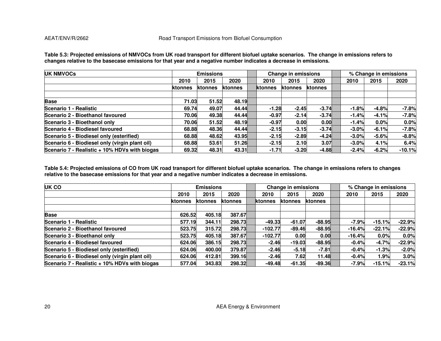| <b>UK NMVOCs</b>                               |         | <b>Emissions</b> |         |          | Change in emissions |                |         | % Change in emissions |          |
|------------------------------------------------|---------|------------------|---------|----------|---------------------|----------------|---------|-----------------------|----------|
|                                                | 2010    | 2015             | 2020    | 2010     | 2015                | 2020           | 2010    | 2015                  | 2020     |
|                                                | ktonnes | ktonnes          | ktonnes | Iktonnes | <b>ktonnes</b>      | <b>ktonnes</b> |         |                       |          |
|                                                |         |                  |         |          |                     |                |         |                       |          |
| <b>Base</b>                                    | 71.03   | 51.52            | 48.19   |          |                     |                |         |                       |          |
| Scenario 1 - Realistic                         | 69.74   | 49.07            | 44.44   | $-1.28$  | $-2.45$             | $-3.74$        | $-1.8%$ | $-4.8%$               | $-7.8%$  |
| Scenario 2 - Bioethanol favoured               | 70.06   | 49.38            | 44.44   | $-0.97$  | $-2.14$             | $-3.74$        | $-1.4%$ | $-4.1%$               | $-7.8%$  |
| Scenario 3 - Bioethanol only                   | 70.06   | 51.52            | 48.19   | $-0.97$  | 0.00                | 0.00           | $-1.4%$ | 0.0%                  | 0.0%     |
| Scenario 4 - Biodiesel favoured                | 68.88   | 48.36            | 44.44   | $-2.15$  | $-3.15$             | $-3.74$        | $-3.0%$ | $-6.1%$               | $-7.8%$  |
| Scenario 5 - Biodiesel only (esterified)       | 68.88   | 48.62            | 43.95   | $-2.15$  | $-2.89$             | $-4.24$        | $-3.0%$ | $-5.6%$               | $-8.8%$  |
| Scenario 6 - Biodiesel only (virgin plant oil) | 68.88   | 53.61            | 51.26   | $-2.15$  | 2.10                | 3.07           | $-3.0%$ | 4.1%                  | 6.4%     |
| Scenario 7 - Realistic + 10% HDVs with biogas  | 69.32   | 48.31            | 43.31   | $-1.71$  | $-3.20$             | $-4.88$        | $-2.4%$ | $-6.2%$               | $-10.1%$ |

**Table 5.3: Projected emissions of NMVOCs from UK road transport for different biofuel uptake scenarios. The change in emissions refers to changes relative to the basecase emissions for that year and a negative number indicates a decrease in emissions.** 

**Table 5.4: Projected emissions of CO from UK road transport for different biofuel uptake scenarios. The change in emissions refers to changes relative to the basecase emissions for that year and a negative number indicates a decrease in emissions.** 

| UK CO                                          |         | <b>Emissions</b> |                |                 | <b>Change in emissions</b> |          |          | % Change in emissions |          |
|------------------------------------------------|---------|------------------|----------------|-----------------|----------------------------|----------|----------|-----------------------|----------|
|                                                | 2010    | 2015             | 2020           | 2010            | 2015                       | 2020     | 2010     | 2015                  | 2020     |
|                                                | ktonnes | ktonnes          | <b>ktonnes</b> | <b>Iktonnes</b> | <b>ktonnes</b>             | ktonnes  |          |                       |          |
| <b>Base</b>                                    | 626.52  | 405.18           | 387.67         |                 |                            |          |          |                       |          |
| Scenario 1 - Realistic                         | 577.19  | 344.11           | 298.73         | $-49.33$        | $-61.07$                   | $-88.95$ | $-7.9%$  | $-15.1%$              | $-22.9%$ |
| Scenario 2 - Bioethanol favoured               | 523.75  | 315.72           | 298.73         | $-102.77$       | $-89.46$                   | $-88.95$ | $-16.4%$ | $-22.1%$              | $-22.9%$ |
| Scenario 3 - Bioethanol only                   | 523.75  | 405.18           | 387.67         | $-102.77$       | 0.00                       | 0.00     | $-16.4%$ | $0.0\%$               | 0.0%     |
| Scenario 4 - Biodiesel favoured                | 624.06  | 386.15           | 298.73         | $-2.46$         | $-19.03$                   | $-88.95$ | $-0.4%$  | $-4.7%$               | $-22.9%$ |
| Scenario 5 - Biodiesel only (esterified)       | 624.06  | 400.00           | 379.87         | $-2.46$         | $-5.18$                    | $-7.81$  | $-0.4%$  | $-1.3%$               | $-2.0%$  |
| Scenario 6 - Biodiesel only (virgin plant oil) | 624.06  | 412.81           | 399.16         | $-2.46$         | 7.62                       | 11.48    | $-0.4%$  | 1.9%                  | 3.0%     |
| Scenario 7 - Realistic + 10% HDVs with biogas  | 577.04  | 343.83           | 298.32         | $-49.48$        | $-61.35$                   | $-89.36$ | $-7.9%$  | $-15.1%$              | $-23.1%$ |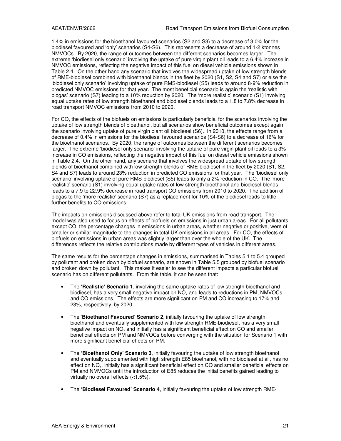1.4% in emissions for the bioethanol favoured scenarios (S2 and S3) to a decrease of 3.0% for the biodiesel favoured and 'only' scenarios (S4-S6). This represents a decrease of around 1-2 ktonnes NMVOCs. By 2020, the range of outcomes between the different scenarios becomes larger. The extreme 'biodiesel only scenario' involving the uptake of pure virgin plant oil leads to a 6.4% increase in NMVOC emissions, reflecting the negative impact of this fuel on diesel vehicle emissions shown in Table 2.4. On the other hand any scenario that involves the widespread uptake of low strength blends of RME-biodiesel combined with bioethanol blends in the fleet by 2020 (S1, S2, S4 and S7) or else the 'biodiesel only scenario' involving uptake of pure RMS-biodiesel (S5) leads to around 8-9% reduction in predicted NMVOC emissions for that year. The most beneficial scenario is again the 'realistic with biogas' scenario (S7) leading to a 10% reduction by 2020. The 'more realistic' scenario (S1) involving equal uptake rates of low strength bioethanol and biodiesel blends leads to a 1.8 to 7.8% decrease in road transport NMVOC emissions from 2010 to 2020.

For CO, the effects of the biofuels on emissions is particularly beneficial for the scenarios involving the uptake of low strength blends of bioethanol, but all scenarios show beneficial outcomes except again the scenario involving uptake of pure virgin plant oil biodiesel (S6). In 2010, the effects range from a decrease of 0.4% in emissions for the biodiesel favoured scenarios (S4-S6) to a decrease of 16% for the bioethanol scenarios. By 2020, the range of outcomes between the different scenarios becomes larger. The extreme 'biodiesel only scenario' involving the uptake of pure virgin plant oil leads to a 3% increase in CO emissions, reflecting the negative impact of this fuel on diesel vehicle emissions shown in Table 2.4. On the other hand, any scenario that involves the widespread uptake of low strength blends of bioethanol combined with low strength blends of RME-biodiesel in the fleet by 2020 (S1, S2, S4 and S7) leads to around 23% reduction in predicted CO emissions for that year. The 'biodiesel only scenario' involving uptake of pure RMS-biodiesel (S5) leads to only a 2% reduction in CO. The 'more realistic' scenario (S1) involving equal uptake rates of low strength bioethanol and biodiesel blends leads to a 7.9 to 22.9% decrease in road transport CO emissions from 2010 to 2020. The addition of biogas to the 'more realistic' scenario (S7) as a replacement for 10% of the biodiesel leads to little further benefits to CO emissions.

The impacts on emissions discussed above refer to total UK emissions from road transport. The model was also used to focus on effects of biofuels on emissions in just urban areas. For all pollutants except CO, the percentage changes in emissions in urban areas, whether negative or positive, were of smaller or similar magnitude to the changes in total UK emissions in all areas. For CO, the effects of biofuels on emissions in urban areas was slightly larger than over the whole of the UK. The differences reflects the relative contributions made by different types of vehicles in different areas.

The same results for the percentage changes in emissions, summarised in Tables 5.1 to 5.4 grouped by pollutant and broken down by biofuel scenario, are shown in Table 5.5 grouped by biofuel scenario and broken down by pollutant. This makes it easier to see the different impacts a particular biofuel scenario has on different pollutants. From this table, it can be seen that:

- The **'Realistic' Scenario 1**, involving the same uptake rates of low strength bioethanol and biodiesel, has a very small negative impact on  $\mathsf{NO}_{\mathsf{x}}$  and leads to reductions in PM,  $\mathsf{NMVOCs}\xspace$ and CO emissions. The effects are more significant on PM and CO increasing to 17% and 23%, respectively, by 2020.
- The '**Bioethanol Favoured' Scenario 2**, initially favouring the uptake of low strength bioethanol and eventually supplemented with low strength RME-biodiesel, has a very small negative impact on  $NO<sub>x</sub>$  and initially has a significant beneficial effect on CO and smaller beneficial effects on PM and NMVOCs before converging with the situation for Scenario 1 with more significant beneficial effects on PM.
- The **'Bioethanol Only' Scenario 3**, initially favouring the uptake of low strength bioethanol and eventually supplemented with high strength E85 bioethanol, with no biodiesel at all, has no effect on NO<sub>x</sub>, initially has a significant beneficial effect on CO and smaller beneficial effects on PM and NMVOCs until the introduction of E85 reduces the initial benefits gained leading to virtually no overall effects (<1.5%).
- The **'Biodiesel Favoured' Scenario 4**, initially favouring the uptake of low strength RME-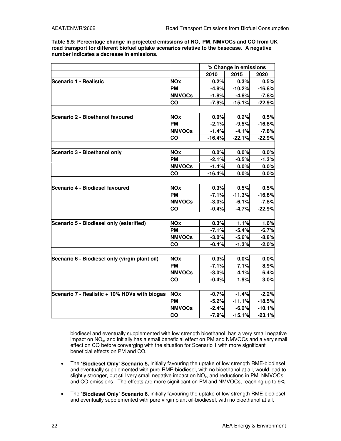**Table 5.5: Percentage change in projected emissions of NOx, PM, NMVOCs and CO from UK road transport for different biofuel uptake scenarios relative to the basecase. A negative number indicates a decrease in emissions.**

|                                                |               |          | % Change in emissions |          |
|------------------------------------------------|---------------|----------|-----------------------|----------|
|                                                |               | 2010     | 2015                  | 2020     |
| Scenario 1 - Realistic                         | <b>NOx</b>    | 0.2%     | 0.3%                  | 0.5%     |
|                                                | <b>PM</b>     | $-4.8%$  | $-10.2%$              | $-16.8%$ |
|                                                | <b>NMVOCs</b> | $-1.8%$  | $-4.8%$               | $-7.8%$  |
|                                                | CO            | $-7.9%$  | $-15.1%$              | $-22.9%$ |
|                                                |               |          |                       |          |
| Scenario 2 - Bioethanol favoured               | <b>NOx</b>    | 0.0%     | 0.2%                  | 0.5%     |
|                                                | <b>PM</b>     | $-2.1%$  | $-9.5%$               | $-16.8%$ |
|                                                | <b>NMVOCs</b> | $-1.4%$  | $-4.1%$               | $-7.8%$  |
|                                                | co            | $-16.4%$ | $-22.1%$              | $-22.9%$ |
|                                                |               |          |                       |          |
| Scenario 3 - Bioethanol only                   | <b>NOx</b>    | 0.0%     | 0.0%                  | 0.0%     |
|                                                | <b>PM</b>     | $-2.1%$  | $-0.5%$               | $-1.3%$  |
|                                                | <b>NMVOCs</b> | $-1.4%$  | 0.0%                  | 0.0%     |
|                                                | CO            | $-16.4%$ | 0.0%                  | 0.0%     |
|                                                |               |          |                       |          |
| Scenario 4 - Biodiesel favoured                | <b>NOx</b>    | 0.3%     | 0.5%                  | 0.5%     |
|                                                | <b>PM</b>     | $-7.1%$  | $-11.3%$              | $-16.8%$ |
|                                                | <b>NMVOCs</b> | $-3.0%$  | $-6.1%$               | $-7.8%$  |
|                                                | <b>CO</b>     | $-0.4%$  | $-4.7%$               | $-22.9%$ |
|                                                |               |          |                       |          |
| Scenario 5 - Biodiesel only (esterified)       | <b>NOx</b>    | 0.3%     | 1.1%                  | 1.6%     |
|                                                | <b>PM</b>     | $-7.1%$  | $-5.4%$               | $-6.7%$  |
|                                                | <b>NMVOCs</b> | $-3.0%$  | $-5.6%$               | $-8.8%$  |
|                                                | CO            | $-0.4%$  | $-1.3%$               | $-2.0%$  |
|                                                |               |          |                       |          |
| Scenario 6 - Biodiesel only (virgin plant oil) | <b>NOx</b>    | 0.3%     | 0.0%                  | 0.0%     |
|                                                | <b>PM</b>     | $-7.1%$  | 7.1%                  | 8.9%     |
|                                                | <b>NMVOCs</b> | $-3.0%$  | 4.1%                  | 6.4%     |
|                                                | CO            | $-0.4%$  | 1.9%                  | 3.0%     |
| Scenario 7 - Realistic + 10% HDVs with biogas  | <b>NOx</b>    | $-0.7%$  | $-1.4%$               | $-2.2%$  |
|                                                | <b>PM</b>     | $-5.2%$  | $-11.1%$              | $-18.5%$ |
|                                                | <b>NMVOCs</b> | $-2.4%$  | $-6.2%$               | $-10.1%$ |
|                                                | CO            | $-7.9%$  | $-15.1%$              | $-23.1%$ |

biodiesel and eventually supplemented with low strength bioethanol, has a very small negative impact on NO<sub>x</sub>, and initially has a small beneficial effect on PM and NMVOCs and a very small effect on CO before converging with the situation for Scenario 1 with more significant beneficial effects on PM and CO.

- The **'Biodiesel Only' Scenario 5**, initially favouring the uptake of low strength RME-biodiesel and eventually supplemented with pure RME-biodiesel, with no bioethanol at all, would lead to slightly stronger, but still very small negative impact on  $NO_x$ , and reductions in PM, NMVOCs and CO emissions. The effects are more significant on PM and NMVOCs, reaching up to 9%.
- The **'Biodiesel Only' Scenario 6**, initially favouring the uptake of low strength RME-biodiesel and eventually supplemented with pure virgin plant oil-biodiesel, with no bioethanol at all,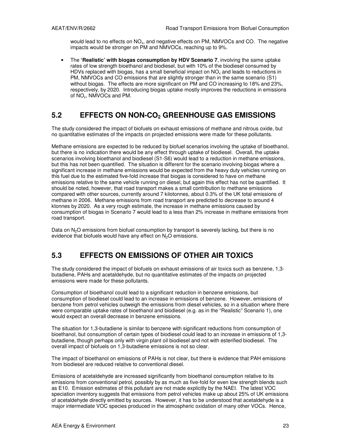would lead to no effects on NO<sub>x</sub>, and negative effects on PM, NMVOCs and CO. The negative impacts would be stronger on PM and NMVOCs, reaching up to 9%.

• The **'Realistic' with biogas consumption by HDV Scenario 7**, involving the same uptake rates of low strength bioethanol and biodiesel, but with 10% of the biodiesel consumed by HDVs replaced with biogas, has a small beneficial impact on  $NO_x$  and leads to reductions in PM, NMVOCs and CO emissions that are slightly stronger than in the same scenario (S1) without biogas. The effects are more significant on PM and CO increasing to 18% and 23%. respectively, by 2020. Introducing biogas uptake mostly improves the reductions in emissions of  $NO_{x}$ , NMVOCs and PM.

# **5.2 EFFECTS ON NON-CO2 GREENHOUSE GAS EMISSIONS**

The study considered the impact of biofuels on exhaust emissions of methane and nitrous oxide, but no quantitative estimates of the impacts on projected emissions were made for these pollutants.

Methane emissions are expected to be reduced by biofuel scenarios involving the uptake of bioethanol, but there is no indication there would be any effect through uptake of biodiesel. Overall, the uptake scenarios involving bioethanol and biodiesel (S1-S6) would lead to a reduction in methane emissions, but this has not been quantified. The situation is different for the scenario involving biogas where a significant increase in methane emissions would be expected from the heavy duty vehicles running on this fuel due to the estimated five-fold increase that biogas is considered to have on methane emissions relative to the same vehicle running on diesel, but again this effect has not be quantified. It should be noted, however, that road transport makes a small contribution to methane emissions compared with other sources, currently around 7 kilotonnes, about 0.3% of the UK total emissions of methane in 2006. Methane emissions from road transport are predicted to decrease to around 4 ktonnes by 2020. As a very rough estimate, the increase in methane emissions caused by consumption of biogas in Scenario 7 would lead to a less than 2% increase in methane emissions from road transport.

Data on  $N<sub>2</sub>O$  emissions from biofuel consumption by transport is severely lacking, but there is no evidence that biofuels would have any effect on  $N_2O$  emissions.

# **5.3 EFFECTS ON EMISSIONS OF OTHER AIR TOXICS**

The study considered the impact of biofuels on exhaust emissions of air toxics such as benzene, 1,3 butadiene, PAHs and acetaldehyde, but no quantitative estimates of the impacts on projected emissions were made for these pollutants.

Consumption of bioethanol could lead to a significant reduction in benzene emissions, but consumption of biodiesel could lead to an increase in emissions of benzene. However, emissions of benzene from petrol vehicles outweigh the emissions from diesel vehicles, so in a situation where there were comparable uptake rates of bioethanol and biodiesel (e.g. as in the "Realistic" Scenario 1), one would expect an overall decrease in benzene emissions.

The situation for 1,3-butadiene is similar to benzene with significant reductions from consumption of bioethanol, but consumption of certain types of biodiesel could lead to an increase in emissions of 1,3 butadiene, though perhaps only with virgin plant oil biodiesel and not with esterified biodiesel. The overall impact of biofuels on 1,3-butadiene emissions is not so clear.

The impact of bioethanol on emissions of PAHs is not clear, but there is evidence that PAH emissions from biodiesel are reduced relative to conventional diesel.

Emissions of acetaldehyde are increased significantly from bioethanol consumption relative to its emissions from conventional petrol, possibly by as much as five-fold for even low strength blends such as E10. Emission estimates of this pollutant are not made explicitly by the NAEI. The latest VOC speciation inventory suggests that emissions from petrol vehicles make up about 25% of UK emissions of acetaldehyde directly emitted by sources. However, it has to be understood that acetaldehyde is a major intermediate VOC species produced in the atmospheric oxidation of many other VOCs. Hence,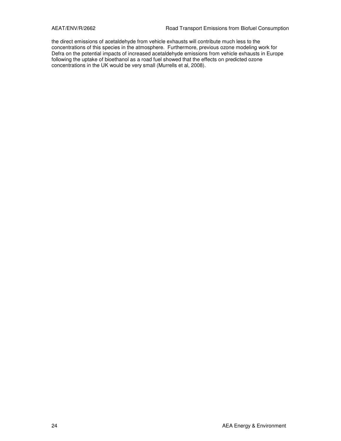the direct emissions of acetaldehyde from vehicle exhausts will contribute much less to the concentrations of this species in the atmosphere. Furthermore, previous ozone modeling work for Defra on the potential impacts of increased acetaldehyde emissions from vehicle exhausts in Europe following the uptake of bioethanol as a road fuel showed that the effects on predicted ozone concentrations in the UK would be very small (Murrells et al, 2008).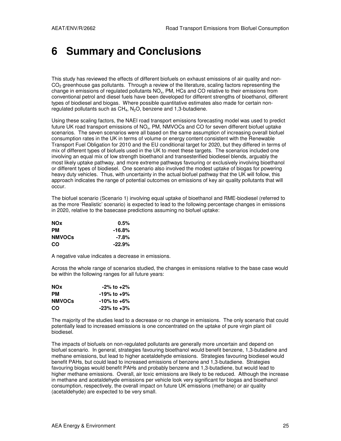# **6 Summary and Conclusions**

This study has reviewed the effects of different biofuels on exhaust emissions of air quality and non- $CO<sub>2</sub>$  greenhouse gas pollutants. Through a review of the literature, scaling factors representing the change in emissions of regulated pollutants NO<sub>x</sub>, PM, HCs and CO relative to their emissions from conventional petrol and diesel fuels have been developed for different strengths of bioethanol, different types of biodiesel and biogas. Where possible quantitative estimates also made for certain nonregulated pollutants such as  $CH_4$ ,  $N_2O$ , benzene and 1,3-butadiene.

Using these scaling factors, the NAEI road transport emissions forecasting model was used to predict future UK road transport emissions of NOx, PM, NMVOCs and CO for seven different biofuel uptake scenarios. The seven scenarios were all based on the same assumption of increasing overall biofuel consumption rates in the UK in terms of volume or energy content consistent with the Renewable Transport Fuel Obligation for 2010 and the EU conditional target for 2020, but they differed in terms of mix of different types of biofuels used in the UK to meet these targets. The scenarios included one involving an equal mix of low strength bioethanol and transesterified biodiesel blends, arguably the most likely uptake pathway, and more extreme pathways favouring or exclusively involving bioethanol or different types of biodiesel. One scenario also involved the modest uptake of biogas for powering heavy duty vehicles. Thus, with uncertainty in the actual biofuel pathway that the UK will follow, this approach indicates the range of potential outcomes on emissions of key air quality pollutants that will occur.

The biofuel scenario (Scenario 1) involving equal uptake of bioethanol and RME-biodiesel (referred to as the more 'Realistic' scenario) is expected to lead to the following percentage changes in emissions in 2020, relative to the basecase predictions assuming no biofuel uptake:

| <b>NOx</b>    | $0.5\%$   |
|---------------|-----------|
| <b>PM</b>     | $-16.8\%$ |
| <b>NMVOCs</b> | -7.8%     |
| CO            | $-22.9\%$ |

A negative value indicates a decrease in emissions.

Across the whole range of scenarios studied, the changes in emissions relative to the base case would be within the following ranges for all future years:

| <b>NOx</b>    | $-2\%$ to $+2\%$  |
|---------------|-------------------|
| PМ            | $-19\%$ to $+9\%$ |
| <b>NMVOCs</b> | -10% to +6%       |
| CO            | $-23\%$ to $+3\%$ |

The majority of the studies lead to a decrease or no change in emissions. The only scenario that could potentially lead to increased emissions is one concentrated on the uptake of pure virgin plant oil biodiesel.

The impacts of biofuels on non-regulated pollutants are generally more uncertain and depend on biofuel scenario. In general, strategies favouring bioethanol would benefit benzene, 1,3-butadiene and methane emissions, but lead to higher acetaldehyde emissions. Strategies favouring biodiesel would benefit PAHs, but could lead to increased emissions of benzene and 1,3-butadiene. Strategies favouring biogas would benefit PAHs and probably benzene and 1,3-butadiene, but would lead to higher methane emissions. Overall, air toxic emissions are likely to be reduced. Although the increase in methane and acetaldehyde emissions per vehicle look very significant for biogas and bioethanol consumption, respectively, the overall impact on future UK emissions (methane) or air quality (acetaldehyde) are expected to be very small.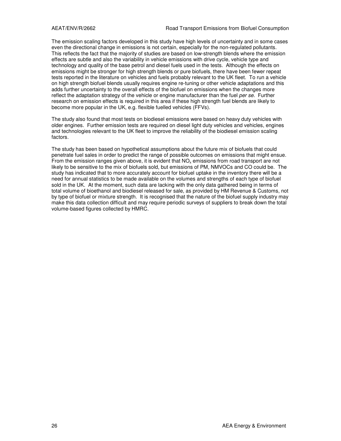The emission scaling factors developed in this study have high levels of uncertainty and in some cases even the directional change in emissions is not certain, especially for the non-regulated pollutants. This reflects the fact that the majority of studies are based on low-strength blends where the emission effects are subtle and also the variability in vehicle emissions with drive cycle, vehicle type and technology and quality of the base petrol and diesel fuels used in the tests. Although the effects on emissions might be stronger for high strength blends or pure biofuels, there have been fewer repeat tests reported in the literature on vehicles and fuels probably relevant to the UK fleet. To run a vehicle on high strength biofuel blends usually requires engine re-tuning or other vehicle adaptations and this adds further uncertainty to the overall effects of the biofuel on emissions when the changes more reflect the adaptation strategy of the vehicle or engine manufacturer than the fuel per se. Further research on emission effects is required in this area if these high strength fuel blends are likely to become more popular in the UK, e.g. flexible fuelled vehicles (FFVs).

The study also found that most tests on biodiesel emissions were based on heavy duty vehicles with older engines. Further emission tests are required on diesel light duty vehicles and vehicles, engines and technologies relevant to the UK fleet to improve the reliability of the biodiesel emission scaling factors.

The study has been based on hypothetical assumptions about the future mix of biofuels that could penetrate fuel sales in order to predict the range of possible outcomes on emissions that might ensue. From the emission ranges given above, it is evident that  $NO_x$  emissions from road transport are not likely to be sensitive to the mix of biofuels sold, but emissions of PM, NMVOCs and CO could be. The study has indicated that to more accurately account for biofuel uptake in the inventory there will be a need for annual statistics to be made available on the volumes and strengths of each type of biofuel sold in the UK. At the moment, such data are lacking with the only data gathered being in terms of total volume of bioethanol and biodiesel released for sale, as provided by HM Revenue & Customs, not by type of biofuel or mixture strength. It is recognised that the nature of the biofuel supply industry may make this data collection difficult and may require periodic surveys of suppliers to break down the total volume-based figures collected by HMRC.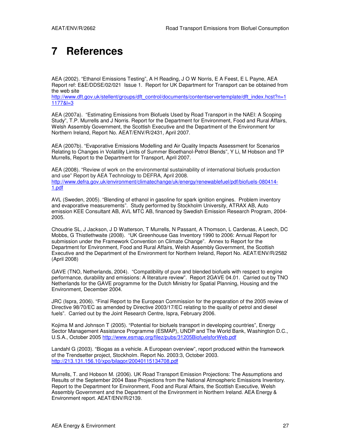# **7 References**

AEA (2002). "Ethanol Emissions Testing", A H Reading, J O W Norris, E A Feest, E L Payne, AEA Report ref: E&E/DDSE/02/021 Issue 1. Report for UK Department for Transport can be obtained from the web site

http://www.dft.gov.uk/stellent/groups/dft\_control/documents/contentservertemplate/dft\_index.hcst?n=1 1177&l=3

AEA (2007a). "Estimating Emissions from Biofuels Used by Road Transport in the NAEI: A Scoping Study", T.P. Murrells and J Norris. Report for the Department for Environment, Food and Rural Affairs, Welsh Assembly Government, the Scottish Executive and the Department of the Environment for Northern Ireland, Report No. AEAT/ENV/R/2431, April 2007.

AEA (2007b). "Evaporative Emissions Modelling and Air Quality Impacts Assessment for Scenarios Relating to Changes in Volatility Limits of Summer Bioethanol-Petrol Blends", Y Li, M Hobson and TP Murrells, Report to the Department for Transport, April 2007.

AEA (2008). "Review of work on the environmental sustainability of international biofuels production and use" Report by AEA Technology to DEFRA, April 2008. http://www.defra.gov.uk/environment/climatechange/uk/energy/renewablefuel/pdf/biofuels-080414- 1.pdf

AVL (Sweden, 2005). "Blending of ethanol in gasoline for spark ignition engines. Problem inventory and evaporative measurements". Study performed by Stockholm University, ATRAX AB, Auto emission KEE Consultant AB, AVL MTC AB, financed by Swedish Emission Research Program, 2004- 2005.

Choudrie SL, J Jackson, J D Watterson, T Murrells, N Passant, A Thomson, L Cardenas, A Leech, DC Mobbs, G Thistlethwaite (2008). "UK Greenhouse Gas Inventory 1990 to 2006: Annual Report for submission under the Framework Convention on Climate Change". Annex to Report for the Department for Environment, Food and Rural Affairs, Welsh Assembly Government, the Scottish Executive and the Department of the Environment for Northern Ireland, Report No. AEAT/ENV/R/2582 (April 2008)

GAVE (TNO, Netherlands, 2004). "Compatibility of pure and blended biofuels with respect to engine performance, durability and emissions: A literature review". Report 2GAVE 04.01. Carried out by TNO Netherlands for the GAVE programme for the Dutch Ministry for Spatial Planning, Housing and the Environment, December 2004.

JRC (Ispra, 2006). "Final Report to the European Commission for the preparation of the 2005 review of Directive 98/70/EC as amended by Directive 2003/17/EC relating to the quality of petrol and diesel fuels". Carried out by the Joint Research Centre, Ispra, February 2006.

Kojima M and Johnson T (2005). "Potential for biofuels transport in developing countries", Energy Sector Management Assistance Programme (ESMAP), UNDP and The World Bank, Washington D.C., U.S.A., October 2005 http://www.esmap.org/filez/pubs/31205BiofuelsforWeb.pdf

Landahl G (2003). "Biogas as a vehicle. A European overview", report produced within the framework of the Trendsetter project, Stockholm. Report No. 2003:3, October 2003. http://213.131.156.10/xpo/bilagor/20040115134708.pdf

Murrells, T. and Hobson M. (2006). UK Road Transport Emission Projections: The Assumptions and Results of the September 2004 Base Projections from the National Atmospheric Emissions Inventory. Report to the Department for Environment, Food and Rural Affairs, the Scottish Executive, Welsh Assembly Government and the Department of the Environment in Northern Ireland. AEA Energy & Environment report. AEAT/ENV/R/2139.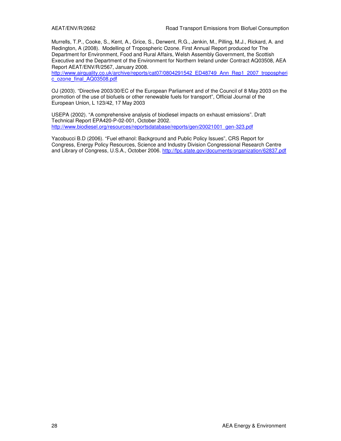Murrells, T.P., Cooke, S., Kent, A., Grice, S., Derwent, R.G., Jenkin, M., Pilling, M.J., Rickard, A. and Redington, A (2008). Modelling of Tropospheric Ozone. First Annual Report produced for The Department for Environment, Food and Rural Affairs, Welsh Assembly Government, the Scottish Executive and the Department of the Environment for Northern Ireland under Contract AQ03508, AEA Report AEAT/ENV/R/2567, January 2008.

http://www.airquality.co.uk/archive/reports/cat07/0804291542\_ED48749\_Ann\_Rep1\_2007\_tropospheri c\_ozone\_final\_AQ03508.pdf

OJ (2003). "Directive 2003/30/EC of the European Parliament and of the Council of 8 May 2003 on the promotion of the use of biofuels or other renewable fuels for transport", Official Journal of the European Union, L 123/42, 17 May 2003

USEPA (2002). "A comprehensive analysis of biodiesel impacts on exhaust emissions". Draft Technical Report EPA420-P-02-001, October 2002. http://www.biodiesel.org/resources/reportsdatabase/reports/gen/20021001\_gen-323.pdf

Yacobucci B.D (2006). "Fuel ethanol: Background and Public Policy Issues", CRS Report for Congress, Energy Policy Resources, Science and Industry Division Congressional Research Centre and Library of Congress, U.S.A., October 2006. http://fpc.state.gov/documents/organization/62837.pdf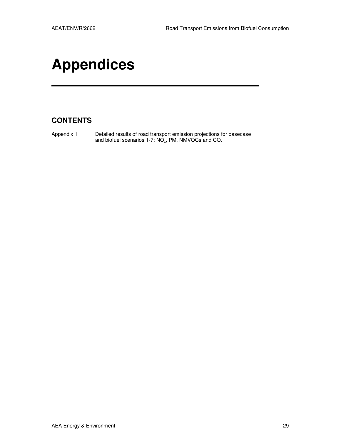# **Appendices**

# **CONTENTS**

Appendix 1 Detailed results of road transport emission projections for basecase and biofuel scenarios  $1$ -7:  $NO_{x}$ , PM, NMVOCs and CO.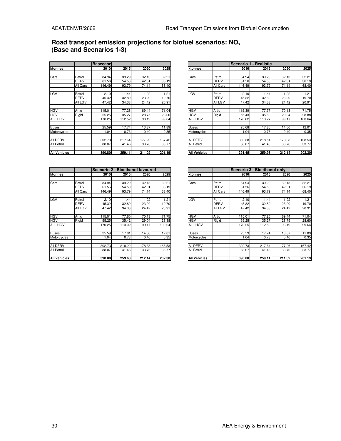### **Road transport emission projections for biofuel scenarios: NO<sup>x</sup> (Base and Scenarios 1-3)**

|                   |             | <b>Basecase</b> |        |        |        |                     |             |        | Scenario 1 - Realistic |        |        |
|-------------------|-------------|-----------------|--------|--------|--------|---------------------|-------------|--------|------------------------|--------|--------|
| ktonnes           |             | <b>2010</b>     | 2015   | 2020   | 2025   | ktonnes             |             | 2010   | 2015                   | 2020   | 2025   |
|                   |             |                 |        |        |        |                     |             |        |                        |        |        |
| Cars              | Petrol      | 84.94           | 39.29  | 32.13  | 32.21  | Cars                | Petrol      | 84.94  | 39.29                  | 32.13  | 32.21  |
|                   | <b>DERV</b> | 61.56           | 54.50  | 42.01  | 36.19  |                     | <b>DERV</b> | 61.56  | 54.50                  | 42.01  | 36.19  |
|                   | All Cars    | 146.49          | 93.79  | 74.14  | 68.40  |                     | All Cars    | 146.49 | 93.79                  | 74.14  | 68.40  |
| LGV               | Petrol      | 2.10            | 1.44   | 1.22   | 1.21   | LGV                 | Petrol      | 2.10   | 1.44                   | 1.22   | 1.21   |
|                   | <b>DERV</b> | 45.32           | 32.89  | 23.20  | 19.70  |                     | <b>DERV</b> | 45.32  | 32.89                  | 23.20  | 19.70  |
|                   | All LGV     | 47.42           | 34.33  | 24.42  | 20.91  |                     | All LGV     | 47.42  | 34.33                  | 24.42  | 20.91  |
| <b>HGV</b>        | Artic       | 115.01          | 77.26  | 69.44  | 71.04  | <b>HGV</b>          | Artic       | 115.39 | 77.77                  | 70.13  | 71.75  |
| <b>HGV</b>        | Rigid       | 55.25           | 35.27  | 28.75  | 28.60  | <b>HGV</b>          | Rigid       | 55.43  | 35.50                  | 29.04  | 28.88  |
| <b>ALL HGV</b>    |             | 170.25          | 112.52 | 98.19  | 99.64  | ALL HGV             |             | 170.82 | 113.27                 | 99.17  | 100.64 |
| Buses             |             | 25.59           | 17.74  | 13.87  | 11.89  | Buses               |             | 25.68  | 17.85                  | 14.00  | 12.01  |
| Motorcycles       |             | .04             | 0.73   | 0.40   | 0.35   | Motorcycles         |             | 1.04   | 0.73                   | 0.40   | 0.35   |
| All DERV          |             | 302.73          | 217.64 | 177.26 | 167.42 | All DERV            |             | 303.38 | 218.51                 | 178.38 | 168.53 |
| <b>All Petrol</b> |             | 88.07           | 41.46  | 33.76  | 33.77  | All Petrol          |             | 88.07  | 41.46                  | 33.76  | 33.77  |
| All Vehicles      |             | 390.80          | 259.11 | 211.02 | 201.19 | <b>All Vehicles</b> |             | 391.45 | 259.98                 | 212.14 | 202.30 |

|                 |                | <b>Basecase</b> |        |        |        |                     |             |        | Scenario 1 - Realistic |        |        |
|-----------------|----------------|-----------------|--------|--------|--------|---------------------|-------------|--------|------------------------|--------|--------|
| ktonnes         |                | 2010            | 2015   | 2020   | 2025   | ktonnes             |             | 2010   | 2015                   | 2020   | 2025   |
|                 |                |                 |        |        |        |                     |             |        |                        |        |        |
| Cars            | Petrol         | 84.94           | 39.29  | 32.13  | 32.21  | Cars                | Petrol      | 84.94  | 39.29                  | 32.13  | 32.21  |
|                 | <b>DERV</b>    | 61.56           | 54.50  | 42.01  | 36.19  |                     | <b>DERV</b> | 61.56  | 54.50                  | 42.01  | 36.19  |
|                 | All Cars       | 146.49          | 93.79  | 74.14  | 68.40  |                     | All Cars    | 146.49 | 93.79                  | 74.14  | 68.40  |
| LGV             | Petrol         | 2.10            | .44    | .22    | 1.21   | LGV                 | Petrol      | 2.10   | 1.44                   | .22    | 1.21   |
|                 | <b>DERV</b>    | 45.32           | 32.89  | 23.20  | 19.70  |                     | <b>DERV</b> | 45.32  | 32.89                  | 23.20  | 19.70  |
|                 | <b>All LGV</b> | 47.42           | 34.33  | 24.42  | 20.91  |                     | All LGV     | 47.42  | 34.33                  | 24.42  | 20.91  |
| HGV             | Artic          | 115.01          | 77.26  | 69.44  | 71.04  | <b>HGV</b>          | Artic       | 115.39 | 77.77                  | 70.13  | 71.75  |
| HGV             | Rigid          | 55.25           | 35.27  | 28.75  | 28.60  | <b>HGV</b>          | Rigid       | 55.43  | 35.50                  | 29.04  | 28.88  |
| ALL HGV         |                | 170.25          | 112.52 | 98.19  | 99.64  | ALL HGV             |             | 170.82 | 113.27                 | 99.17  | 100.64 |
| <b>Buses</b>    |                | 25.59           | 17.74  | 13.87  | 11.89  | <b>Buses</b>        |             | 25.68  | 17.85                  | 14.00  | 12.01  |
| Motorcycles     |                | 1.04            | 0.73   | 0.40   | 0.35   | Motorcycles         |             | 1.04   | 0.73                   | 0.40   | 0.35   |
| <b>AII DERV</b> |                | 302.73          | 217.64 | 177.26 | 167.42 | All DERV            |             | 303.38 | 218.51                 | 178.38 | 168.53 |
| All Petrol      |                | 88.07           | 41.46  | 33.76  | 33.77  | All Petrol          |             | 88.07  | 41.46                  | 33.76  | 33.77  |
| All Vehicles    |                | 390.80L         | 259.11 | 211.02 | 201.19 | <b>All Vehicles</b> |             | 391.45 | 259.98                 | 212.14 | 202.30 |

|                     |             | Scenario 2 - Bioethanol favoured |        |        |        |
|---------------------|-------------|----------------------------------|--------|--------|--------|
| ktonnes             |             | <b>2010</b>                      | 2015   | 2020   | 2025   |
|                     |             |                                  |        |        |        |
| Cars                | Petrol      | 84.94                            | 39.29  | 32.13  | 32.21  |
|                     | <b>DERV</b> | 61.56                            | 54.50  | 42.01  | 36.19  |
|                     | All Cars    | 146.49                           | 93.79  | 74.14  | 68.40  |
|                     |             |                                  |        |        |        |
| LGV                 | Petrol      | 2.10                             | 1.44   | 1.22   | 1.21   |
|                     | DERV        | 45.32                            | 32.89  | 23.20  | 19.70  |
|                     | All LGV     | 47.42                            | 34.33  | 24.42  | 20.91  |
|                     |             |                                  |        |        |        |
| <b>HGV</b>          | Artic       | 115.01                           | 77.60  | 70.13  | 71.75  |
| <b>HGV</b>          | Rigid       | 55.25                            | 35.42  | 29.04  | 28.88  |
| ALL HGV             |             | 170.25                           | 113.02 | 99.17  | 100.64 |
|                     |             |                                  |        |        |        |
| <b>Buses</b>        |             | 25.59                            | 17.81  | 14.00  | 12.01  |
| Motorcycles         |             | 1.04                             | 0.73   | 0.40   | 0.35   |
|                     |             |                                  |        |        |        |
| All DERV            |             | 302.73                           | 218.22 | 178.38 | 168.53 |
| All Petrol          |             | 88.07                            | 41.46  | 33.76  | 33.77  |
|                     |             |                                  |        |        |        |
| <b>All Vehicles</b> |             | 390.80                           | 259.68 | 212.14 | 202.30 |

|              |             | Scenario 2 - Bioethanol favoured |        |        |        |                     |             | Scenario 3 - Bioethanol only |        |        |        |
|--------------|-------------|----------------------------------|--------|--------|--------|---------------------|-------------|------------------------------|--------|--------|--------|
| ktonnes      |             | 2010                             | 2015   | 2020   | 2025   | ktonnes             |             | 2010                         | 2015   | 2020   | 2025   |
|              |             |                                  |        |        |        |                     |             |                              |        |        |        |
| Cars         | Petrol      | 84.94                            | 39.29  | 32.13  | 32.21  | Cars                | Petrol      | 84.94                        | 39.29  | 32.13  | 32.21  |
|              | <b>DERV</b> | 61.56                            | 54.50  | 42.01  | 36.19  |                     | <b>DERV</b> | 61.56                        | 54.50  | 42.01  | 36.19  |
|              | All Cars    | 146.49                           | 93.79  | 74.14  | 68.40  |                     | All Cars    | 146.49                       | 93.79  | 74.14  | 68.40  |
|              |             |                                  |        |        |        |                     |             |                              |        |        |        |
| LGV          | Petrol      | 2.10                             | 1.44   | 1.22   | 1.21   | LGV                 | Petrol      | 2.10                         | .44    | .22    | 1.21   |
|              | <b>DERV</b> | 45.32                            | 32.89  | 23.20  | 19.70  |                     | <b>DERV</b> | 45.32                        | 32.89  | 23.20  | 19.70  |
|              | All LGV     | 47.42                            | 34.33  | 24.42  | 20.91  |                     | All LGV     | 47.42                        | 34.33  | 24.42  | 20.91  |
|              |             |                                  |        |        |        |                     |             |                              |        |        |        |
| HGV          | Artic       | 115.01                           | 77.60  | 70.13  | 71.75  | <b>HGV</b>          | Artic       | 115.01                       | 77.26  | 69.44  | 71.04  |
| HGV          | Rigid       | 55.25                            | 35.42  | 29.04  | 28.88  | <b>HGV</b>          | Rigid       | 55.25                        | 35.27  | 28.75  | 28.60  |
| ALL HGV      |             | 170.25                           | 113.02 | 99.17  | 100.64 | <b>ALL HGV</b>      |             | 170.25                       | 112.52 | 98.19  | 99.64  |
|              |             |                                  |        |        |        |                     |             |                              |        |        |        |
| Buses        |             | 25.59                            | 17.81  | 14.00  | 12.01  | Buses               |             | 25.59                        | 17.74  | 13.87  | 11.89  |
| Motorcycles  |             | 1.04                             | 0.73   | 0.40   | 0.35   | Motorcycles         |             | 1.04                         | 0.73   | 0.40   | 0.35   |
|              |             |                                  |        |        |        |                     |             |                              |        |        |        |
| AII DERV     |             | 302.73                           | 218.22 | 178.38 | 168.53 | All DERV            |             | 302.73                       | 217.64 | 177.26 | 167.42 |
| All Petrol   |             | 88.07                            | 41.46  | 33.76  | 33.77  | All Petrol          |             | 88.07                        | 41.46  | 33.76  | 33.77  |
|              |             |                                  |        |        |        |                     |             |                              |        |        |        |
| All Vehicles |             | 390.80                           | 259.68 | 212.14 | 202.30 | <b>All Vehicles</b> |             | 390.80                       | 259.11 | 211.02 | 201.19 |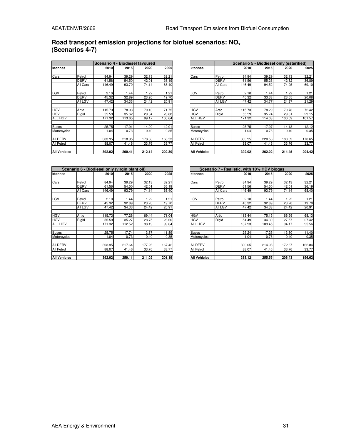## **Road transport emission projections for biofuel scenarios: NO<sup>x</sup> (Scenarios 4-7)**

|                     |             |        | Scenario 4 - Biodiesel favoured |        |        |                     |                | Scenario 5 - Biodiesel only (esterified) |        |        |        |
|---------------------|-------------|--------|---------------------------------|--------|--------|---------------------|----------------|------------------------------------------|--------|--------|--------|
| ktonnes             |             | 2010   | 2015                            | 2020   | 2025   | ktonnes             |                | 2010                                     | 2015   | 2020   | 2025   |
|                     |             |        |                                 |        |        |                     |                |                                          |        |        |        |
| Cars                | Petrol      | 84.94  | 39.29                           | 32.13  | 32.21  | Cars                | Petrol         | 84.94                                    | 39.29  | 32.13  | 32.21  |
|                     | <b>DERV</b> | 61.56  | 54.50                           | 42.01  | 36.19  |                     | <b>DERV</b>    | 61.56                                    | 55.23  | 42.82  | 36.89  |
|                     | All Cars    | 146.49 | 93.79                           | 74.14  | 68.40  |                     | All Cars       | 146.49                                   | 94.52  | 74.95  | 69.10  |
| LGV                 | Petrol      | 2.10   | .44                             | 1.22   | 1.21   | LGV                 | Petrol         | 2.10                                     | 1.44   | 1.22   | 1.21   |
|                     | <b>DERV</b> | 45.32  | 32.89                           | 23.20  | 19.70  |                     | <b>DERV</b>    | 45.32                                    | 33.33  | 23.65  | 20.08  |
|                     | All LGV     | 47.42  | 34.33                           | 24.42  | 20.91  |                     | <b>All LGV</b> | 47.42                                    | 34.77  | 24.87  | 21.29  |
| <b>HGV</b>          | Artic       | 115.73 | 78.03                           | 70.13  | 71.75  | <b>HGV</b>          | Artic          | 115.73                                   | 78.29  | 70.78  | 72.42  |
| <b>HGV</b>          | Rigid       | 55.59  | 35.62                           | 29.04  | 28.88  | <b>HGV</b>          | Rigid          | 55.59                                    | 35.74  | 29.31  | 29.15  |
| ALL HGV             |             | 171.32 | 113.65                          | 99.17  | 100.64 | ALL HGV             |                | 171.32                                   | 114.03 | 100.09 | 101.57 |
| <b>Buses</b>        |             | 25.75  | 17.91                           | 14.00  | 12.01  | <b>Buses</b>        |                | 25.75                                    | 17.97  | 14.13  | 12.12  |
| Motorcycles         |             | 1.04   | 0.73                            | 0.40   | 0.35   | Motorcycles         |                | 1.04                                     | 0.73   | 0.40   | 0.35   |
| All DERV            |             | 303.95 | 218.95                          | 178.38 | 168.53 | All DERV            |                | 303.95                                   | 220.56 | 180.69 | 170.65 |
| All Petrol          |             | 88.07  | 41.46                           | 33.76  | 33.77  | All Petrol          |                | 88.07                                    | 41.46  | 33.76  | 33.77  |
| <b>All Vehicles</b> |             | 392.02 | 260.41                          | 212.14 | 202.30 | <b>All Vehicles</b> |                | 392.02                                   | 262.02 | 214.45 | 204.42 |

|                     |                | Scenario 4 - Biodiesel favoured |        |        |        |                     |             |        | Scenario 5 - Biodiesel only (esterified) |             |        |
|---------------------|----------------|---------------------------------|--------|--------|--------|---------------------|-------------|--------|------------------------------------------|-------------|--------|
| ktonnes             |                | 2010                            | 2015   | 2020   | 2025   | ktonnes             |             | 2010   | 2015                                     | <b>2020</b> | 2025   |
|                     |                |                                 |        |        |        |                     |             |        |                                          |             |        |
| Cars                | Petrol         | 84.94                           | 39.29  | 32.13  | 32.21  | Cars                | Petrol      | 84.94  | 39.29                                    | 32.13       | 32.21  |
|                     | <b>DERV</b>    | 61.56                           | 54.50  | 42.01  | 36.19  |                     | <b>DERV</b> | 61.56  | 55.23                                    | 42.82       | 36.89  |
|                     | All Cars       | 146.49                          | 93.79  | 74.14  | 68.40  |                     | All Cars    | 146.49 | 94.52                                    | 74.95       | 69.10  |
| LGV                 | Petrol         | 2.10                            | 1.44   | 1.22   | 1.21   | LGV                 | Petrol      | 2.10   | 1.44                                     | 1.22        | 1.21   |
|                     | <b>DERV</b>    | 45.32                           | 32.89  | 23.20  | 19.70  |                     | <b>DERV</b> | 45.32  | 33.33                                    | 23.65       | 20.08  |
|                     | <b>All LGV</b> | 47.42                           | 34.33  | 24.42  |        |                     | All LGV     | 47.42  | 34.77                                    | 24.87       |        |
|                     |                |                                 |        |        | 20.91  |                     |             |        |                                          |             | 21.29  |
| HGV                 | Artic          | 115.73                          | 78.03  | 70.13  | 71.75  | <b>HGV</b>          | Artic       | 115.73 | 78.29                                    | 70.78       | 72.42  |
| <b>HGV</b>          | Rigid          | 55.59                           | 35.62  | 29.04  | 28.88  | <b>HGV</b>          | Rigid       | 55.59  | 35.74                                    | 29.31       | 29.15  |
| ALL HGV             |                | 171.32                          | 113.65 | 99.17  | 100.64 | <b>ALL HGV</b>      |             | 171.32 | 114.03                                   | 100.09      | 101.57 |
| Buses               |                | 25.75                           | 17.91  | 14.00  | 12.01  | Buses               |             | 25.75  | 17.97                                    | 14.13       | 12.12  |
|                     |                |                                 |        |        | 0.35   |                     |             | 1.04   | 0.73                                     |             | 0.35   |
| Motorcycles         |                | 1.04                            | 0.73   | 0.40   |        | Motorcycles         |             |        |                                          | 0.40        |        |
| AII DERV            |                | 303.95                          | 218.95 | 178.38 | 168.53 | All DERV            |             | 303.95 | 220.56                                   | 180.69      | 170.65 |
| All Petrol          |                | 88.07                           | 41.46  | 33.76  | 33.77  | All Petrol          |             | 88.07  | 41.46                                    | 33.76       | 33.77  |
| <b>All Vehicles</b> |                | 392.02                          | 260.41 | 212.14 | 202.30 | <b>All Vehicles</b> |             | 392.02 | 262.02                                   | 214.45      | 204.42 |

|                     |             | Scenario 6 - Biodiesel only (virgin plant oil) |        |        |        |                     | Scenario 7 - Realistic, with 10% HDV biogas |        |        |             |
|---------------------|-------------|------------------------------------------------|--------|--------|--------|---------------------|---------------------------------------------|--------|--------|-------------|
| ktonnes             |             | 2010                                           | 2015   | 2020   | 2025   | ktonnes             |                                             | 2010   | 2015   |             |
|                     |             |                                                |        |        |        |                     |                                             |        |        |             |
| Cars                | Petrol      | 84.94                                          | 39.29  | 32.13  | 32.21  | Cars                | Petrol                                      | 84.94  | 39.29  |             |
|                     | <b>DERV</b> | 61.56                                          | 54.50  | 42.01  | 36.19  |                     | <b>DERV</b>                                 | 61.56  | 54.50  |             |
|                     | All Cars    | 146.49                                         | 93.79  | 74.14  | 68.40  |                     | All Cars                                    | 146.49 | 93.79  |             |
| LGV                 | Petrol      | 2.10                                           | 1.44   | 1.22   | 1.21   | LGV                 | Petrol                                      | 2.10   | 1.44   |             |
|                     | <b>DERV</b> | 45.32                                          | 32.89  | 23.20  | 19.70  |                     | <b>DERV</b>                                 | 45.32  | 32.89  |             |
|                     | All LGV     | 47.42                                          | 34.33  | 24.42  | 20.91  |                     | <b>All LGV</b>                              | 47.42  | 34.33  |             |
| <b>HGV</b>          | Artic       | 115.73                                         | 77.26  | 69.44  | 71.04  | <b>HGV</b>          | Artic                                       | 113.44 | 75.15  |             |
| <b>HGV</b>          | Rigid       | 55.59                                          | 35.27  | 28.75  | 28.60  | <b>HGV</b>          | Rigid                                       | 54.49  | 34.30  |             |
| <b>ALL HGV</b>      |             | 171.32                                         | 112.52 | 98.19  | 99.64  | <b>ALL HGV</b>      |                                             | 167.93 | 109.45 |             |
| <b>Buses</b>        |             | 25.75                                          | 17.74  | 13.87  | 11.89  | <b>Buses</b>        |                                             | 25.24  | 17.25  |             |
| Motorcycles         |             | 1.04                                           | 0.73   | 0.40   | 0.35   | Motorcycles         |                                             | 1.04   | 0.73   |             |
| All DERV            |             | 303.95                                         | 217.64 | 177.26 | 167.42 | <b>AII DERV</b>     |                                             | 300.05 | 214.08 | $1^{\circ}$ |
| All Petrol          |             | 88.07                                          | 41.46  | 33.76  | 33.77  | <b>All Petrol</b>   |                                             | 88.07  | 41.46  |             |
| <b>All Vehicles</b> |             | 392.02                                         | 259.11 | 211.02 | 201.19 | <b>All Vehicles</b> |                                             | 388.12 | 255.55 | 2(          |

|              |             | Scenario 6 - Biodiesel only (virgin plant oil) |        |        |        |                     |                |        | Scenario 7 - Realistic, with 10% HDV biogas |        |        |
|--------------|-------------|------------------------------------------------|--------|--------|--------|---------------------|----------------|--------|---------------------------------------------|--------|--------|
| ktonnes      |             | 2010                                           | 2015   | 2020   | 2025   | ktonnes             |                | 2010   | 2015                                        | 2020   | 2025   |
|              |             |                                                |        |        |        |                     |                |        |                                             |        |        |
| Cars         | Petrol      | 84.94                                          | 39.29  | 32.13  | 32.21  | Cars                | Petrol         | 84.94  | 39.29                                       | 32.13  | 32.21  |
|              | <b>DERV</b> | 61.56                                          | 54.50  | 42.01  | 36.19  |                     | <b>DERV</b>    | 61.56  | 54.50                                       | 42.01  | 36.19  |
|              | All Cars    | 146.49                                         | 93.79  | 74.14  | 68.40  |                     | All Cars       | 146.49 | 93.79                                       | 74.14  | 68.40  |
|              |             |                                                |        |        |        |                     |                |        |                                             |        |        |
| LGV          | Petrol      | 2.10                                           | 1.44   | 1.22   | 1.21   | LGV                 | Petrol         | 2.10   | 1.44                                        | 1.22   | 1.21   |
|              | <b>DERV</b> | 45.32                                          | 32.89  | 23.20  | 19.70  |                     | <b>DERV</b>    | 45.32  | 32.89                                       | 23.20  | 19.70  |
|              | All LGV     | 47.42                                          | 34.33  | 24.42  | 20.91  |                     | <b>All LGV</b> | 47.42  | 34.33                                       | 24.42  | 20.91  |
|              |             |                                                |        |        |        |                     |                |        |                                             |        |        |
| HGV          | Artic       | 115.73                                         | 77.26  | 69.44  | 71.04  | <b>HGV</b>          | Artic          | 113.44 | 75.15                                       | 66.59  | 68.13  |
| <b>HGV</b>   | Rigid       | 55.59                                          | 35.27  | 28.75  | 28.60  | <b>HGV</b>          | Rigid          | 54.49  | 34.30                                       | 27.57  | 27.42  |
| ALL HGV      |             | 171.32                                         | 112.52 | 98.19  | 99.64  | <b>ALL HGV</b>      |                | 167.93 | 109.45                                      | 94.17  | 95.56  |
|              |             |                                                |        |        |        |                     |                |        |                                             |        |        |
| Buses        |             | 25.75                                          | 17.74  | 13.87  | 11.89  | <b>Buses</b>        |                | 25.24  | 17.25                                       | 13.30  | 11.40  |
| Motorcycles  |             | 1.04                                           | 0.73   | 0.40   | 0.35   | Motorcycles         |                | 1.04   | 0.73                                        | 0.40   | 0.35   |
|              |             |                                                |        |        |        |                     |                |        |                                             |        |        |
| AII DERV     |             | 303.95                                         | 217.64 | 177.26 | 167.42 | All DERV            |                | 300.05 | 214.08                                      | 172.67 | 162.84 |
| All Petrol   |             | 88.07                                          | 41.46  | 33.76  | 33.77  | <b>All Petrol</b>   |                | 88.07  | 41.46                                       | 33.76  | 33.77  |
|              |             |                                                |        |        |        |                     |                |        |                                             |        |        |
| All Vehicles |             | 392.02                                         | 259.11 | 211.02 | 201.19 | <b>All Vehicles</b> |                | 388.12 | 255.55                                      | 206.43 | 196.62 |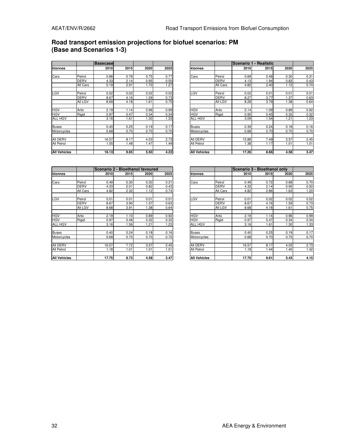### **Road transport emission projections for biofuel scenarios: PM (Base and Scenarios 1-3)**

|                     |             | <b>Basecase</b> |      |      |      |                     |             |       | Scenario 1 - Realistic |      |      |
|---------------------|-------------|-----------------|------|------|------|---------------------|-------------|-------|------------------------|------|------|
| ktonnes             |             | 2010            | 2015 | 2020 | 2025 | ktonnes             |             | 2010  | 2015                   | 2020 | 2025 |
|                     |             |                 |      |      |      |                     |             |       |                        |      |      |
| Cars                | Petrol      | 0.86            | 0.76 | 0.75 | 0.77 | Cars                | Petrol      | 0.69  | 0.46                   | 0.30 | 0.31 |
|                     | <b>DERV</b> | 4.33            | 2.14 | 0.95 | 0.50 |                     | <b>DERV</b> | 4.13  | 1.94                   | 0.82 | 0.43 |
|                     | All Cars    | 5.19            | 2.91 | 1.70 | 1.27 |                     | All Cars    | 4.82  | 2.40                   | 1.12 | 0.74 |
| LGV                 | Petrol      | 0.02            | 0.02 | 0.02 | 0.02 | LGV                 | Petrol      | 0.02  | 0.01                   | 0.01 | 0.01 |
|                     | <b>DERV</b> | 8.67            | 4.16 | .59  | 0.73 |                     | <b>DERV</b> | 8.27  | 3.77                   | 1.37 | 0.63 |
|                     | All LGV     | 8.69            | 4.18 | 1.61 | 0.75 |                     | All LGV     | 8.28  | 3.79                   | .38  | 0.64 |
| <b>HGV</b>          | Artic       | 2.19            | 1.14 | 0.96 | 0.99 | <b>HGV</b>          | Artic       | 2.14  | 1.09                   | 0.89 | 0.92 |
| <b>HGV</b>          | Rigid       | 0.97            | 0.47 | 0.34 | 0.34 | <b>HGV</b>          | Rigid       | 0.95  | 0.45                   | 0.32 | 0.32 |
| <b>ALL HGV</b>      |             | 3.16            | .61  | 1.30 | 1.33 | ALL HGV             |             | 3.09  | 1.54                   | 1.21 | 1.23 |
| <b>Buses</b>        |             | 0.40            | 0.25 | 0.19 | 0.17 | <b>Buses</b>        |             | 0.39  | 0.24                   | 0.18 | 0.16 |
| Motorcycles         |             | 0.68            | 0.70 | 0.70 | 0.70 | Motorcycles         |             | 0.68  | 0.70                   | 0.70 | 0.70 |
| All DERV            |             | 16.57           | 8.17 | 4.03 | 2.73 | All DERV            |             | 15.88 | 7.49                   | 3.57 | 2.45 |
| All Petrol          |             | 1.55            | .48  | 1.47 | 1.49 | All Petrol          |             | 1.38  | 1.17                   | 1.01 | 1.01 |
| <b>All Vehicles</b> |             | 18.13           | 9.65 | 5.50 | 4.22 | <b>All Vehicles</b> |             | 17.26 | 8.66                   | 4.58 | 3.47 |

|              |             | <b>Basecase</b> |      |      |      |                |             |       | Scenario 1 - Realistic |      |  |
|--------------|-------------|-----------------|------|------|------|----------------|-------------|-------|------------------------|------|--|
| ktonnes      |             | <b>2010</b>     | 2015 | 2020 | 2025 | Iktonnes       |             | 2010  | 2015                   | 2020 |  |
|              |             |                 |      |      |      |                |             |       |                        |      |  |
| Cars         | Petrol      | 0.86            | 0.76 | 0.75 | 0.77 | Cars           | Petrol      | 0.69  | 0.46                   | 0.30 |  |
|              | <b>DERV</b> | 4.33            | 2.14 | 0.95 | 0.50 |                | <b>DERV</b> | 4.13  | 1.94                   | 0.82 |  |
|              | All Cars    | 5.19            | 2.91 | 1.70 | 1.27 |                | All Cars    | 4.82  | 2.40                   | 1.12 |  |
|              |             |                 |      |      |      |                |             |       |                        |      |  |
| LGV          | Petrol      | 0.02            | 0.02 | 0.02 | 0.02 | LGV            | Petrol      | 0.02  | 0.01                   | 0.01 |  |
|              | DERV        | 8.67            | 4.16 | 1.59 | 0.73 |                | <b>DERV</b> | 8.27  | 3.77                   | 1.37 |  |
|              | All LGV     | 8.69            | 4.18 | 1.61 | 0.75 |                | All LGV     | 8.28  | 3.79                   | .38  |  |
|              |             |                 |      |      |      |                |             |       |                        |      |  |
| HGV          | Artic       | 2.19            | 1.14 | 0.96 | 0.99 | <b>HGV</b>     | Artic       | 2.14  | 1.09                   | 0.89 |  |
| HGV          | Rigid       | 0.97            | 0.47 | 0.34 | 0.34 | <b>HGV</b>     | Rigid       | 0.95  | 0.45                   | 0.32 |  |
| ALL HGV      |             | 3.16            | 1.61 | 1.30 | 1.33 | <b>ALL HGV</b> |             | 3.09  | .54                    | 1.21 |  |
|              |             |                 |      |      |      |                |             |       |                        |      |  |
| Buses        |             | 0.40            | 0.25 | 0.19 | 0.17 | <b>Buses</b>   |             | 0.39  | 0.24                   | 0.18 |  |
| Motorcycles  |             | 0.68            | 0.70 | 0.70 | 0.70 | Motorcycles    |             | 0.68  | 0.70                   | 0.70 |  |
|              |             |                 |      |      |      |                |             |       |                        |      |  |
| AII DERV     |             | 16.57           | 8.17 | 4.03 | 2.73 | All DERV       |             | 15.88 | 7.49                   | 3.57 |  |
| All Petrol   |             | .55             | 1.48 | 1.47 | 1.49 | All Petrol     |             | 1.38  | 1.17                   | 1.01 |  |
|              |             |                 |      |      |      |                |             |       |                        |      |  |
| All Vehicles |             | 18.13           | 9.65 | 5.50 | 4.22 | All Vehicles   |             | 17.26 | 8.66                   | 4.58 |  |

|                     |             | Scenario 2 - Bioethanol favoured |      |      |      |
|---------------------|-------------|----------------------------------|------|------|------|
| ktonnes             |             | 2010                             | 2015 | 2020 | 2025 |
|                     |             |                                  |      |      |      |
| Cars                | Petrol      | 0.49                             | 0.30 | 0.30 | 0.31 |
|                     | <b>DERV</b> | 4.33                             | 2.01 | 0.82 | 0.43 |
|                     | All Cars    | 4.82                             | 2.32 | 1.12 | 0.74 |
| LGV                 | Petrol      | 0.01                             | 0.01 | 0.01 | 0.01 |
|                     | <b>DERV</b> | 8.67                             | 3.90 | 1.37 | 0.63 |
|                     | All LGV     | 8.68                             | 3.91 | 1.38 | 0.64 |
| <b>HGV</b>          | Artic       | 2.19                             | 1.10 | 0.89 | 0.92 |
| <b>HGV</b>          | Rigid       | 0.97                             | 0.46 | 0.32 | 0.32 |
| <b>ALL HGV</b>      |             | 3.16                             | 1.56 | 1.21 | 1.23 |
| Buses               |             | 0.40                             | 0.24 | 0.18 | 0.16 |
| Motorcycles         |             | 0.68                             | 0.70 | 0.70 | 0.70 |
| All DERV            |             | 16.57                            | 7.72 | 3.57 | 2.45 |
| All Petrol          |             | 1.18                             | 1.01 | 1.01 | 1.01 |
| <b>All Vehicles</b> |             | 17.75                            | 8.73 | 4.58 | 3.47 |

|              |             | Scenario 2 - Bioethanol favoured |      |      |      |                     |                |       | Scenario 3 - Bioethanol only |      |      |
|--------------|-------------|----------------------------------|------|------|------|---------------------|----------------|-------|------------------------------|------|------|
| ktonnes      |             | 2010                             | 2015 | 2020 | 2025 | ktonnes             |                | 2010  | 2015                         | 2020 | 2025 |
|              |             |                                  |      |      |      |                     |                |       |                              |      |      |
| Cars         | Petrol      | 0.49                             | 0.30 | 0.30 | 0.31 | Cars                | Petrol         | 0.49  | 0.72                         | 0.68 | 0.70 |
|              | <b>DERV</b> | 4.33                             | 2.01 | 0.82 | 0.43 |                     | <b>DERV</b>    | 4.33  | 2.14                         | 0.95 | 0.50 |
|              | All Cars    | 4.82                             | 2.32 | 1.12 | 0.74 |                     | All Cars       | 4.82  | 2.86                         | 1.63 | 1.20 |
|              |             |                                  |      |      |      |                     |                |       |                              |      |      |
| LGV          | Petrol      | 0.01                             | 0.01 | 0.01 | 0.01 | LGV                 | Petrol         | 0.01  | 0.02                         | 0.02 | 0.02 |
|              | <b>DERV</b> | 8.67                             | 3.90 | 1.37 | 0.63 |                     | <b>DERV</b>    | 8.67  | 4.16                         | 1.59 | 0.73 |
|              | All LGV     | 8.68                             | 3.91 | 1.38 | 0.64 |                     | <b>All LGV</b> | 8.68  | 4.18                         | 1.61 | 0.75 |
|              |             |                                  |      |      |      |                     |                |       |                              |      |      |
| HGV          | Artic       | 2.19                             | 1.10 | 0.89 | 0.92 | <b>HGV</b>          | Artic          | 2.19  | 1.14                         | 0.96 | 0.99 |
| HGV          | Rigid       | 0.97                             | 0.46 | 0.32 | 0.32 | <b>HGV</b>          | Rigid          | 0.97  | 0.47                         | 0.34 | 0.34 |
| ALL HGV      |             | 3.16                             | 1.56 | 1.21 | 1.23 | <b>ALL HGV</b>      |                | 3.16  | 1.61                         | 1.30 | 1.33 |
|              |             |                                  |      |      |      |                     |                |       |                              |      |      |
| Buses        |             | 0.40                             | 0.24 | 0.18 | 0.16 | <b>Buses</b>        |                | 0.40  | 0.25                         | 0.19 | 0.17 |
| Motorcycles  |             | 0.68                             | 0.70 | 0.70 | 0.70 | Motorcycles         |                | 0.68  | 0.70                         | 0.70 | 0.70 |
|              |             |                                  |      |      |      |                     |                |       |                              |      |      |
| AII DERV     |             | 16.57                            | 7.72 | 3.57 | 2.45 | All DERV            |                | 16.57 | 8.17                         | 4.03 | 2.73 |
| All Petrol   |             | 1.18                             | 1.01 | 1.01 | 1.01 | <b>All Petrol</b>   |                | 1.18  | 1.44                         | 1.40 | 1.42 |
|              |             |                                  |      |      |      |                     |                |       |                              |      |      |
| All Vehicles |             | 17.75                            | 8.73 | 4.58 | 3.47 | <b>All Vehicles</b> |                | 17.75 | 9.61                         | 5.43 | 4.15 |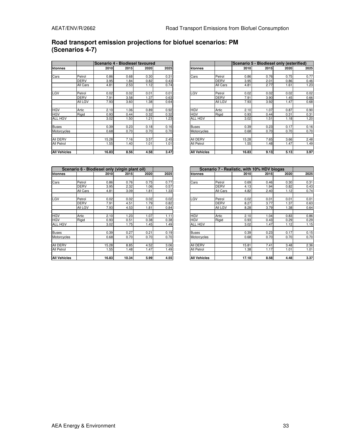## **Road transport emission projections for biofuel scenarios: PM (Scenarios 4-7)**

|                     |             | lScenario 4 - Biodiesel favoured |      |      |      |                     |                |       | Scenario 5 - Biodiesel only (esterified) |      |      |
|---------------------|-------------|----------------------------------|------|------|------|---------------------|----------------|-------|------------------------------------------|------|------|
| ktonnes             |             | 2010                             | 2015 | 2020 | 2025 | ktonnes             |                | 2010  | 2015                                     | 2020 | 2025 |
|                     |             |                                  |      |      |      |                     |                |       |                                          |      |      |
| Cars                | Petrol      | 0.86                             | 0.68 | 0.30 | 0.31 | Cars                | Petrol         | 0.86  | 0.76                                     | 0.75 | 0.77 |
|                     | DERV        | 3.95                             | .84  | 0.82 | 0.43 |                     | <b>DERV</b>    | 3.95  | 2.01                                     | 0.86 | 0.46 |
|                     | All Cars    | 4.81                             | 2.53 | 1.12 | 0.74 |                     | All Cars       | 4.81  | 2.77                                     | 1.61 | 1.23 |
| LGV                 | Petrol      | 0.02                             | 0.02 | 0.01 | 0.01 | LGV                 | Petrol         | 0.02  | 0.02                                     | 0.02 | 0.02 |
|                     | <b>DERV</b> | 7.91                             | 3.58 | 1.37 | 0.63 |                     | <b>DERV</b>    | 7.91  | 3.90                                     | 1.45 | 0.66 |
|                     | All LGV     | 7.93                             | 3.60 | 1.38 | 0.64 |                     | <b>All LGV</b> | 7.93  | 3.92                                     | 1.47 | 0.68 |
| <b>HGV</b>          | Artic       | 2.10                             | 1.06 | 0.89 | 0.92 | <b>HGV</b>          | Artic          | 2.10  | 1.07                                     | 0.87 | 0.90 |
| <b>HGV</b>          | Rigid       | 0.93                             | 0.44 | 0.32 | 0.32 | <b>HGV</b>          | Rigid          | 0.93  | 0.44                                     | 0.31 | 0.31 |
| ALL HGV             |             | 3.02                             | .50  | 1.21 | 1.23 | ALL HGV             |                | 3.02  | 1.51                                     | 1.18 | 1.20 |
| <b>Buses</b>        |             | 0.39                             | 0.23 | 0.18 | 0.16 | Buses               |                | 0.39  | 0.23                                     | 0.17 | 0.16 |
| Motorcycles         |             | 0.68                             | 0.70 | 0.70 | 0.70 | Motorcycles         |                | 0.68  | 0.70                                     | 0.70 | 0.70 |
| All DERV            |             | 15.28                            | 7.16 | 3.57 | 2.45 | All DERV            |                | 15.28 | 7.65                                     | 3.66 | 2.48 |
| All Petrol          |             | 1.55                             | .40  | 1.01 | 1.01 | All Petrol          |                | 1.55  | 1.48                                     | 1.47 | 1.49 |
| <b>All Vehicles</b> |             | 16.83                            | 8.56 | 4.58 | 3.47 | <b>All Vehicles</b> |                | 16.83 | 9.13                                     | 5.13 | 3.97 |

|              |             |       | Scenario 4 - Biodiesel favoured |      |      |                |                | Scenario 5 - Biodiesel only (esterified) |      |             |      |
|--------------|-------------|-------|---------------------------------|------|------|----------------|----------------|------------------------------------------|------|-------------|------|
| ktonnes      |             | 2010  | 2015                            | 2020 | 2025 | ktonnes        |                | 2010                                     | 2015 | <b>2020</b> | 2025 |
|              |             |       |                                 |      |      |                |                |                                          |      |             |      |
| Cars         | Petrol      | 0.86  | 0.68                            | 0.30 | 0.31 | Cars           | Petrol         | 0.86                                     | 0.76 | 0.75        | 0.77 |
|              | <b>DERV</b> | 3.95  | 1.84                            | 0.82 | 0.43 |                | <b>DERV</b>    | 3.95                                     | 2.01 | 0.86        | 0.46 |
|              | All Cars    | 4.81  | 2.53                            | 1.12 | 0.74 |                | All Cars       | 4.81                                     | 2.77 | 1.61        | 1.23 |
|              |             |       |                                 |      |      |                |                |                                          |      |             |      |
| LGV          | Petrol      | 0.02  | 0.02                            | 0.01 | 0.01 | LGV            | Petrol         | 0.02                                     | 0.02 | 0.02        | 0.02 |
|              | DERV        | 7.91  | 3.58                            | 1.37 | 0.63 |                | <b>DERV</b>    | 7.91                                     | 3.90 | 1.45        | 0.66 |
|              | All LGV     | 7.93  | 3.60                            | .38  | 0.64 |                | <b>All LGV</b> | 7.93                                     | 3.92 | 1.47        | 0.68 |
|              |             |       |                                 |      |      |                |                |                                          |      |             |      |
| HGV          | Artic       | 2.10  | .06                             | 0.89 | 0.92 | <b>HGV</b>     | Artic          | 2.10                                     | 1.07 | 0.87        | 0.90 |
| HGV          | Rigid       | 0.93  | 0.44                            | 0.32 | 0.32 | <b>HGV</b>     | Rigid          | 0.93                                     | 0.44 | 0.31        | 0.31 |
| ALL HGV      |             | 3.02  | .50                             | 1.21 | 1.23 | <b>ALL HGV</b> |                | 3.02                                     | 1.51 | 1.18        | 1.20 |
|              |             |       |                                 |      |      |                |                |                                          |      |             |      |
| Buses        |             | 0.39  | 0.23                            | 0.18 | 0.16 | Buses          |                | 0.39                                     | 0.23 | 0.17        | 0.16 |
| Motorcycles  |             | 0.68  | 0.70                            | 0.70 | 0.70 | Motorcycles    |                | 0.68                                     | 0.70 | 0.70        | 0.70 |
|              |             |       |                                 |      |      |                |                |                                          |      |             |      |
| AII DERV     |             | 15.28 | 7.16                            | 3.57 | 2.45 | All DERV       |                | 15.28                                    | 7.65 | 3.66        | 2.48 |
| All Petrol   |             | 1.55  | 1.40                            | 1.01 | 1.01 | All Petrol     |                | 1.55                                     | 1.48 | 1.47        | 1.49 |
|              |             |       |                                 |      |      |                |                |                                          |      |             |      |
| All Vehicles |             | 16.83 | 8.56                            | 4.58 | 3.47 | All Vehicles   |                | 16.83                                    | 9.13 | 5.13        | 3.97 |

|                     |             | Scenario 6 - Biodiesel only (virgin plant oil) |       |      |      |                     | Scenario 7 - Realistic, with 10% HDV biogas |       |      |  |
|---------------------|-------------|------------------------------------------------|-------|------|------|---------------------|---------------------------------------------|-------|------|--|
| ktonnes             |             | 2010                                           | 2015  | 2020 | 2025 | ktonnes             |                                             | 2010  | 2015 |  |
|                     |             |                                                |       |      |      |                     |                                             |       |      |  |
| Cars                | Petrol      | 0.86                                           | 0.76  | 0.75 | 0.77 | Cars                | Petrol                                      | 0.69  | 0.46 |  |
|                     | <b>DERV</b> | 3.95                                           | 2.32  | 1.06 | 0.57 |                     | <b>DERV</b>                                 | 4.13  | 1.94 |  |
|                     | All Cars    | 4.81                                           | 3.09  | 1.81 | 1.33 |                     | All Cars                                    | 4.82  | 2.40 |  |
| LGV                 | Petrol      | 0.02                                           | 0.02  | 0.02 | 0.02 | LGV                 | Petrol                                      | 0.02  | 0.01 |  |
|                     | <b>DERV</b> | 7.91                                           | 4.51  | 1.79 | 0.82 |                     | <b>DERV</b>                                 | 8.27  | 3.77 |  |
|                     | All LGV     | 7.93                                           | 4.53  | 1.81 | 0.84 |                     | All LGV                                     | 8.28  | 3.79 |  |
| <b>HGV</b>          | Artic       | 2.10                                           | 1.23  | 1.07 | 1.11 | <b>HGV</b>          | Artic                                       | 2.10  | 1.04 |  |
| <b>HGV</b>          | Rigid       | 0.93                                           | 0.51  | 0.38 | 0.38 | <b>HGV</b>          | Rigid                                       | 0.93  | 0.43 |  |
| <b>ALL HGV</b>      |             | 3.02                                           | 1.75  | 1.45 | 1.49 | <b>ALL HGV</b>      |                                             | 3.02  | 1.47 |  |
| <b>Buses</b>        |             | 0.39                                           | 0.27  | 0.21 | 0.19 | <b>Buses</b>        |                                             | 0.39  | 0.23 |  |
| Motorcycles         |             | 0.68                                           | 0.70  | 0.70 | 0.70 | Motorcycles         |                                             | 0.68  | 0.70 |  |
| All DERV            |             | 15.28                                          | 8.85  | 4.52 | 3.06 | <b>AII DERV</b>     |                                             | 15.81 | 7.41 |  |
| All Petrol          |             | 1.55                                           | 1.48  | 1.47 | 1.49 | All Petrol          |                                             | 1.38  | 1.17 |  |
| <b>All Vehicles</b> |             | 16.83                                          | 10.34 | 5.99 | 4.55 | <b>All Vehicles</b> |                                             | 17.18 | 8.58 |  |

|              |             |       | Scenario 6 - Biodiesel only (virgin plant oil) |      |      |                     |                |       | Scenario 7 - Realistic, with 10% HDV biogas |             |      |
|--------------|-------------|-------|------------------------------------------------|------|------|---------------------|----------------|-------|---------------------------------------------|-------------|------|
| ktonnes      |             | 2010  | 2015                                           | 2020 | 2025 | ktonnes             |                | 2010  | 2015                                        | <b>2020</b> | 2025 |
|              |             |       |                                                |      |      |                     |                |       |                                             |             |      |
| Cars         | Petrol      | 0.86  | 0.76                                           | 0.75 | 0.77 | Cars                | Petrol         | 0.69  | 0.46                                        | 0.30        | 0.31 |
|              | <b>DERV</b> | 3.95  | 2.32                                           | 1.06 | 0.57 |                     | <b>DERV</b>    | 4.13  | .94                                         | 0.82        | 0.43 |
|              | All Cars    | 4.81  | 3.09                                           | 1.81 | 1.33 |                     | All Cars       | 4.82  | 2.40                                        | 1.12        | 0.74 |
|              |             |       |                                                |      |      |                     |                |       |                                             |             |      |
| LGV          | Petrol      | 0.02  | 0.02                                           | 0.02 | 0.02 | LGV                 | Petrol         | 0.02  | 0.01                                        | 0.01        | 0.01 |
|              | <b>DERV</b> | 7.91  | 4.51                                           | 1.79 | 0.82 |                     | <b>DERV</b>    | 8.27  | 3.77                                        | 1.37        | 0.63 |
|              | All LGV     | 7.93  | 4.53                                           | 1.81 | 0.84 |                     | <b>All LGV</b> | 8.28  | 3.79                                        | .38         | 0.64 |
|              |             |       |                                                |      |      |                     |                |       |                                             |             |      |
| HGV          | Artic       | 2.10  | .23                                            | 1.07 | 1.11 | <b>HGV</b>          | Artic          | 2.10  | 1.04                                        | 0.83        | 0.86 |
| HGV          | Rigid       | 0.93  | 0.51                                           | 0.38 | 0.38 | <b>HGV</b>          | Rigid          | 0.93  | 0.43                                        | 0.29        | 0.29 |
| ALL HGV      |             | 3.02  | 1.75                                           | 1.45 | 1.49 | <b>ALL HGV</b>      |                | 3.02  | 1.47                                        | 1.12        | 1.15 |
|              |             |       |                                                |      |      |                     |                |       |                                             |             |      |
| Buses        |             | 0.39  | 0.27                                           | 0.21 | 0.19 | <b>Buses</b>        |                | 0.39  | 0.23                                        | 0.17        | 0.15 |
| Motorcycles  |             | 0.68  | 0.70                                           | 0.70 | 0.70 | Motorcycles         |                | 0.68  | 0.70                                        | 0.70        | 0.70 |
|              |             |       |                                                |      |      |                     |                |       |                                             |             |      |
| AII DERV     |             | 15.28 | 8.85                                           | 4.52 | 3.06 | All DERV            |                | 15.81 | 7.41                                        | 3.48        | 2.36 |
| All Petrol   |             | .55   | 1.48                                           | 1.47 | 1.49 | All Petrol          |                | 1.38  | 1.17                                        | 1.01        | 1.01 |
|              |             |       |                                                |      |      |                     |                |       |                                             |             |      |
| All Vehicles |             | 16.83 | 10.34                                          | 5.99 | 4.55 | <b>All Vehicles</b> |                | 17.18 | 8.58                                        | 4.48        | 3.37 |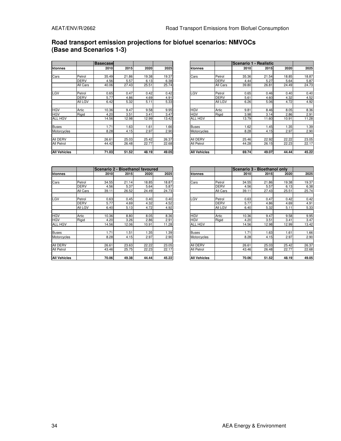### **Road transport emission projections for biofuel scenarios: NMVOCs (Base and Scenarios 1-3)**

|                     |             | <b>Basecase</b> |       |       |       |                     |             |       | Scenario 1 - Realistic |       |       |
|---------------------|-------------|-----------------|-------|-------|-------|---------------------|-------------|-------|------------------------|-------|-------|
| ktonnes             |             | 2010            | 2015  | 2020  | 2025  | ktonnes             |             | 2010  | 2015                   | 2020  | 2025  |
|                     |             |                 |       |       |       |                     |             |       |                        |       |       |
| Cars                | Petrol      | 35.49           | 21.86 | 19.38 | 19.37 | Cars                | Petrol      | 35.36 | 21.54                  | 18.85 | 18.87 |
|                     | <b>DERV</b> | 4.56            | 5.57  | 6.13  | 6.38  |                     | <b>DERV</b> | 4.44  | 5.27                   | 5.64  | 5.87  |
|                     | All Cars    | 40.06           | 27.43 | 25.51 | 25.74 |                     | All Cars    | 39.80 | 26.81                  | 24.49 | 24.73 |
| LGV                 | Petrol      | 0.65            | 0.47  | 0.42  | 0.42  | LGV                 | Petrol      | 0.65  | 0.46                   | 0.40  | 0.40  |
|                     | <b>DERV</b> | 5.77            | 4.86  | 4.69  | 4.91  |                     | <b>DERV</b> | 5.61  | 4.60                   | 4.32  | 4.52  |
|                     | All LGV     | 6.42            | 5.32  | 5.11  | 5.33  |                     | All LGV     | 6.26  | 5.06                   | 4.72  | 4.92  |
| <b>HGV</b>          | Artic       | 10.36           | 9.47  | 9.58  | 9.95  | <b>HGV</b>          | Artic       | 9.81  | 8.46                   | 8.05  | 8.36  |
| <b>HGV</b>          | Rigid       | 4.20            | 3.51  | 3.41  | 3.47  | <b>HGV</b>          | Rigid       | 3.98  | 3.14                   | 2.86  | 2.91  |
| <b>ALL HGV</b>      |             | 14.56           | 12.98 | 12.99 | 13.42 | <b>ALL HGV</b>      |             | 13.79 | 11.60                  | 10.91 | 11.28 |
| <b>Buses</b>        |             | 1.71            | 1.63  | 1.61  | 1.66  | <b>Buses</b>        |             | 1.62  | 1.45                   | 1.35  | 1.39  |
| Motorcycles         |             | 8.28            | 4.15  | 2.97  | 2.90  | Motorcycles         |             | 8.28  | 4.15                   | 2.97  | 2.90  |
| <b>AII DERV</b>     |             | 26.61           | 25.03 | 25.42 | 26.37 | All DERV            |             | 25.46 | 22.92                  | 22.22 | 23.05 |
| All Petrol          |             | 44.42           | 26.48 | 22.77 | 22.68 | All Petrol          |             | 44.28 | 26.15                  | 22.23 | 22.17 |
| <b>All Vehicles</b> |             | 71.03           | 51.52 | 48.19 | 49.05 | <b>All Vehicles</b> |             | 69.74 | 49.07                  | 44.44 | 45.22 |

|              |             | <b>Basecase</b> |       |       |       |                     |             |       | Scenario 1 - Realistic |       |       |
|--------------|-------------|-----------------|-------|-------|-------|---------------------|-------------|-------|------------------------|-------|-------|
| ktonnes      |             | 2010            | 2015  | 2020  | 2025  | ktonnes             |             | 2010  | 2015                   | 2020  | 2025  |
|              |             |                 |       |       |       |                     |             |       |                        |       |       |
| Cars         | Petrol      | 35.49           | 21.86 | 19.38 | 19.37 | Cars                | Petrol      | 35.36 | 21.54                  | 18.85 | 18.87 |
|              | <b>DERV</b> | 4.56            | 5.57  | 6.13  | 6.38  |                     | <b>DERV</b> | 4.44  | 5.27                   | 5.64  | 5.87  |
|              | All Cars    | 40.06           | 27.43 | 25.51 | 25.74 |                     | All Cars    | 39.80 | 26.81                  | 24.49 | 24.73 |
|              |             |                 |       |       |       |                     |             |       |                        |       |       |
| LGV          | Petrol      | 0.65            | 0.47  | 0.42  | 0.42  | LGV                 | Petrol      | 0.65  | 0.46                   | 0.40  | 0.40  |
|              | <b>DERV</b> | 5.77            | 4.86  | 4.69  | 4.91  |                     | <b>DERV</b> | 5.61  | 4.60                   | 4.32  | 4.52  |
|              | All LGV     | 6.42            | 5.32  | 5.11  | 5.33  |                     | All LGV     | 6.26  | 5.06                   | 4.72  | 4.92  |
|              |             |                 |       |       |       |                     |             |       |                        |       |       |
| HGV          | Artic       | 10.36           | 9.47  | 9.58  | 9.95  | <b>HGV</b>          | Artic       | 9.81  | 8.46                   | 8.05  | 8.36  |
| HGV          | Rigid       | 4.20            | 3.51  | 3.41  | 3.47  | <b>HGV</b>          | Rigid       | 3.98  | 3.14                   | 2.86  | 2.91  |
| ALL HGV      |             | 14.56           | 12.98 | 12.99 | 13.42 | <b>ALL HGV</b>      |             | 13.79 | 11.60                  | 10.91 | 11.28 |
|              |             |                 |       |       |       |                     |             |       |                        |       |       |
| Buses        |             | 1.71            | 1.63  | 1.61  | .66   | <b>Buses</b>        |             | 1.62  | 1.45                   | 1.35  | 1.39  |
| Motorcycles  |             | 8.28            | 4.15  | 2.97  | 2.90  | Motorcycles         |             | 8.28  | 4.15                   | 2.97  | 2.90  |
|              |             |                 |       |       |       |                     |             |       |                        |       |       |
| AII DERV     |             | 26.61           | 25.03 | 25.42 | 26.37 | All DERV            |             | 25.46 | 22.92                  | 22.22 | 23.05 |
| All Petrol   |             | 44.42           | 26.48 | 22.77 | 22.68 | All Petrol          |             | 44.28 | 26.15                  | 22.23 | 22.17 |
|              |             |                 |       |       |       |                     |             |       |                        |       |       |
| All Vehicles |             | 71.03           | 51.52 | 48.19 | 49.05 | <b>All Vehicles</b> |             | 69.74 | 49.07                  | 44.44 | 45.22 |

|                     |             | Scenario 2 - Bioethanol favoured |       |       |       |
|---------------------|-------------|----------------------------------|-------|-------|-------|
| ktonnes             |             | 2010                             | 2015  | 2020  | 2025  |
|                     |             |                                  |       |       |       |
| Cars                | Petrol      | 34.55                            | 21.14 | 18.85 | 18.87 |
|                     | DERV        | 4.56                             | 5.37  | 5.64  | 5.87  |
|                     | All Cars    | 39.11                            | 26.52 | 24.49 | 24.73 |
|                     |             |                                  |       |       |       |
| LGV                 | Petrol      | 0.63                             | 0.45  | 0.40  | 0.40  |
|                     | <b>DERV</b> | 5.77                             | 4.69  | 4.32  | 4.52  |
|                     | All LGV     | 6.40                             | 5.13  | 4.72  | 4.92  |
|                     |             |                                  |       |       |       |
| <b>HGV</b>          | Artic       | 10.36                            | 8.80  | 8.05  | 8.36  |
| <b>HGV</b>          | Rigid       | 4.20                             | 3.26  | 2.86  | 2.91  |
| ALL HGV             |             | 14.56                            | 12.06 | 10.91 | 11.28 |
| Buses               |             | 1.71                             | 1.51  | 1.35  | 1.39  |
| Motorcycles         |             | 8.28                             | 4.15  | 2.97  | 2.90  |
| All DERV            |             | 26.61                            | 23.63 | 22.22 | 23.05 |
| All Petrol          |             | 43.46                            | 25.75 | 22.23 | 22.17 |
| <b>All Vehicles</b> |             | 70.06                            | 49.38 | 44.44 | 45.22 |

|              |             | Scenario 2 - Bioethanol favoured |       |       |       |                     |                |       | Scenario 3 - Bioethanol only |       |       |
|--------------|-------------|----------------------------------|-------|-------|-------|---------------------|----------------|-------|------------------------------|-------|-------|
| ktonnes      |             | 2010                             | 2015  | 2020  | 2025  | ktonnes             |                | 2010  | 2015                         | 2020  | 2025  |
|              |             |                                  |       |       |       |                     |                |       |                              |       |       |
| Cars         | Petrol      | 34.55                            | 21.14 | 18.85 | 18.87 | Cars                | Petrol         | 34.55 | 21.86                        | 19.38 | 19.37 |
|              | <b>DERV</b> | 4.56                             | 5.37  | 5.64  | 5.87  |                     | <b>DERV</b>    | 4.56  | 5.57                         | 6.13  | 6.38  |
|              | All Cars    | 39.11                            | 26.52 | 24.49 | 24.73 |                     | All Cars       | 39.11 | 27.43                        | 25.51 | 25.74 |
|              |             |                                  |       |       |       |                     |                |       |                              |       |       |
| LGV          | Petrol      | 0.63                             | 0.45  | 0.40  | 0.40  | LGV                 | Petrol         | 0.63  | 0.47                         | 0.42  | 0.42  |
|              | <b>DERV</b> | 5.77                             | 4.69  | 4.32  | 4.52  |                     | <b>DERV</b>    | 5.77  | 4.86                         | 4.69  | 4.91  |
|              | All LGV     | 6.40                             | 5.13  | 4.72  | 4.92  |                     | <b>All LGV</b> | 6.40  | 5.32                         | 5.11  | 5.33  |
|              |             |                                  |       |       |       |                     |                |       |                              |       |       |
| HGV          | Artic       | 10.36                            | 8.80  | 8.05  | 8.36  | <b>HGV</b>          | Artic          | 10.36 | 9.47                         | 9.58  | 9.95  |
| HGV          | Rigid       | 4.20                             | 3.26  | 2.86  | 2.91  | <b>HGV</b>          | Rigid          | 4.20  | 3.51                         | 3.41  | 3.47  |
| ALL HGV      |             | 14.56                            | 12.06 | 10.91 | 11.28 | <b>ALL HGV</b>      |                | 14.56 | 12.98                        | 12.99 | 13.42 |
|              |             |                                  |       |       |       |                     |                |       |                              |       |       |
| Buses        |             | 1.71                             | 1.51  | 1.35  | 1.39  | <b>Buses</b>        |                | 1.71  | 1.63                         | 1.61  | 1.66  |
| Motorcycles  |             | 8.28                             | 4.15  | 2.97  | 2.90  | Motorcycles         |                | 8.28  | 4.15                         | 2.97  | 2.90  |
|              |             |                                  |       |       |       |                     |                |       |                              |       |       |
| AII DERV     |             | 26.61                            | 23.63 | 22.22 | 23.05 | All DERV            |                | 26.61 | 25.03                        | 25.42 | 26.37 |
| All Petrol   |             | 43.46                            | 25.75 | 22.23 | 22.17 | <b>All Petrol</b>   |                | 43.46 | 26.48                        | 22.77 | 22.68 |
|              |             |                                  |       |       |       |                     |                |       |                              |       |       |
| All Vehicles |             | 70.06                            | 49.38 | 44.44 | 45.22 | <b>All Vehicles</b> |                | 70.06 | 51.52                        | 48.19 | 49.05 |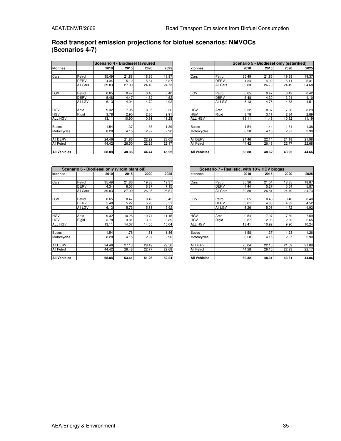## **Road transport emission projections for biofuel scenarios: NMVOCs (Scenarios 4-7)**

|                     |             |       | <b>IScenario 4 - Biodiesel favoured</b> |       |       |                     |                |       | Scenario 5 - Biodiesel only (esterified) |       |       |
|---------------------|-------------|-------|-----------------------------------------|-------|-------|---------------------|----------------|-------|------------------------------------------|-------|-------|
| ktonnes             |             | 2010  | 2015                                    | 2020  | 2025  | ktonnes             |                | 2010  | 2015                                     | 2020  | 2025  |
|                     |             |       |                                         |       |       |                     |                |       |                                          |       |       |
| Cars                | Petrol      | 35.49 | 21.88                                   | 18.85 | 18.87 | Cars                | Petrol         | 35.49 | 21.86                                    | 19.38 | 19.37 |
|                     | <b>DERV</b> | 4.34  | 5.12                                    | 5.64  | 5.87  |                     | <b>DERV</b>    | 4.34  | 4.92                                     | 5.11  | 5.31  |
|                     | All Cars    | 39.83 | 27.00                                   | 24.49 | 24.73 |                     | All Cars       | 39.83 | 26.79                                    | 24.49 | 24.68 |
| LGV                 | Petrol      | 0.65  | 0.47                                    | 0.40  | 0.40  | LGV                 | Petrol         | 0.65  | 0.47                                     | 0.42  | 0.42  |
|                     | <b>DERV</b> | 5.48  | 4.47                                    | 4.32  | 4.52  |                     | <b>DERV</b>    | 5.48  | 4.30                                     | 3.91  | 4.10  |
|                     | All LGV     | 6.13  | 4.94                                    | 4.72  | 4.92  |                     | <b>All LGV</b> | 6.13  | 4.76                                     | 4.33  | 4.51  |
| <b>HGV</b>          | Artic       | 9.32  | 7.95                                    | 8.05  | 8.36  | <b>HGV</b>          | Artic          | 9.32  | 8.37                                     | 7.98  | 8.29  |
| <b>HGV</b>          | Rigid       | 3.78  | 2.95                                    | 2.86  | 2.91  | <b>HGV</b>          | Rigid          | 3.78  | 3.11                                     | 2.84  | 2.89  |
| ALL HGV             |             | 13.11 | 10.90                                   | 10.91 | 11.28 | ALL HGV             |                | 13.11 | 11.48                                    | 10.82 | 11.19 |
| <b>Buses</b>        |             | 1.54  | .37                                     | 1.35  | 1.39  | Buses               |                | 1.54  | 1.44                                     | 1.34  | 1.38  |
| Motorcycles         |             | 8.28  | 4.15                                    | 2.97  | 2.90  | Motorcycles         |                | 8.28  | 4.15                                     | 2.97  | 2.90  |
| All DERV            |             | 24.46 | 21.86                                   | 22.22 | 23.05 | AII DERV            |                | 24.46 | 22.14                                    | 21.18 | 21.98 |
| All Petrol          |             | 44.42 | 26.50                                   | 22.23 | 22.17 | All Petrol          |                | 44.42 | 26.48                                    | 22.77 | 22.68 |
| <b>All Vehicles</b> |             | 68.88 | 48.36                                   | 44.44 | 45.22 | <b>All Vehicles</b> |                | 68.88 | 48.62                                    | 43.95 | 44.66 |

|              |             | Scenario 4 - Biodiesel favoured |       |       |       |                     |             | Scenario 5 - Biodiesel only (esterified) |       |       |       |
|--------------|-------------|---------------------------------|-------|-------|-------|---------------------|-------------|------------------------------------------|-------|-------|-------|
| ktonnes      |             | 2010                            | 2015  | 2020  | 2025  | Iktonnes            |             | 2010                                     | 2015  | 2020  | 2025  |
|              |             |                                 |       |       |       |                     |             |                                          |       |       |       |
| Cars         | Petrol      | 35.49                           | 21.88 | 18.85 | 18.87 | Cars                | Petrol      | 35.49                                    | 21.86 | 19.38 | 19.37 |
|              | <b>DERV</b> | 4.34                            | 5.12  | 5.64  | 5.87  |                     | <b>DERV</b> | 4.34                                     | 4.92  | 5.11  | 5.31  |
|              | All Cars    | 39.83                           | 27.00 | 24.49 | 24.73 |                     | All Cars    | 39.83                                    | 26.79 | 24.49 | 24.68 |
|              |             |                                 |       |       |       |                     |             |                                          |       |       |       |
| LGV          | Petrol      | 0.65                            | 0.47  | 0.40  | 0.40  | LGV                 | Petrol      | 0.65                                     | 0.47  | 0.42  | 0.42  |
|              | DERV        | 5.48                            | 4.47  | 4.32  | 4.52  |                     | <b>DERV</b> | 5.48                                     | 4.30  | 3.91  | 4.10  |
|              | All LGV     | 6.13                            | 4.94  | 4.72  | 4.92  |                     | All LGV     | 6.13                                     | 4.76  | 4.33  | 4.51  |
|              |             |                                 |       |       |       |                     |             |                                          |       |       |       |
| HGV          | Artic       | 9.32                            | 7.95  | 8.05  | 8.36  | <b>HGV</b>          | Artic       | 9.32                                     | 8.37  | 7.98  | 8.29  |
| HGV          | Rigid       | 3.78                            | 2.95  | 2.86  | 2.91  | <b>HGV</b>          | Rigid       | 3.78                                     | 3.11  | 2.84  | 2.89  |
| ALL HGV      |             | 13.11                           | 10.90 | 10.91 | 11.28 | <b>ALL HGV</b>      |             | 13.11                                    | 11.48 | 10.82 | 11.19 |
|              |             |                                 |       |       |       |                     |             |                                          |       |       |       |
| Buses        |             | .54                             | 1.37  | 1.35  | 1.39  | <b>Buses</b>        |             | .54                                      | 1.44  | 1.34  | 1.38  |
| Motorcycles  |             | 8.28                            | 4.15  | 2.97  | 2.90  | Motorcycles         |             | 8.28                                     | 4.15  | 2.97  | 2.90  |
|              |             |                                 |       |       |       |                     |             |                                          |       |       |       |
| AII DERV     |             | 24.46                           | 21.86 | 22.22 | 23.05 | All DERV            |             | 24.46                                    | 22.14 | 21.18 | 21.98 |
| All Petrol   |             | 44.42                           | 26.50 | 22.23 | 22.17 | All Petrol          |             | 44.42                                    | 26.48 | 22.77 | 22.68 |
|              |             |                                 |       |       |       |                     |             |                                          |       |       |       |
| All Vehicles |             | 68.88                           | 48.36 | 44.44 | 45.22 | <b>All Vehicles</b> |             | 68.88                                    | 48.62 | 43.95 | 44.66 |

|                     |             |       | Scenario 6 - Biodiesel only (virgin plant oil) |       |       |                     |             |       | Scenario 7 - Realistic, with 10% HDV biogas |  |
|---------------------|-------------|-------|------------------------------------------------|-------|-------|---------------------|-------------|-------|---------------------------------------------|--|
| ktonnes             |             | 2010  | 2015                                           | 2020  | 2025  | ktonnes             |             | 2010  | 2015                                        |  |
|                     |             |       |                                                |       |       |                     |             |       |                                             |  |
| Cars                | Petrol      | 35.49 | 21.86                                          | 19.38 | 19.37 | Cars                | Petrol      | 35.36 | 21.54                                       |  |
|                     | <b>DERV</b> | 4.34  | 6.03                                           | 6.87  | 7.15  |                     | <b>DERV</b> | 4.44  | 5.27                                        |  |
|                     | All Cars    | 39.83 | 27.90                                          | 26.25 | 26.51 |                     | All Cars    | 39.80 | 26.81                                       |  |
| LGV                 | Petrol      | 0.65  | 0.47                                           | 0.42  | 0.42  | LGV                 | Petrol      | 0.65  | 0.46                                        |  |
|                     | <b>DERV</b> | 5.48  | 5.27                                           | 5.26  | 5.51  |                     | <b>DERV</b> | 5.61  | 4.60                                        |  |
|                     | All LGV     | 6.13  | 5.73                                           | 5.68  | 5.92  |                     | All LGV     | 6.26  | 5.06                                        |  |
| <b>HGV</b>          | Artic       | 9.32  | 10.26                                          | 10.74 | 11.15 | <b>HGV</b>          | Artic       | 9.54  | 7.97                                        |  |
| <b>HGV</b>          | Rigid       | 3.78  | 3.81                                           | 3.82  | 3.89  | <b>HGV</b>          | Rigid       | 3.87  | 2.96                                        |  |
| <b>ALL HGV</b>      |             | 13.11 | 14.07                                          | 14.55 | 15.04 | <b>ALL HGV</b>      |             | 13.41 | 10.92                                       |  |
| <b>Buses</b>        |             | 1.54  | 1.76                                           | 1.81  | 1.86  | <b>Buses</b>        |             | 1.58  | 1.37                                        |  |
| Motorcycles         |             | 8.28  | 4.15                                           | 2.97  | 2.90  | Motorcycles         |             | 8.28  | 4.15                                        |  |
| All DERV            |             | 24.46 | 27.13                                          | 28.49 | 29.56 | All DERV            |             | 25.04 | 22.16                                       |  |
| All Petrol          |             | 44.42 | 26.48                                          | 22.77 | 22.68 | <b>All Petrol</b>   |             | 44.28 | 26.15                                       |  |
| <b>All Vehicles</b> |             | 68.88 | 53.61                                          | 51.26 | 52.24 | <b>All Vehicles</b> |             | 69.32 | 48.31                                       |  |

|              |                | Scenario 6 - Biodiesel only (virgin plant oil) |       |       |       |                   |             |       | Scenario 7 - Realistic, with 10% HDV biogas |       |       |
|--------------|----------------|------------------------------------------------|-------|-------|-------|-------------------|-------------|-------|---------------------------------------------|-------|-------|
| ktonnes      |                | 2010                                           | 2015  | 2020  | 2025  | ktonnes           |             | 2010  | 2015                                        | 2020  | 2025  |
|              |                |                                                |       |       |       |                   |             |       |                                             |       |       |
| Cars         | Petrol         | 35.49                                          | 21.86 | 19.38 | 19.37 | Cars              | Petrol      | 35.36 | 21.54                                       | 18.85 | 18.87 |
|              | <b>DERV</b>    | 4.34                                           | 6.03  | 6.87  | 7.15  |                   | <b>DERV</b> | 4.44  | 5.27                                        | 5.64  | 5.87  |
|              | All Cars       | 39.83                                          | 27.90 | 26.25 | 26.51 |                   | All Cars    | 39.80 | 26.81                                       | 24.49 | 24.73 |
|              |                |                                                |       |       |       |                   |             |       |                                             |       |       |
| LGV          | Petrol         | 0.65                                           | 0.47  | 0.42  | 0.42  | LGV               | Petrol      | 0.65  | 0.46                                        | 0.40  | 0.40  |
|              | <b>DERV</b>    | 5.48                                           | 5.27  | 5.26  | 5.51  |                   | <b>DERV</b> | 5.61  | 4.60                                        | 4.32  | 4.52  |
|              | <b>All LGV</b> | 6.13                                           | 5.73  | 5.68  | 5.92  |                   | All LGV     | 6.26  | 5.06                                        | 4.72  | 4.92  |
|              |                |                                                |       |       |       |                   |             |       |                                             |       |       |
| HGV          | Artic          | 9.32                                           | 10.26 | 10.74 | 11.15 | <b>HGV</b>        | Artic       | 9.54  | 7.97                                        | 7.30  | 7.59  |
| HGV          | Rigid          | 3.78                                           | 3.81  | 3.82  | 3.89  | <b>HGV</b>        | Rigid       | 3.87  | 2.96                                        | 2.60  | 2.65  |
| ALL HGV      |                | 13.11                                          | 14.07 | 14.55 | 15.04 | <b>ALL HGV</b>    |             | 13.41 | 10.92                                       | 9.90  | 10.24 |
|              |                |                                                |       |       |       |                   |             |       |                                             |       |       |
| Buses        |                | .54                                            | 1.76  | 1.81  | 1.86  | <b>Buses</b>      |             | .58   | 1.37                                        | 1.23  | 1.26  |
| Motorcycles  |                | 8.28                                           | 4.15  | 2.97  | 2.90  | Motorcycles       |             | 8.28  | 4.15                                        | 2.97  | 2.90  |
|              |                |                                                |       |       |       |                   |             |       |                                             |       |       |
| AII DERV     |                | 24.46                                          | 27.13 | 28.49 | 29.56 | All DERV          |             | 25.04 | 22.16                                       | 21.09 | 21.89 |
| All Petrol   |                | 44.42                                          | 26.48 | 22.77 | 22.68 | <b>All Petrol</b> |             | 44.28 | 26.15                                       | 22.23 | 22.17 |
|              |                |                                                |       |       |       |                   |             |       |                                             |       |       |
| All Vehicles |                | 68.88                                          | 53.61 | 51.26 | 52.24 | All Vehicles      |             | 69.32 | 48.31                                       | 43.31 | 44.06 |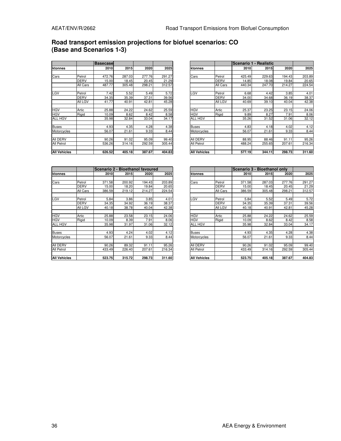### **Road transport emission projections for biofuel scenarios: CO (Base and Scenarios 1-3)**

|                     |             | <b>Basecase</b> |        |        |        |
|---------------------|-------------|-----------------|--------|--------|--------|
| ktonnes             |             | 2010            | 2015   | 2020   | 2025   |
|                     |             |                 |        |        |        |
| Cars                | Petrol      | 472.76          | 287.03 | 277.76 | 291.27 |
|                     | <b>DERV</b> | 15.00           | 18.45  | 20.45  | 21.29  |
|                     | All Cars    | 487.77          | 305.48 | 298.21 | 312.57 |
|                     |             |                 |        |        |        |
| LGV                 | Petrol      | 7.42            | 5.52   | 5.49   | 5.72   |
|                     | <b>DERV</b> | 34.35           | 35.39  | 37.31  | 39.56  |
|                     | All LGV     | 41.77           | 40.91  | 42.81  | 45.28  |
|                     |             |                 |        |        |        |
| <b>HGV</b>          | Artic       | 25.88           | 24.22  | 24.62  | 25.59  |
| <b>HGV</b>          | Rigid       | 10.09           | 8.62   | 8.42   | 8.58   |
| <b>ALL HGV</b>      |             | 35.98           | 32.84  | 33.04  | 34.17  |
| <b>Buses</b>        |             | 4.93            | 4.35   | 4.28   | 4.38   |
| Motorcycles         |             | 56.07           | 21.61  | 9.33   | 8.44   |
|                     |             |                 |        |        |        |
| All DERV            |             | 90.26           | 91.02  | 95.09  | 99.40  |
| All Petrol          |             | 536.26          | 314.16 | 292.59 | 305.44 |
|                     |             |                 |        |        |        |
| <b>All Vehicles</b> |             | 626.52          | 405.18 | 387.67 | 404.83 |

|              |             | <b>Basecase</b> |        |        |        |                     |             |        | Scenario 1 - Realistic |        |        |
|--------------|-------------|-----------------|--------|--------|--------|---------------------|-------------|--------|------------------------|--------|--------|
| ktonnes      |             | <b>2010</b>     | 2015   | 2020   | 2025   | ktonnes             |             | 2010   | 2015                   | 2020   | 2025   |
|              |             |                 |        |        |        |                     |             |        |                        |        |        |
| Cars         | Petrol      | 472.76          | 287.03 | 277.76 | 291.27 | Cars                | Petrol      | 425.49 | 229.63                 | 194.43 | 203.89 |
|              | <b>DERV</b> | 15.00           | 18.45  | 20.45  | 21.29  |                     | <b>DERV</b> | 14.85  | 18.08                  | 19.84  | 20.65  |
|              | All Cars    | 487.77          | 305.48 | 298.21 | 312.57 |                     | All Cars    | 440.34 | 247.70                 | 214.27 | 224.54 |
|              |             |                 |        |        |        |                     |             |        |                        |        |        |
| LGV          | Petrol      | 7.42            | 5.52   | 5.49   | 5.72   | LGV                 | Petrol      | 6.68   | 4.42                   | 3.85   | 4.01   |
|              | <b>DERV</b> | 34.35           | 35.39  | 37.31  | 39.56  |                     | <b>DERV</b> | 34.00  | 34.68                  | 36.19  | 38.37  |
|              | All LGV     | 41.77           | 40.91  | 42.81  | 45.28  |                     | All LGV     | 40.69  | 39.10                  | 40.04  | 42.38  |
|              |             |                 |        |        |        |                     |             |        |                        |        |        |
| HGV          | Artic       | 25.88           | 24.22  | 24.62  | 25.59  | <b>HGV</b>          | Artic       | 25.37  | 23.25                  | 23.15  | 24.06  |
| HGV          | Rigid       | 10.09           | 8.62   | 8.42   | 8.58   | <b>HGV</b>          | Rigid       | 9.89   | 8.27                   | 7.91   | 8.06   |
| ALL HGV      |             | 35.98           | 32.84  | 33.04  | 34.17  | <b>ALL HGV</b>      |             | 35.26  | 31.52                  | 31.06  | 32.12  |
|              |             |                 |        |        |        |                     |             |        |                        |        |        |
| Buses        |             | 4.93            | 4.35   | 4.28   | 4.38   | <b>Buses</b>        |             | 4.83   | 4.18                   | 4.02   | 4.12   |
| Motorcycles  |             | 56.07           | 21.61  | 9.33   | 8.44   | Motorcycles         |             | 56.07  | 21.61                  | 9.33   | 8.44   |
|              |             |                 |        |        |        |                     |             |        |                        |        |        |
| AII DERV     |             | 90.26           | 91.02  | 95.09  | 99.40  | AII DERV            |             | 88.95  | 88.46                  | 91.11  | 95.26  |
| All Petrol   |             | 536.26          | 314.16 | 292.59 | 305.44 | All Petrol          |             | 488.24 | 255.65                 | 207.61 | 216.34 |
|              |             |                 |        |        |        |                     |             |        |                        |        |        |
| All Vehicles |             | 626.52          | 405.18 | 387.67 | 404.83 | <b>All Vehicles</b> |             | 577.19 | 344.11                 | 298.73 | 311.60 |

|                     |             | Scenario 2 - Bioethanol favoured |        |        |        |  |  |  |  |  |  |
|---------------------|-------------|----------------------------------|--------|--------|--------|--|--|--|--|--|--|
| ktonnes             |             | 2010                             | 2015   | 2020   | 2025   |  |  |  |  |  |  |
|                     |             |                                  |        |        |        |  |  |  |  |  |  |
| Cars                | Petrol      | 371.58                           | 200.92 | 194.43 | 203.89 |  |  |  |  |  |  |
|                     | <b>DERV</b> | 15.00                            | 18.20  | 19.84  | 20.65  |  |  |  |  |  |  |
|                     | All Cars    | 386.59                           | 219.12 | 214.27 | 224.54 |  |  |  |  |  |  |
|                     |             |                                  |        |        |        |  |  |  |  |  |  |
| LGV                 | Petrol      | 5.84                             | 3.86   | 3.85   | 4.01   |  |  |  |  |  |  |
|                     | <b>DERV</b> | 34.35                            | 34.92  | 36.19  | 38.37  |  |  |  |  |  |  |
|                     | All LGV     | 40.18                            | 38.78  | 40.04  | 42.38  |  |  |  |  |  |  |
|                     |             |                                  |        |        |        |  |  |  |  |  |  |
| <b>HGV</b>          | Artic       | 25.88                            | 23.58  | 23.15  | 24.06  |  |  |  |  |  |  |
| <b>HGV</b>          | Rigid       | 10.09                            | 8.39   | 7.91   | 8.06   |  |  |  |  |  |  |
| ALL HGV             |             | 35.98                            | 31.97  | 31.06  | 32.12  |  |  |  |  |  |  |
|                     |             |                                  |        |        |        |  |  |  |  |  |  |
| <b>Buses</b>        |             | 4.93                             | 4.24   | 4.02   | 4.12   |  |  |  |  |  |  |
| Motorcycles         |             | 56.07                            | 21.61  | 9.33   | 8.44   |  |  |  |  |  |  |
|                     |             |                                  |        |        |        |  |  |  |  |  |  |
| All DERV            |             | 90.26                            | 89.32  | 91.11  | 95.26  |  |  |  |  |  |  |
| All Petrol          |             | 433.49                           | 226.40 | 207.61 | 216.34 |  |  |  |  |  |  |
|                     |             |                                  |        |        |        |  |  |  |  |  |  |
| <b>All Vehicles</b> |             | 523.75                           | 315.72 | 298.73 | 311.60 |  |  |  |  |  |  |

|              |             |        |        | Scenario 2 - Bioethanol favoured |        |                     | <b>IScenario 3 - Bioethanol onlv</b> |        |        |        |        |
|--------------|-------------|--------|--------|----------------------------------|--------|---------------------|--------------------------------------|--------|--------|--------|--------|
| ktonnes      |             | 2010   | 2015   | 2020                             | 2025   | ktonnes             |                                      | 2010l  | 2015   | 2020   | 2025   |
|              |             |        |        |                                  |        |                     |                                      |        |        |        |        |
| Cars         | Petrol      | 371.58 | 200.92 | 194.43                           | 203.89 | Cars                | Petrol                               | 371.58 | 287.03 | 277.76 | 291.27 |
|              | <b>DERV</b> | 15.00  | 18.20  | 19.84                            | 20.65  |                     | <b>DERV</b>                          | 15.00  | 18.45  | 20.45  | 21.29  |
|              | All Cars    | 386.59 | 219.12 | 214.27                           | 224.54 |                     | All Cars                             | 386.59 | 305.48 | 298.21 | 312.57 |
|              |             |        |        |                                  |        |                     |                                      |        |        |        |        |
| LGV          | Petrol      | 5.84   | 3.86   | 3.85                             | 4.01   | LGV                 | Petrol                               | 5.84   | 5.52   | 5.49   | 5.72   |
|              | <b>DERV</b> | 34.35  | 34.92  | 36.19                            | 38.37  |                     | <b>DERV</b>                          | 34.35  | 35.39  | 37.31  | 39.56  |
|              | All LGV     | 40.18  | 38.78  | 40.04                            | 42.38  |                     | All LGV                              | 40.18  | 40.91  | 42.81  | 45.28  |
|              |             |        |        |                                  |        |                     |                                      |        |        |        |        |
| HGV          | Artic       | 25.88  | 23.58  | 23.15                            | 24.06  | <b>HGV</b>          | Artic                                | 25.88  | 24.22  | 24.62  | 25.59  |
| HGV          | Rigid       | 10.09  | 8.39   | 7.91                             | 8.06   | <b>HGV</b>          | Rigid                                | 10.09  | 8.62   | 8.42   | 8.58   |
| ALL HGV      |             | 35.98  | 31.97  | 31.06                            | 32.12  | <b>ALL HGV</b>      |                                      | 35.98  | 32.84  | 33.04  | 34.17  |
|              |             |        |        |                                  |        |                     |                                      |        |        |        |        |
| Buses        |             | 4.93   | 4.24   | 4.02                             | 4.12   | <b>Buses</b>        |                                      | 4.93   | 4.35   | 4.28   | 4.38   |
| Motorcycles  |             | 56.07  | 21.61  | 9.33                             | 8.44   | Motorcycles         |                                      | 56.07  | 21.61  | 9.33   | 8.44   |
|              |             |        |        |                                  |        |                     |                                      |        |        |        |        |
| AII DERV     |             | 90.26  | 89.32  | 91.11                            | 95.26  | All DERV            |                                      | 90.26  | 91.02  | 95.09  | 99.40  |
| All Petrol   |             | 433.49 | 226.40 | 207.61                           | 216.34 | All Petrol          |                                      | 433.49 | 314.16 | 292.59 | 305.44 |
|              |             |        |        |                                  |        |                     |                                      |        |        |        |        |
| All Vehicles |             | 523.75 | 315.72 | 298.73                           | 311.60 | <b>All Vehicles</b> |                                      | 523.75 | 405.18 | 387.67 | 404.83 |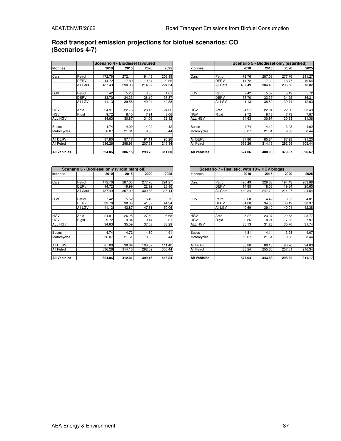## **Road transport emission projections for biofuel scenarios: CO (Scenarios 4-7)**

|                     |             | lScenario 4 - Biodiesel favoured |        |        |        |                     |             | Scenario 5 - Biodiesel only (esterified) |        |        |        |  |
|---------------------|-------------|----------------------------------|--------|--------|--------|---------------------|-------------|------------------------------------------|--------|--------|--------|--|
| ktonnes             |             | 2010                             | 2015   | 2020   | 2025   | ktonnes             |             | 2010                                     | 2015   | 2020   | 2025   |  |
|                     |             |                                  |        |        |        |                     |             |                                          |        |        |        |  |
| Cars                | Petrol      | 472.76                           | 272.14 | 194.43 | 203.89 | Cars                | Petrol      | 472.76                                   | 287.03 | 277.76 | 291.27 |  |
|                     | <b>DERV</b> | 14.72                            | 17.89  | 19.84  | 20.65  |                     | <b>DERV</b> | 14.72                                    | 17.39  | 18.77  | 19.54  |  |
|                     | All Cars    | 487.49                           | 290.03 | 214.27 | 224.54 |                     | All Cars    | 487.49                                   | 304.43 | 296.53 | 310.82 |  |
| LGV                 | Petrol      | 7.42                             | 5.23   | 3.85   | 4.01   | LGV                 | Petrol      | 7.42                                     | 5.52   | 5.49   | 5.72   |  |
|                     | <b>DERV</b> | 33.70                            | 34.33  | 36.19  | 38.37  |                     | <b>DERV</b> | 33.70                                    | 33.37  | 34.25  | 36.31  |  |
|                     | All LGV     | 41.13                            | 39.56  | 40.04  | 42.38  |                     | All LGV     | 41.13                                    | 38.89  | 39.74  | 42.03  |  |
| <b>HGV</b>          | Artic       | 24.91                            | 22.76  | 23.15  | 24.06  | <b>HGV</b>          | Artic       | 24.91                                    | 22.84  | 22.60  | 23.49  |  |
| <b>HGV</b>          | Rigid       | 9.72                             | 8.10   | 7.91   | 8.06   | <b>HGV</b>          | Rigid       | 9.72                                     | 8.13   | 7.73   | 7.87   |  |
| ALL HGV             |             | 34.63                            | 30.87  | 31.06  | 32.12  | ALL HGV             |             | 34.63                                    | 30.97  | 30.33  | 31.36  |  |
| <b>Buses</b>        |             | 4.74                             | 4.09   | 4.02   | 4.12   | Buses               |             | 4.74                                     | 4.10   | 3.93   | 4.02   |  |
| Motorcycles         |             | 56.07                            | 21.61  | 9.33   | 8.44   | Motorcycles         |             | 56.07                                    | 21.61  | 9.33   | 8.44   |  |
| All DERV            |             | 87.80                            | 87.17  | 91.11  | 95.26  | All DERV            |             | 87.80                                    | 85.84  | 87.28  | 91.23  |  |
| All Petrol          |             | 536.26                           | 298.98 | 207.61 | 216.34 | All Petrol          |             | 536.26                                   | 314.16 | 292.59 | 305.44 |  |
| <b>All Vehicles</b> |             | 624.06                           | 386.15 | 298.73 | 311.60 | <b>All Vehicles</b> |             | 624.06                                   | 400.00 | 379.87 | 396.67 |  |

|              |             | Scenario 4 - Biodiesel favoured |        |        |        |                     |             | Scenario 5 - Biodiesel only (esterified) |        |              |        |
|--------------|-------------|---------------------------------|--------|--------|--------|---------------------|-------------|------------------------------------------|--------|--------------|--------|
| ktonnes      |             | 2010                            | 2015   | 2020   | 2025   | ktonnes             |             | 2010                                     | 2015   | <b>20201</b> | 2025   |
|              |             |                                 |        |        |        |                     |             |                                          |        |              |        |
| Cars         | Petrol      | 472.76                          | 272.14 | 194.43 | 203.89 | Cars                | Petrol      | 472.76                                   | 287.03 | 277.76       | 291.27 |
|              | <b>DERV</b> | 14.72                           | 17.89  | 19.84  | 20.65  |                     | <b>DERV</b> | 14.72                                    | 17.39  | 18.77        | 19.54  |
|              | All Cars    | 487.49                          | 290.03 | 214.27 | 224.54 |                     | All Cars    | 487.49                                   | 304.43 | 296.53       | 310.82 |
|              |             |                                 |        |        |        |                     |             |                                          |        |              |        |
| LGV          | Petrol      | 7.42                            | 5.23   | 3.85   | 4.01   | LGV                 | Petrol      | 7.42                                     | 5.52   | 5.49         | 5.72   |
|              | <b>DERV</b> | 33.70                           | 34.33  | 36.19  | 38.37  |                     | <b>DERV</b> | 33.70                                    | 33.37  | 34.25        | 36.31  |
|              | All LGV     | 41.13                           | 39.56  | 40.04  | 42.38  |                     | All LGV     | 41.13                                    | 38.89  | 39.74        | 42.03  |
|              |             |                                 |        |        |        |                     |             |                                          |        |              |        |
| HGV          | Artic       | 24.91                           | 22.76  | 23.15  | 24.06  | <b>HGV</b>          | Artic       | 24.91                                    | 22.84  | 22.60        | 23.49  |
| HGV          | Rigid       | 9.72                            | 8.10   | 7.91   | 8.06   | <b>HGV</b>          | Rigid       | 9.72                                     | 8.13   | 7.73         | 7.87   |
| ALL HGV      |             | 34.63                           | 30.87  | 31.06  | 32.12  | ALL HGV             |             | 34.63                                    | 30.97  | 30.33        | 31.36  |
|              |             |                                 |        |        |        |                     |             |                                          |        |              |        |
| Buses        |             | 4.74                            | 4.09   | 4.02   | 4.12   | <b>Buses</b>        |             | 4.74                                     | 4.10   | 3.93         | 4.02   |
| Motorcycles  |             | 56.07                           | 21.61  | 9.33   | 8.44   | Motorcycles         |             | 56.07                                    | 21.61  | 9.33         | 8.44   |
|              |             |                                 |        |        |        |                     |             |                                          |        |              |        |
| AII DERV     |             | 87.80                           | 87.17  | 91.11  | 95.26  | AII DERV            |             | 87.80                                    | 85.84  | 87.28        | 91.23  |
| All Petrol   |             | 536.26                          | 298.98 | 207.61 | 216.34 | All Petrol          |             | 536.26                                   | 314.16 | 292.59       | 305.44 |
|              |             |                                 |        |        |        |                     |             |                                          |        |              |        |
| All Vehicles |             | 624.06                          | 386.15 | 298.73 | 311.60 | <b>All Vehicles</b> |             | 624.06                                   | 400.00 | 379.87       | 396.67 |

|                     |             | Scenario 6 - Biodiesel only (virgin plant oil) |        |        |        |                     |             |        | Scenario 7 - Realistic, with 10% HDV biogas |                |
|---------------------|-------------|------------------------------------------------|--------|--------|--------|---------------------|-------------|--------|---------------------------------------------|----------------|
| ktonnes             |             | 2010                                           | 2015   | 2020   | 2025   | ktonnes             |             | 2010   | 2015                                        |                |
| Cars                | Petrol      | 472.76                                         | 287.03 | 277.76 | 291.27 | Cars                | Petrol      | 425.49 | 229.63                                      | 19             |
|                     | <b>DERV</b> | 14.72                                          | 19.99  | 22.92  | 23.86  |                     | <b>DERV</b> | 14.85  | 18.08                                       |                |
|                     | All Cars    | 487.49                                         | 307.02 | 300.68 | 315.14 |                     | All Cars    | 440.34 | 247.70                                      | $2^{\circ}$    |
| LGV                 | Petrol      | 7.42                                           | 5.52   | 5.49   | 5.72   | LGV                 | Petrol      | 6.68   | 4.42                                        |                |
|                     | <b>DERV</b> | 33.70                                          | 38.35  | 41.82  | 44.34  |                     | <b>DERV</b> | 34.00  | 34.68                                       |                |
|                     | All LGV     | 41.13                                          | 43.87  | 47.31  | 50.06  |                     | All LGV     | 40.69  | 39.10                                       |                |
| <b>HGV</b>          | Artic       | 24.91                                          | 26.25  | 27.60  | 28.68  | <b>HGV</b>          | Artic       | 25.27  | 23.07                                       |                |
| <b>HGV</b>          | Rigid       | 9.72                                           | 9.34   | 9.44   | 9.61   | <b>HGV</b>          | Rigid       | 9.86   | 8.21                                        |                |
| <b>ALL HGV</b>      |             | 34.63                                          | 35.59  | 37.03  | 38.29  | <b>ALL HGV</b>      |             | 35.13  | 31.28                                       |                |
| <b>Buses</b>        |             | 4.74                                           | 4.72   | 4.80   | 4.91   | <b>Buses</b>        |             | 4.81   | 4.14                                        |                |
| Motorcycles         |             | 56.07                                          | 21.61  | 9.33   | 8.44   | Motorcycles         |             | 56.07  | 21.61                                       |                |
| All DERV            |             | 87.80                                          | 98.64  | 106.57 | 111.40 | All DERV            |             | 88.80  | 88.18                                       |                |
| <b>All Petrol</b>   |             | 536.26                                         | 314.16 | 292.59 | 305.44 | All Petrol          |             | 488.24 | 255.65                                      | 2 <sub>0</sub> |
| <b>All Vehicles</b> |             | 624.06                                         | 412.81 | 399.16 | 416.84 | <b>All Vehicles</b> |             | 577.04 | 343.83                                      | 2 <sub>5</sub> |

|              |             | Scenario 6 - Biodiesel only (virgin plant oil) |        |        |        |                     |             | Scenario 7 - Realistic, with 10% HDV biogas |        |             |        |
|--------------|-------------|------------------------------------------------|--------|--------|--------|---------------------|-------------|---------------------------------------------|--------|-------------|--------|
| ktonnes      |             | 2010                                           | 2015   | 2020   | 2025   | ktonnes             |             | 2010                                        | 2015   | <b>2020</b> | 2025   |
|              |             |                                                |        |        |        |                     |             |                                             |        |             |        |
| Cars         | Petrol      | 472.76                                         | 287.03 | 277.76 | 291.27 | Cars                | Petrol      | 425.49                                      | 229.63 | 194.43      | 203.89 |
|              | <b>DERV</b> | 14.72                                          | 19.99  | 22.92  | 23.86  |                     | <b>DERV</b> | 14.85                                       | 18.08  | 19.84       | 20.65  |
|              | All Cars    | 487.49                                         | 307.02 | 300.68 | 315.14 |                     | All Cars    | 440.34                                      | 247.70 | 214.27      | 224.54 |
|              |             |                                                |        |        |        |                     |             |                                             |        |             |        |
| LGV          | Petrol      | 7.42                                           | 5.52   | 5.49   | 5.72   | LGV                 | Petrol      | 6.68                                        | 4.42   | 3.85        | 4.01   |
|              | <b>DERV</b> | 33.70                                          | 38.35  | 41.82  | 44.34  |                     | <b>DERV</b> | 34.00                                       | 34.68  | 36.19       | 38.37  |
|              | All LGV     | 41.13                                          | 43.87  | 47.31  | 50.06  |                     | All LGV     | 40.69                                       | 39.10  | 40.04       | 42.38  |
|              |             |                                                |        |        |        |                     |             |                                             |        |             |        |
| HGV          | Artic       | 24.91                                          | 26.25  | 27.60  | 28.68  | <b>HGV</b>          | Artic       | 25.27                                       | 23.07  | 22.88       | 23.77  |
| <b>HGV</b>   | Rigid       | 9.72                                           | 9.34   | 9.44   | 9.61   | <b>HGV</b>          | Rigid       | 9.86                                        | 8.21   | 7.82        | 7.97   |
| ALL HGV      |             | 34.63                                          | 35.59  | 37.03  | 38.29  | <b>ALL HGV</b>      |             | 35.13                                       | 31.28  | 30.70       | 31.74  |
|              |             |                                                |        |        |        |                     |             |                                             |        |             |        |
| Buses        |             | 4.74                                           | 4.72   | 4.80   | 4.91   | <b>Buses</b>        |             | 4.81                                        | 4.14   | 3.98        | 4.07   |
| Motorcycles  |             | 56.07                                          | 21.61  | 9.33   | 8.44   | Motorcycles         |             | 56.07                                       | 21.61  | 9.33        | 8.44   |
|              |             |                                                |        |        |        |                     |             |                                             |        |             |        |
| AII DERV     |             | 87.80                                          | 98.64  | 106.57 | 111.40 | All DERV            |             | 88.80                                       | 88.18  | 90.70       | 94.83  |
| All Petrol   |             | 536.26                                         | 314.16 | 292.59 | 305.44 | All Petrol          |             | 488.24                                      | 255.65 | 207.61      | 216.34 |
|              |             |                                                |        |        |        |                     |             |                                             |        |             |        |
| All Vehicles |             | 624.06                                         | 412.81 | 399.16 | 416.84 | <b>All Vehicles</b> |             | 577.04                                      | 343.83 | 298.32      | 311.17 |